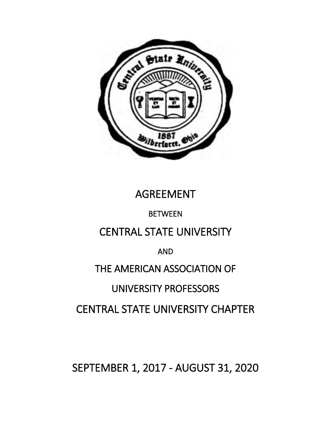

# AGREEMENT

# BETWEEN

# CENTRAL STATE UNIVERSITY

# AND

# THE AMERICAN ASSOCIATION OF

# UNIVERSITY PROFESSORS

# CENTRAL STATE UNIVERSITY CHAPTER

SEPTEMBER 1, 2017 - AUGUST 31, 2020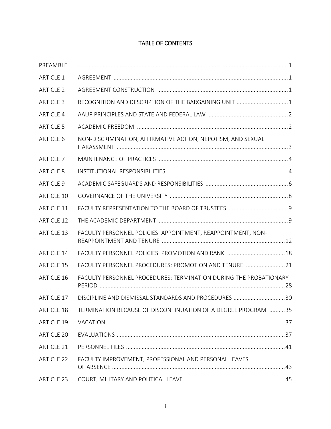# TABLE OF CONTENTS

| PREAMBLE          |                                                                   |  |
|-------------------|-------------------------------------------------------------------|--|
| <b>ARTICLE 1</b>  |                                                                   |  |
| <b>ARTICLE 2</b>  |                                                                   |  |
| <b>ARTICLE 3</b>  | RECOGNITION AND DESCRIPTION OF THE BARGAINING UNIT  1             |  |
| <b>ARTICLE 4</b>  |                                                                   |  |
| <b>ARTICLE 5</b>  |                                                                   |  |
| <b>ARTICLE 6</b>  | NON-DISCRIMINATION, AFFIRMATIVE ACTION, NEPOTISM, AND SEXUAL      |  |
| <b>ARTICLE 7</b>  |                                                                   |  |
| <b>ARTICLE 8</b>  |                                                                   |  |
| <b>ARTICLE 9</b>  |                                                                   |  |
| <b>ARTICLE 10</b> |                                                                   |  |
| <b>ARTICLE 11</b> |                                                                   |  |
| <b>ARTICLE 12</b> |                                                                   |  |
| <b>ARTICLE 13</b> | FACULTY PERSONNEL POLICIES: APPOINTMENT, REAPPOINTMENT, NON-      |  |
| <b>ARTICLE 14</b> | FACULTY PERSONNEL POLICIES: PROMOTION AND RANK  18                |  |
| <b>ARTICLE 15</b> | FACULTY PERSONNEL PROCEDURES: PROMOTION AND TENURE 21             |  |
| <b>ARTICLE 16</b> | FACULTY PERSONNEL PROCEDURES: TERMINATION DURING THE PROBATIONARY |  |
| <b>ARTICLE 17</b> | DISCIPLINE AND DISMISSAL STANDARDS AND PROCEDURES 30              |  |
| <b>ARTICLE 18</b> | TERMINATION BECAUSE OF DISCONTINUATION OF A DEGREE PROGRAM 35     |  |
| <b>ARTICLE 19</b> |                                                                   |  |
| <b>ARTICLE 20</b> |                                                                   |  |
| <b>ARTICLE 21</b> |                                                                   |  |
| <b>ARTICLE 22</b> | FACULTY IMPROVEMENT, PROFESSIONAL AND PERSONAL LEAVES             |  |
| <b>ARTICLE 23</b> |                                                                   |  |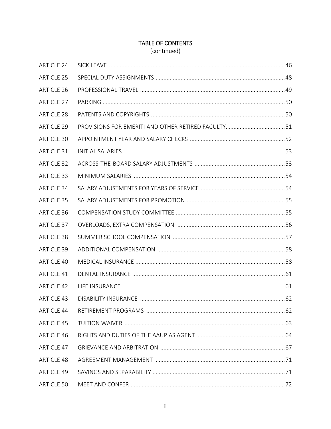# TABLE OF CONTENTS

(continued)

| <b>ARTICLE 24</b> |  |
|-------------------|--|
| <b>ARTICLE 25</b> |  |
| <b>ARTICLE 26</b> |  |
| <b>ARTICLE 27</b> |  |
| <b>ARTICLE 28</b> |  |
| <b>ARTICLE 29</b> |  |
| <b>ARTICLE 30</b> |  |
| <b>ARTICLE 31</b> |  |
| <b>ARTICLE 32</b> |  |
| <b>ARTICLE 33</b> |  |
| <b>ARTICLE 34</b> |  |
| <b>ARTICLE 35</b> |  |
| <b>ARTICLE 36</b> |  |
| <b>ARTICLE 37</b> |  |
| <b>ARTICLE 38</b> |  |
| <b>ARTICLE 39</b> |  |
| ARTICLE 40        |  |
| <b>ARTICLE 41</b> |  |
| <b>ARTICLE 42</b> |  |
| <b>ARTICLE 43</b> |  |
| <b>ARTICLE 44</b> |  |
| <b>ARTICLE 45</b> |  |
| <b>ARTICLE 46</b> |  |
| <b>ARTICLE 47</b> |  |
| <b>ARTICLE 48</b> |  |
| <b>ARTICLE 49</b> |  |
| ARTICLE 50        |  |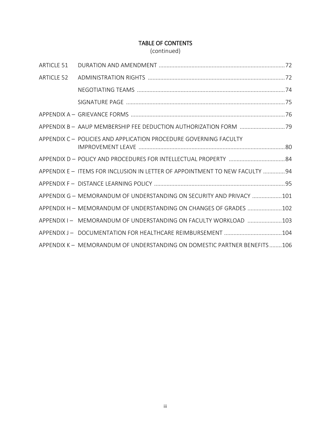# TABLE OF CONTENTS

(continued)

| ARTICLE 51 |                                                                              |
|------------|------------------------------------------------------------------------------|
| ARTICLE 52 |                                                                              |
|            |                                                                              |
|            |                                                                              |
|            |                                                                              |
|            | APPENDIX B - AAUP MEMBERSHIP FEE DEDUCTION AUTHORIZATION FORM 79             |
|            | APPENDIX C - POLICIES AND APPLICATION PROCEDURE GOVERNING FACULTY            |
|            |                                                                              |
|            | APPENDIX E - ITEMS FOR INCLUSION IN LETTER OF APPOINTMENT TO NEW FACULTY  94 |
|            |                                                                              |
|            | APPENDIX G - MEMORANDUM OF UNDERSTANDING ON SECURITY AND PRIVACY 101         |
|            | APPENDIX H - MEMORANDUM OF UNDERSTANDING ON CHANGES OF GRADES 102            |
|            | APPENDIX I- MEMORANDUM OF UNDERSTANDING ON FACULTY WORKLOAD  103             |
|            |                                                                              |
|            | APPENDIX K - MEMORANDUM OF UNDERSTANDING ON DOMESTIC PARTNER BENEFITS106     |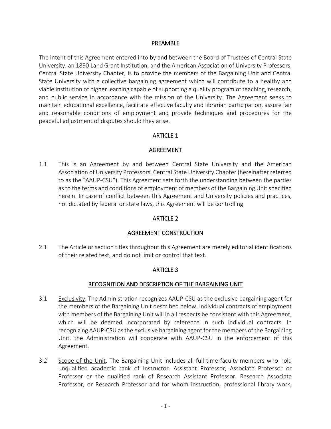#### PREAMBLE

The intent of this Agreement entered into by and between the Board of Trustees of Central State University, an 1890 Land Grant Institution, and the American Association of University Professors, Central State University Chapter, is to provide the members of the Bargaining Unit and Central State University with a collective bargaining agreement which will contribute to a healthy and viable institution of higher learning capable of supporting a quality program of teaching, research, and public service in accordance with the mission of the University. The Agreement seeks to maintain educational excellence, facilitate effective faculty and librarian participation, assure fair and reasonable conditions of employment and provide techniques and procedures for the peaceful adjustment of disputes should they arise.

#### ARTICLE 1

#### AGREEMENT

1.1 This is an Agreement by and between Central State University and the American Association of University Professors, Central State University Chapter (hereinafter referred to as the "AAUP-CSU"). This Agreement sets forth the understanding between the parties as to the terms and conditions of employment of members of the Bargaining Unit specified herein. In case of conflict between this Agreement and University policies and practices, not dictated by federal or state laws, this Agreement will be controlling.

#### ARTICLE 2

#### AGREEMENT CONSTRUCTION

2.1 The Article or section titles throughout this Agreement are merely editorial identifications of their related text, and do not limit or control that text.

#### ARTICLE 3

#### RECOGNITION AND DESCRIPTION OF THE BARGAINING UNIT

- 3.1 Exclusivity. The Administration recognizes AAUP-CSU as the exclusive bargaining agent for the members of the Bargaining Unit described below. Individual contracts of employment with members of the Bargaining Unit will in all respects be consistent with this Agreement, which will be deemed incorporated by reference in such individual contracts. In recognizing AAUP-CSU as the exclusive bargaining agent for the members of the Bargaining Unit, the Administration will cooperate with AAUP-CSU in the enforcement of this Agreement.
- 3.2 Scope of the Unit. The Bargaining Unit includes all full-time faculty members who hold unqualified academic rank of Instructor. Assistant Professor, Associate Professor or Professor or the qualified rank of Research Assistant Professor, Research Associate Professor, or Research Professor and for whom instruction, professional library work,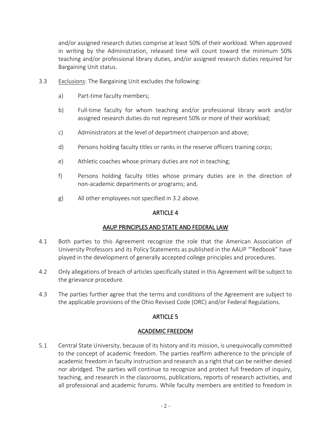and/or assigned research duties comprise at least 50% of their workload. When approved in writing by the Administration, released time will count toward the minimum 50% teaching and/or professional library duties, and/or assigned research duties required for Bargaining Unit status.

- 3.3 Exclusions: The Bargaining Unit excludes the following:
	- a) Part-time faculty members;
	- b) Full-time faculty for whom teaching and/or professional library work and/or assigned research duties do not represent 50% or more of their workload;
	- c) Administrators at the level of department chairperson and above;
	- d) Persons holding faculty titles or ranks in the reserve officers training corps;
	- e) Athletic coaches whose primary duties are not in teaching;
	- f) Persons holding faculty titles whose primary duties are in the direction of non-academic departments or programs; and,
	- g) All other employees not specified in 3.2 above.

#### ARTICLE 4

# AAUP PRINCIPLES AND STATE AND FEDERAL LAW

- 4.1 Both parties to this Agreement recognize the role that the American Association of University Professors and its Policy Statements as published in the AAUP '"Redbook" have played in the development of generally accepted college principles and procedures.
- 4.2 Only allegations of breach of articles specifically stated in this Agreement will be subject to the grievance procedure.
- 4.3 The parties further agree that the terms and conditions of the Agreement are subject to the applicable provisions of the Ohio Revised Code (ORC) and/or Federal Regulations.

# ARTICLE 5

#### ACADEMIC FREEDOM

5.1 Central State University, because of its history and its mission, is unequivocally committed to the concept of academic freedom. The parties reaffirm adherence to the principle of academic freedom in faculty instruction and research as a right that can be neither denied nor abridged. The parties will continue to recognize and protect full freedom of inquiry, teaching, and research in the classrooms, publications, reports of research activities, and all professional and academic forums. While faculty members are entitled to freedom in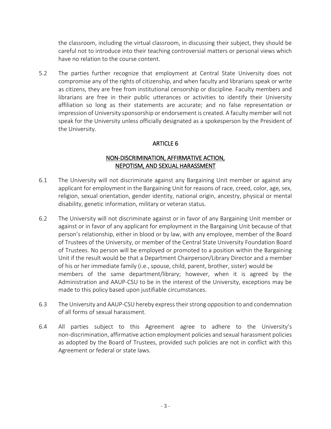the classroom, including the virtual classroom, in discussing their subject, they should be careful not to introduce into their teaching controversial matters or personal views which have no relation to the course content.

5.2 The parties further recognize that employment at Central State University does not compromise any of the rights of citizenship, and when faculty and librarians speak or write as citizens, they are free from institutional censorship or discipline. Faculty members and librarians are free in their public utterances or activities to identify their University affiliation so long as their statements are accurate; and no false representation or impression of University sponsorship or endorsement is created. A faculty member will not speak for the University unless officially designated as a spokesperson by the President of the University.

# ARTICLE 6

### NON-DISCRIMINATION, AFFIRMATIVE ACTION, NEPOTISM, AND SEXUAL HARASSMENT

- 6.1 The University will not discriminate against any Bargaining Unit member or against any applicant for employment in the Bargaining Unit for reasons of race, creed, color, age, sex, religion, sexual orientation, gender identity, national origin, ancestry, physical or mental disability, genetic information, military or veteran status.
- 6.2 The University will not discriminate against or in favor of any Bargaining Unit member or against or in favor of any applicant for employment in the Bargaining Unit because of that person's relationship, either in blood or by law, with any employee, member of the Board of Trustees of the University, or member of the Central State University Foundation Board of Trustees. No person will be employed or promoted to a position within the Bargaining Unit if the result would be that a Department Chairperson/Library Director and a member of his or her immediate family (i.e., spouse, child, parent, brother, sister) would be members of the same department/library; however, when it is agreed by the Administration and AAUP-CSU to be in the interest of the University, exceptions may be made to this policy based upon justifiable circumstances.
- 6.3 The University and AAUP-CSU hereby express their strong opposition to and condemnation of all forms of sexual harassment.
- 6.4 All parties subject to this Agreement agree to adhere to the University's non-discrimination, affirmative action employment policies and sexual harassment policies as adopted by the Board of Trustees, provided such policies are not in conflict with this Agreement or federal or state laws.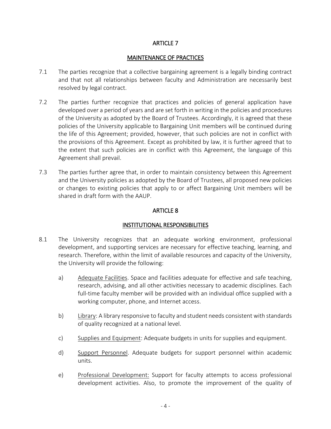#### ARTICLE 7

#### MAINTENANCE OF PRACTICES

- 7.1 The parties recognize that a collective bargaining agreement is a legally binding contract and that not all relationships between faculty and Administration are necessarily best resolved by legal contract.
- 7.2 The parties further recognize that practices and policies of general application have developed over a period of years and are set forth in writing in the policies and procedures of the University as adopted by the Board of Trustees. Accordingly, it is agreed that these policies of the University applicable to Bargaining Unit members will be continued during the life of this Agreement; provided, however, that such policies are not in conflict with the provisions of this Agreement. Except as prohibited by law, it is further agreed that to the extent that such policies are in conflict with this Agreement, the language of this Agreement shall prevail.
- 7.3 The parties further agree that, in order to maintain consistency between this Agreement and the University policies as adopted by the Board of Trustees, all proposed new policies or changes to existing policies that apply to or affect Bargaining Unit members will be shared in draft form with the AAUP.

#### ARTICLE 8

#### INSTITUTIONAL RESPONSIBILITIES

- 8.1 The University recognizes that an adequate working environment, professional development, and supporting services are necessary for effective teaching, learning, and research. Therefore, within the limit of available resources and capacity of the University, the University will provide the following:
	- a) Adequate Facilities. Space and facilities adequate for effective and safe teaching, research, advising, and all other activities necessary to academic disciplines. Each full-time faculty member will be provided with an individual office supplied with a working computer, phone, and Internet access.
	- b) Library: A library responsive to faculty and student needs consistent with standards of quality recognized at a national level.
	- c) Supplies and Equipment: Adequate budgets in units for supplies and equipment.
	- d) Support Personnel. Adequate budgets for support personnel within academic units.
	- e) Professional Development: Support for faculty attempts to access professional development activities. Also, to promote the improvement of the quality of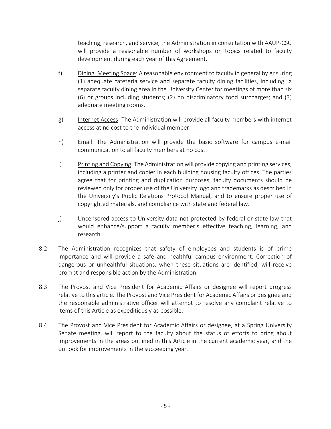teaching, research, and service, the Administration in consultation with AAUP-CSU will provide a reasonable number of workshops on topics related to faculty development during each year of this Agreement.

- f) Dining, Meeting Space: A reasonable environment to faculty in general by ensuring (1) adequate cafeteria service and separate faculty dining facilities, including a separate faculty dining area in the University Center for meetings of more than six (6) or groups including students; (2) no discriminatory food surcharges; and (3) adequate meeting rooms.
- g) Internet Access: The Administration will provide all faculty members with internet access at no cost to the individual member.
- h) Email: The Administration will provide the basic software for campus e-mail communication to all faculty members at no cost.
- i) Printing and Copying: The Administration will provide copying and printing services, including a printer and copier in each building housing faculty offices. The parties agree that for printing and duplication purposes, faculty documents should be reviewed only for proper use of the University logo and trademarks as described in the University's Public Relations Protocol Manual, and to ensure proper use of copyrighted materials, and compliance with state and federal law.
- j) Uncensored access to University data not protected by federal or state law that would enhance/support a faculty member's effective teaching, learning, and research.
- 8.2 The Administration recognizes that safety of employees and students is of prime importance and will provide a safe and healthful campus environment. Correction of dangerous or unhealthful situations, when these situations are identified, will receive prompt and responsible action by the Administration.
- 8.3 The Provost and Vice President for Academic Affairs or designee will report progress relative to this article. The Provost and Vice President for Academic Affairs or designee and the responsible administrative officer will attempt to resolve any complaint relative to items of this Article as expeditiously as possible.
- 8.4 The Provost and Vice President for Academic Affairs or designee, at a Spring University Senate meeting, will report to the faculty about the status of efforts to bring about improvements in the areas outlined in this Article in the current academic year, and the outlook for improvements in the succeeding year.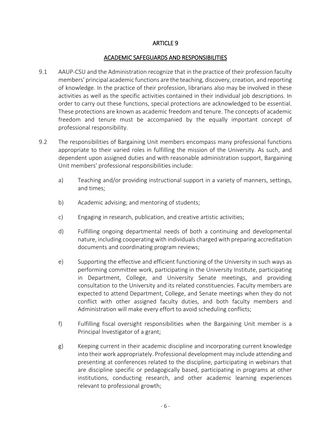#### ARTICLE 9

#### ACADEMIC SAFEGUARDS AND RESPONSIBILITIES

- 9.1 AAUP-CSU and the Administration recognize that in the practice of their profession faculty members' principal academic functions are the teaching, discovery, creation, and reporting of knowledge. In the practice of their profession, librarians also may be involved in these activities as well as the specific activities contained in their individual job descriptions. In order to carry out these functions, special protections are acknowledged to be essential. These protections are known as academic freedom and tenure. The concepts of academic freedom and tenure must be accompanied by the equally important concept of professional responsibility.
- 9.2 The responsibilities of Bargaining Unit members encompass many professional functions appropriate to their varied roles in fulfilling the mission of the University. As such, and dependent upon assigned duties and with reasonable administration support, Bargaining Unit members' professional responsibilities include:
	- a) Teaching and/or providing instructional support in a variety of manners, settings, and times;
	- b) Academic advising; and mentoring of students;
	- c) Engaging in research, publication, and creative artistic activities;
	- d) Fulfilling ongoing departmental needs of both a continuing and developmental nature, including cooperating with individuals charged with preparing accreditation documents and coordinating program reviews;
	- e) Supporting the effective and efficient functioning of the University in such ways as performing committee work, participating in the University Institute, participating in Department, College, and University Senate meetings, and providing consultation to the University and its related constituencies. Faculty members are expected to attend Department, College, and Senate meetings when they do not conflict with other assigned faculty duties, and both faculty members and Administration will make every effort to avoid scheduling conflicts;
	- f) Fulfilling fiscal oversight responsibilities when the Bargaining Unit member is a Principal Investigator of a grant;
	- g) Keeping current in their academic discipline and incorporating current knowledge into their work appropriately. Professional development may include attending and presenting at conferences related to the discipline, participating in webinars that are discipline specific or pedagogically based, participating in programs at other institutions, conducting research, and other academic learning experiences relevant to professional growth;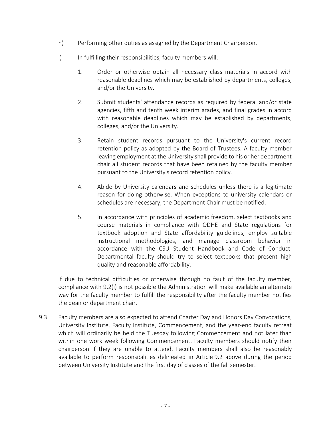- h) Performing other duties as assigned by the Department Chairperson.
- i) In fulfilling their responsibilities, faculty members will:
	- 1. Order or otherwise obtain all necessary class materials in accord with reasonable deadlines which may be established by departments, colleges, and/or the University.
	- 2. Submit students' attendance records as required by federal and/or state agencies, fifth and tenth week interim grades, and final grades in accord with reasonable deadlines which may be established by departments, colleges, and/or the University.
	- 3. Retain student records pursuant to the University's current record retention policy as adopted by the Board of Trustees. A faculty member leaving employment at the University shall provide to his or her department chair all student records that have been retained by the faculty member pursuant to the University's record retention policy.
	- 4. Abide by University calendars and schedules unless there is a legitimate reason for doing otherwise. When exceptions to university calendars or schedules are necessary, the Department Chair must be notified.
	- 5. In accordance with principles of academic freedom, select textbooks and course materials in compliance with ODHE and State regulations for textbook adoption and State affordability guidelines, employ suitable instructional methodologies, and manage classroom behavior in accordance with the CSU Student Handbook and Code of Conduct. Departmental faculty should try to select textbooks that present high quality and reasonable affordability.

 If due to technical difficulties or otherwise through no fault of the faculty member, compliance with 9.2(i) is not possible the Administration will make available an alternate way for the faculty member to fulfill the responsibility after the faculty member notifies the dean or department chair.

9.3 Faculty members are also expected to attend Charter Day and Honors Day Convocations, University Institute, Faculty Institute, Commencement, and the year-end faculty retreat which will ordinarily be held the Tuesday following Commencement and not later than within one work week following Commencement. Faculty members should notify their chairperson if they are unable to attend. Faculty members shall also be reasonably available to perform responsibilities delineated in Article 9.2 above during the period between University Institute and the first day of classes of the fall semester.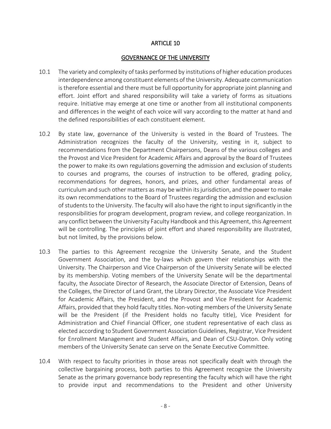#### ARTICLE 10

#### GOVERNANCE OF THE UNIVERSITY

- 10.1 The variety and complexity of tasks performed by institutions of higher education produces interdependence among constituent elements of the University. Adequate communication is therefore essential and there must be full opportunity for appropriate joint planning and effort. Joint effort and shared responsibility will take a variety of forms as situations require. Initiative may emerge at one time or another from all institutional components and differences in the weight of each voice will vary according to the matter at hand and the defined responsibilities of each constituent element.
- 10.2 By state law, governance of the University is vested in the Board of Trustees. The Administration recognizes the faculty of the University, vesting in it, subject to recommendations from the Department Chairpersons, Deans of the various colleges and the Provost and Vice President for Academic Affairs and approval by the Board of Trustees the power to make its own regulations governing the admission and exclusion of students to courses and programs, the courses of instruction to be offered, grading policy, recommendations for degrees, honors, and prizes, and other fundamental areas of curriculum and such other matters as may be within its jurisdiction, and the power to make its own recommendations to the Board of Trustees regarding the admission and exclusion of students to the University. The faculty will also have the right to input significantly in the responsibilities for program development, program review, and college reorganization. In any conflict between the University Faculty Handbook and this Agreement, this Agreement will be controlling. The principles of joint effort and shared responsibility are illustrated, but not limited, by the provisions below.
- 10.3 The parties to this Agreement recognize the University Senate, and the Student Government Association, and the by-laws which govern their relationships with the University. The Chairperson and Vice Chairperson of the University Senate will be elected by its membership. Voting members of the University Senate will be the departmental faculty, the Associate Director of Research, the Associate Director of Extension, Deans of the Colleges, the Director of Land Grant, the Library Director, the Associate Vice President for Academic Affairs, the President, and the Provost and Vice President for Academic Affairs, provided that they hold faculty titles. Non-voting members of the University Senate will be the President (if the President holds no faculty title), Vice President for Administration and Chief Financial Officer, one student representative of each class as elected according to Student Government Association Guidelines, Registrar, Vice President for Enrollment Management and Student Affairs, and Dean of CSU-Dayton. Only voting members of the University Senate can serve on the Senate Executive Committee.
- 10.4 With respect to faculty priorities in those areas not specifically dealt with through the collective bargaining process, both parties to this Agreement recognize the University Senate as the primary governance body representing the faculty which will have the right to provide input and recommendations to the President and other University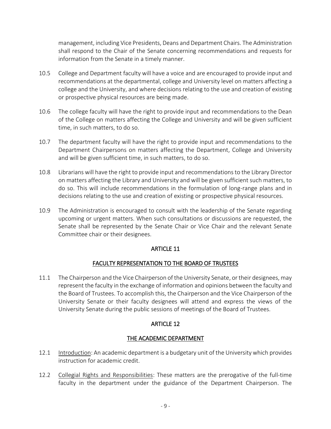management, including Vice Presidents, Deans and Department Chairs. The Administration shall respond to the Chair of the Senate concerning recommendations and requests for information from the Senate in a timely manner.

- 10.5 College and Department faculty will have a voice and are encouraged to provide input and recommendations at the departmental, college and University level on matters affecting a college and the University, and where decisions relating to the use and creation of existing or prospective physical resources are being made.
- 10.6 The college faculty will have the right to provide input and recommendations to the Dean of the College on matters affecting the College and University and will be given sufficient time, in such matters, to do so.
- 10.7 The department faculty will have the right to provide input and recommendations to the Department Chairpersons on matters affecting the Department, College and University and will be given sufficient time, in such matters, to do so.
- 10.8 Librarians will have the right to provide input and recommendations to the Library Director on matters affecting the Library and University and will be given sufficient such matters, to do so. This will include recommendations in the formulation of long-range plans and in decisions relating to the use and creation of existing or prospective physical resources.
- 10.9 The Administration is encouraged to consult with the leadership of the Senate regarding upcoming or urgent matters. When such consultations or discussions are requested, the Senate shall be represented by the Senate Chair or Vice Chair and the relevant Senate Committee chair or their designees.

# ARTICLE 11

#### FACULTY REPRESENTATION TO THE BOARD OF TRUSTEES

11.1 The Chairperson and the Vice Chairperson of the University Senate, or their designees, may represent the faculty in the exchange of information and opinions between the faculty and the Board of Trustees. To accomplish this, the Chairperson and the Vice Chairperson of the University Senate or their faculty designees will attend and express the views of the University Senate during the public sessions of meetings of the Board of Trustees.

# ARTICLE 12

# THE ACADEMIC DEPARTMENT

- 12.1 Introduction: An academic department is a budgetary unit of the University which provides instruction for academic credit.
- 12.2 Collegial Rights and Responsibilities: These matters are the prerogative of the full-time faculty in the department under the guidance of the Department Chairperson. The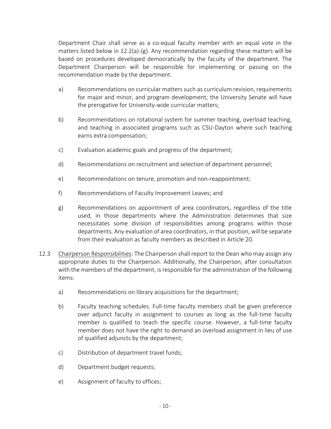Department Chair shall serve as a co-equal faculty member with an equal vote in the matters listed below in 12.2(a)-(g). Any recommendation regarding these matters will be based on procedures developed democratically by the faculty of the department. The Department Chairperson will be responsible for implementing or passing on the recommendation made by the department.

- a) Recommendations on curricular matters such as curriculum revision, requirements for major and minor, and program development; the University Senate will have the prerogative for University-wide curricular matters;
- b) Recommendations on rotational system for summer teaching, overload teaching, and teaching in associated programs such as CSU-Dayton where such teaching earns extra compensation;
- c) Evaluation academic goals and progress of the department;
- d) Recommendations on recruitment and selection of department personnel;
- e) Recommendations on tenure, promotion and non-reappointment;
- f) Recommendations of Faculty Improvement Leaves; and
- g) Recommendations on appointment of area coordinators, regardless of the title used, in those departments where the Administration determines that size necessitates some division of responsibilities among programs within those departments. Any evaluation of area coordinators, in that position, will be separate from their evaluation as faculty members as described in Article 20.
- 12.3 Chairperson Responsibilities: The Chairperson shall report to the Dean who may assign any appropriate duties to the Chairperson. Additionally, the Chairperson, after consultation with the members of the department, is responsible for the administration of the following items:
	- a) Recommendations on library acquisitions for the department;
	- b) Faculty teaching schedules. Full-time faculty members shall be given preference over adjunct faculty in assignment to courses as long as the full-time faculty member is qualified to teach the specific course. However, a full-time faculty member does not have the right to demand an overload assignment in lieu of use of qualified adjuncts by the department;
	- c) Distribution of department travel funds;
	- d) Department budget requests;
	- e) Assignment of faculty to offices;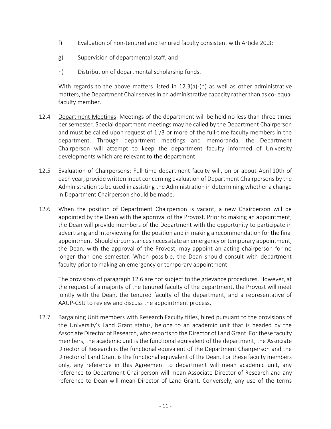- f) Evaluation of non-tenured and tenured faculty consistent with Article 20.3;
- g) Supervision of departmental staff; and
- h) Distribution of departmental scholarship funds.

 With regards to the above matters listed in 12.3(a)-(h) as well as other administrative matters, the Department Chair serves in an administrative capacity rather than as co- equal faculty member.

- 12.4 Department Meetings. Meetings of the department will be held no less than three times per semester. Special department meetings may he called by the Department Chairperson and must be called upon request of 1 /3 or more of the full-time faculty members in the department. Through department meetings and memoranda, the Department Chairperson will attempt to keep the department faculty informed of University developments which are relevant to the department.
- 12.5 Evaluation of Chairpersons: Full time department faculty will, on or about April 10th of each year, provide written input concerning evaluation of Department Chairpersons by the Administration to be used in assisting the Administration in determining whether a change in Department Chairperson should be made.
- 12.6 When the position of Department Chairperson is vacant, a new Chairperson will be appointed by the Dean with the approval of the Provost. Prior to making an appointment, the Dean will provide members of the Department with the opportunity to participate in advertising and interviewing for the position and in making a recommendation for the final appointment. Should circumstances necessitate an emergency or temporary appointment, the Dean, with the approval of the Provost, may appoint an acting chairperson for no longer than one semester. When possible, the Dean should consult with department faculty prior to making an emergency or temporary appointment.

 The provisions of paragraph 12.6 are not subject to the grievance procedures. However, at the request of a majority of the tenured faculty of the department, the Provost will meet jointly with the Dean, the tenured faculty of the department, and a representative of AAUP-CSU to review and discuss the appointment process.

12.7 Bargaining Unit members with Research Faculty titles, hired pursuant to the provisions of the University's Land Grant status, belong to an academic unit that is headed by the Associate Director of Research, who reports to the Director of Land Grant. For these faculty members, the academic unit is the functional equivalent of the department, the Associate Director of Research is the functional equivalent of the Department Chairperson and the Director of Land Grant is the functional equivalent of the Dean. For these faculty members only, any reference in this Agreement to department will mean academic unit, any reference to Department Chairperson will mean Associate Director of Research and any reference to Dean will mean Director of Land Grant. Conversely, any use of the terms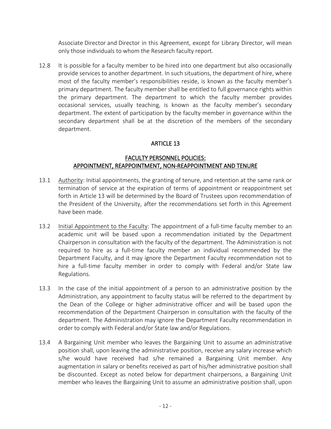Associate Director and Director in this Agreement, except for Library Director, will mean only those individuals to whom the Research faculty report.

12.8 It is possible for a faculty member to be hired into one department but also occasionally provide services to another department. In such situations, the department of hire, where most of the faculty member's responsibilities reside, is known as the faculty member's primary department. The faculty member shall be entitled to full governance rights within the primary department. The department to which the faculty member provides occasional services, usually teaching, is known as the faculty member's secondary department. The extent of participation by the faculty member in governance within the secondary department shall be at the discretion of the members of the secondary department.

# ARTICLE 13

#### FACULTY PERSONNEL POLICIES: APPOINTMENT, REAPPOINTMENT, NON-REAPPOINTMENT AND TENURE

- 13.1 Authority: Initial appointments, the granting of tenure, and retention at the same rank or termination of service at the expiration of terms of appointment or reappointment set forth in Article 13 will be determined by the Board of Trustees upon recommendation of the President of the University, after the recommendations set forth in this Agreement have been made.
- 13.2 Initial Appointment to the Faculty: The appointment of a full-time faculty member to an academic unit will be based upon a recommendation initiated by the Department Chairperson in consultation with the faculty of the department. The Administration is not required to hire as a full-time faculty member an individual recommended by the Department Faculty, and it may ignore the Department Faculty recommendation not to hire a full-time faculty member in order to comply with Federal and/or State law Regulations.
- 13.3 In the case of the initial appointment of a person to an administrative position by the Administration, any appointment to faculty status will be referred to the department by the Dean of the College or higher administrative officer and will be based upon the recommendation of the Department Chairperson in consultation with the faculty of the department. The Administration may ignore the Department Faculty recommendation in order to comply with Federal and/or State law and/or Regulations.
- 13.4 A Bargaining Unit member who leaves the Bargaining Unit to assume an administrative position shall, upon leaving the administrative position, receive any salary increase which s/he would have received had s/he remained a Bargaining Unit member. Any augmentation in salary or benefits received as part of his/her administrative position shall be discounted. Except as noted below for department chairpersons, a Bargaining Unit member who leaves the Bargaining Unit to assume an administrative position shall, upon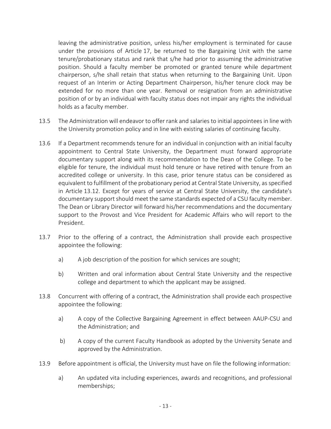leaving the administrative position, unless his/her employment is terminated for cause under the provisions of Article 17, be returned to the Bargaining Unit with the same tenure/probationary status and rank that s/he had prior to assuming the administrative position. Should a faculty member be promoted or granted tenure while department chairperson, s/he shall retain that status when returning to the Bargaining Unit. Upon request of an Interim or Acting Department Chairperson, his/her tenure clock may be extended for no more than one year. Removal or resignation from an administrative position of or by an individual with faculty status does not impair any rights the individual holds as a faculty member.

- 13.5 The Administration will endeavor to offer rank and salaries to initial appointees in line with the University promotion policy and in line with existing salaries of continuing faculty.
- 13.6 If a Department recommends tenure for an individual in conjunction with an initial faculty appointment to Central State University, the Department must forward appropriate documentary support along with its recommendation to the Dean of the College. To be eligible for tenure, the individual must hold tenure or have retired with tenure from an accredited college or university. In this case, prior tenure status can be considered as equivalent to fulfillment of the probationary period at Central State University, as specified in Article 13.12. Except for years of service at Central State University, the candidate's documentary support should meet the same standards expected of a CSU faculty member. The Dean or Library Director will forward his/her recommendations and the documentary support to the Provost and Vice President for Academic Affairs who will report to the President.
- 13.7 Prior to the offering of a contract, the Administration shall provide each prospective appointee the following:
	- a) A job description of the position for which services are sought;
	- b) Written and oral information about Central State University and the respective college and department to which the applicant may be assigned.
- 13.8 Concurrent with offering of a contract, the Administration shall provide each prospective appointee the following:
	- a) A copy of the Collective Bargaining Agreement in effect between AAUP-CSU and the Administration; and
	- b) A copy of the current Faculty Handbook as adopted by the University Senate and approved by the Administration.
- 13.9 Before appointment is official, the University must have on file the following information:
	- a) An updated vita including experiences, awards and recognitions, and professional memberships;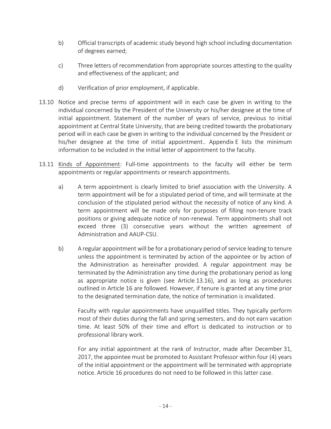- b) Official transcripts of academic study beyond high school including documentation of degrees earned;
- c) Three letters of recommendation from appropriate sources attesting to the quality and effectiveness of the applicant; and
- d) Verification of prior employment, if applicable.
- 13.10 Notice and precise terms of appointment will in each case be given in writing to the individual concerned by the President of the University or his/her designee at the time of initial appointment. Statement of the number of years of service, previous to initial appointment at Central State University, that are being credited towards the probationary period will in each case be given in writing to the individual concerned by the President or his/her designee at the time of initial appointment.. Appendix E lists the minimum information to be included in the initial letter of appointment to the faculty.
- 13.11 Kinds of Appointment: Full-time appointments to the faculty will either be term appointments or regular appointments or research appointments.
	- a) A term appointment is clearly limited to brief association with the University. A term appointment will be for a stipulated period of time, and will terminate at the conclusion of the stipulated period without the necessity of notice of any kind. A term appointment will be made only for purposes of filling non-tenure track positions or giving adequate notice of non-renewal. Term appointments shall not exceed three (3) consecutive years without the written agreement of Administration and AAUP-CSU.
	- b) A regular appointment will be for a probationary period of service leading to tenure unless the appointment is terminated by action of the appointee or by action of the Administration as hereinafter provided. A regular appointment may be terminated by the Administration any time during the probationary period as long as appropriate notice is given (see Article 13.16), and as long as procedures outlined in Article 16 are followed. However, if tenure is granted at any time prior to the designated termination date, the notice of termination is invalidated.

Faculty with regular appointments have unqualified titles. They typically perform most of their duties during the fall and spring semesters, and do not earn vacation time. At least 50% of their time and effort is dedicated to instruction or to professional library work.

 For any initial appointment at the rank of Instructor, made after December 31, 2017, the appointee must be promoted to Assistant Professor within four (4) years of the initial appointment or the appointment will be terminated with appropriate notice. Article 16 procedures do not need to be followed in this latter case.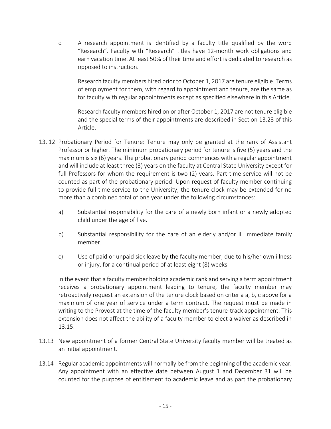c. A research appointment is identified by a faculty title qualified by the word "Research". Faculty with "Research" titles have 12-month work obligations and earn vacation time. At least 50% of their time and effort is dedicated to research as opposed to instruction.

Research faculty members hired prior to October 1, 2017 are tenure eligible. Terms of employment for them, with regard to appointment and tenure, are the same as for faculty with regular appointments except as specified elsewhere in this Article.

Research faculty members hired on or after October 1, 2017 are not tenure eligible and the special terms of their appointments are described in Section 13.23 of this Article.

- 13. 12 Probationary Period for Tenure: Tenure may only be granted at the rank of Assistant Professor or higher. The minimum probationary period for tenure is five (5) years and the maximum is six (6) years. The probationary period commences with a regular appointment and will include at least three (3) years on the faculty at Central State University except for full Professors for whom the requirement is two (2) years. Part-time service will not be counted as part of the probationary period. Upon request of faculty member continuing to provide full-time service to the University, the tenure clock may be extended for no more than a combined total of one year under the following circumstances:
	- a) Substantial responsibility for the care of a newly born infant or a newly adopted child under the age of five.
	- b) Substantial responsibility for the care of an elderly and/or ill immediate family member.
	- c) Use of paid or unpaid sick leave by the faculty member, due to his/her own illness or injury, for a continual period of at least eight (8) weeks.

 In the event that a faculty member holding academic rank and serving a term appointment receives a probationary appointment leading to tenure, the faculty member may retroactively request an extension of the tenure clock based on criteria a, b, c above for a maximum of one year of service under a term contract. The request must be made in writing to the Provost at the time of the faculty member's tenure-track appointment. This extension does not affect the ability of a faculty member to elect a waiver as described in 13.15.

- 13.13 New appointment of a former Central State University faculty member will be treated as an initial appointment.
- 13.14 Regular academic appointments will normally be from the beginning of the academic year. Any appointment with an effective date between August 1 and December 31 will be counted for the purpose of entitlement to academic leave and as part the probationary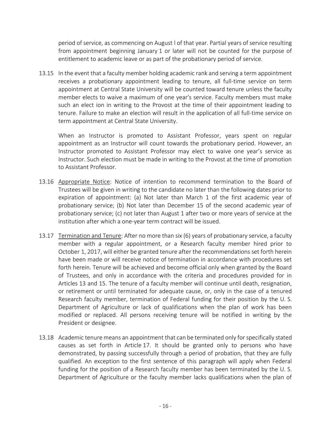period of service, as commencing on August l of that year. Partial years of service resulting from appointment beginning January 1 or later will not be counted for the purpose of entitlement to academic leave or as part of the probationary period of service.

13.15 In the event that a faculty member holding academic rank and serving a term appointment receives a probationary appointment leading to tenure, all full-time service on term appointment at Central State University will be counted toward tenure unless the faculty member elects to waive a maximum of one year's service. Faculty members must make such an elect ion in writing to the Provost at the time of their appointment leading to tenure. Failure to make an election will result in the application of all full-time service on term appointment at Central State University.

When an Instructor is promoted to Assistant Professor, years spent on regular appointment as an Instructor will count towards the probationary period. However, an Instructor promoted to Assistant Professor may elect to waive one year's service as Instructor. Such election must be made in writing to the Provost at the time of promotion to Assistant Professor.

- 13.16 Appropriate Notice: Notice of intention to recommend termination to the Board of Trustees will be given in writing to the candidate no later than the following dates prior to expiration of appointment: (a) Not later than March 1 of the first academic year of probationary service; (b) Not later than December 15 of the second academic year of probationary service; (c) not later than August 1 after two or more years of service at the institution after which a one-year term contract will be issued.
- 13.17 Termination and Tenure: After no more than six (6) years of probationary service, a faculty member with a regular appointment, or a Research faculty member hired prior to October 1, 2017, will either be granted tenure after the recommendations set forth herein have been made or will receive notice of termination in accordance with procedures set forth herein. Tenure will be achieved and become official only when granted by the Board of Trustees, and only in accordance with the criteria and procedures provided for in Articles 13 and 15. The tenure of a faculty member will continue until death, resignation, or retirement or until terminated for adequate cause, or, only in the case of a tenured Research faculty member, termination of Federal funding for their position by the U. S. Department of Agriculture or lack of qualifications when the plan of work has been modified or replaced. All persons receiving tenure will be notified in writing by the President or designee.
- 13.18 Academic tenure means an appointment that can be terminated only for specifically stated causes as set forth in Article 17. It should be granted only to persons who have demonstrated, by passing successfully through a period of probation, that they are fully qualified. An exception to the first sentence of this paragraph will apply when Federal funding for the position of a Research faculty member has been terminated by the U. S. Department of Agriculture or the faculty member lacks qualifications when the plan of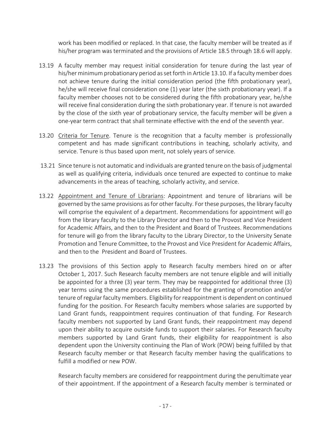work has been modified or replaced. In that case, the faculty member will be treated as if his/her program was terminated and the provisions of Article 18.5 through 18.6 will apply.

- 13.19 A faculty member may request initial consideration for tenure during the last year of his/her minimum probationary period as set forth in Article 13.10. If a faculty member does not achieve tenure during the initial consideration period (the fifth probationary year), he/she will receive final consideration one (1) year later (the sixth probationary year). If a faculty member chooses not to be considered during the fifth probationary year, he/she will receive final consideration during the sixth probationary year. If tenure is not awarded by the close of the sixth year of probationary service, the faculty member will be given a one-year term contract that shall terminate effective with the end of the seventh year.
- 13.20 Criteria for Tenure. Tenure is the recognition that a faculty member is professionally competent and has made significant contributions in teaching, scholarly activity, and service. Tenure is thus based upon merit, not solely years of service.
- 13.21 Since tenure is not automatic and individuals are granted tenure on the basis of judgmental as well as qualifying criteria, individuals once tenured are expected to continue to make advancements in the areas of teaching, scholarly activity, and service.
- 13.22 Appointment and Tenure of Librarians: Appointment and tenure of librarians will be governed by the same provisions as for other faculty. For these purposes, the library faculty will comprise the equivalent of a department. Recommendations for appointment will go from the library faculty to the Library Director and then to the Provost and Vice President for Academic Affairs, and then to the President and Board of Trustees. Recommendations for tenure will go from the library faculty to the Library Director, to the University Senate Promotion and Tenure Committee, to the Provost and Vice President for Academic Affairs, and then to the President and Board of Trustees.
- 13.23 The provisions of this Section apply to Research faculty members hired on or after October 1, 2017. Such Research faculty members are not tenure eligible and will initially be appointed for a three (3) year term. They may be reappointed for additional three (3) year terms using the same procedures established for the granting of promotion and/or tenure of regular faculty members. Eligibility for reappointment is dependent on continued funding for the position. For Research faculty members whose salaries are supported by Land Grant funds, reappointment requires continuation of that funding. For Research faculty members not supported by Land Grant funds, their reappointment may depend upon their ability to acquire outside funds to support their salaries. For Research faculty members supported by Land Grant funds, their eligibility for reappointment is also dependent upon the University continuing the Plan of Work (POW) being fulfilled by that Research faculty member or that Research faculty member having the qualifications to fulfill a modified or new POW.

Research faculty members are considered for reappointment during the penultimate year of their appointment. If the appointment of a Research faculty member is terminated or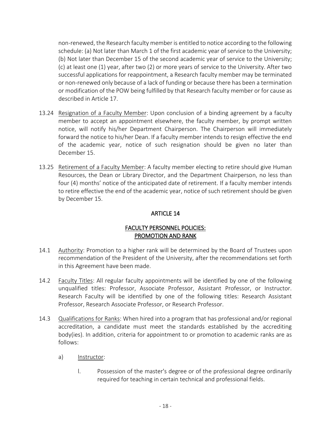non-renewed, the Research faculty member is entitled to notice according to the following schedule: (a) Not later than March 1 of the first academic year of service to the University; (b) Not later than December 15 of the second academic year of service to the University; (c) at least one (1) year, after two (2) or more years of service to the University. After two successful applications for reappointment, a Research faculty member may be terminated or non-renewed only because of a lack of funding or because there has been a termination or modification of the POW being fulfilled by that Research faculty member or for cause as described in Article 17.

- 13.24 Resignation of a Faculty Member: Upon conclusion of a binding agreement by a faculty member to accept an appointment elsewhere, the faculty member, by prompt written notice, will notify his/her Department Chairperson. The Chairperson will immediately forward the notice to his/her Dean. If a faculty member intends to resign effective the end of the academic year, notice of such resignation should be given no later than December 15.
- 13.25 Retirement of a Faculty Member: A faculty member electing to retire should give Human Resources, the Dean or Library Director, and the Department Chairperson, no less than four (4) months' notice of the anticipated date of retirement. If a faculty member intends to retire effective the end of the academic year, notice of such retirement should be given by December 15.

#### ARTICLE 14

# FACULTY PERSONNEL POLICIES: PROMOTION AND RANK

- 14.1 Authority: Promotion to a higher rank will be determined by the Board of Trustees upon recommendation of the President of the University, after the recommendations set forth in this Agreement have been made.
- 14.2 Faculty Titles: All regular faculty appointments will be identified by one of the following unqualified titles: Professor, Associate Professor, Assistant Professor, or Instructor. Research Faculty will be identified by one of the following titles: Research Assistant Professor, Research Associate Professor, or Research Professor.
- 14.3 Qualifications for Ranks: When hired into a program that has professional and/or regional accreditation, a candidate must meet the standards established by the accrediting body(ies). In addition, criteria for appointment to or promotion to academic ranks are as follows:
	- a) Instructor:
		- l. Possession of the master's degree or of the professional degree ordinarily required for teaching in certain technical and professional fields.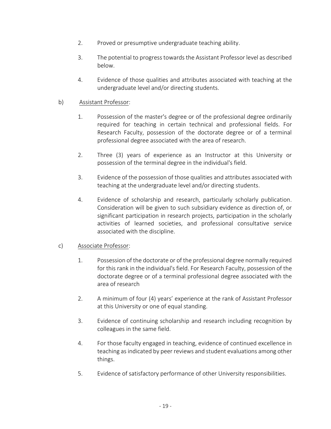- 2. Proved or presumptive undergraduate teaching ability.
- 3. The potential to progress towards the Assistant Professor level as described below.
- 4. Evidence of those qualities and attributes associated with teaching at the undergraduate level and/or directing students.

#### b) Assistant Professor:

- 1. Possession of the master's degree or of the professional degree ordinarily required for teaching in certain technical and professional fields. For Research Faculty, possession of the doctorate degree or of a terminal professional degree associated with the area of research.
- 2. Three (3) years of experience as an Instructor at this University or possession of the terminal degree in the individual's field.
- 3. Evidence of the possession of those qualities and attributes associated with teaching at the undergraduate level and/or directing students.
- 4. Evidence of scholarship and research, particularly scholarly publication. Consideration will be given to such subsidiary evidence as direction of, or significant participation in research projects, participation in the scholarly activities of learned societies, and professional consultative service associated with the discipline.

#### c) Associate Professor:

- 1. Possession of the doctorate or of the professional degree normally required for this rank in the individual's field. For Research Faculty, possession of the doctorate degree or of a terminal professional degree associated with the area of research
- 2. A minimum of four (4) years' experience at the rank of Assistant Professor at this University or one of equal standing.
- 3. Evidence of continuing scholarship and research including recognition by colleagues in the same field.
- 4. For those faculty engaged in teaching, evidence of continued excellence in teaching as indicated by peer reviews and student evaluations among other things.
- 5. Evidence of satisfactory performance of other University responsibilities.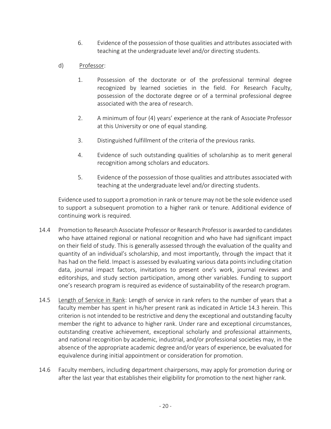- 6. Evidence of the possession of those qualities and attributes associated with teaching at the undergraduate level and/or directing students.
- d) Professor:
	- 1. Possession of the doctorate or of the professional terminal degree recognized by learned societies in the field. For Research Faculty, possession of the doctorate degree or of a terminal professional degree associated with the area of research.
	- 2. A minimum of four (4) years' experience at the rank of Associate Professor at this University or one of equal standing.
	- 3. Distinguished fulfillment of the criteria of the previous ranks.
	- 4. Evidence of such outstanding qualities of scholarship as to merit general recognition among scholars and educators.
	- 5. Evidence of the possession of those qualities and attributes associated with teaching at the undergraduate level and/or directing students.

Evidence used to support a promotion in rank or tenure may not be the sole evidence used to support a subsequent promotion to a higher rank or tenure. Additional evidence of continuing work is required.

- 14.4 Promotion to Research Associate Professor or Research Professor is awarded to candidates who have attained regional or national recognition and who have had significant impact on their field of study. This is generally assessed through the evaluation of the quality and quantity of an individual's scholarship, and most importantly, through the impact that it has had on the field. Impact is assessed by evaluating various data points including citation data, journal impact factors, invitations to present one's work, journal reviews and editorships, and study section participation, among other variables. Funding to support one's research program is required as evidence of sustainability of the research program.
- 14.5 Length of Service in Rank: Length of service in rank refers to the number of years that a faculty member has spent in his/her present rank as indicated in Article 14.3 herein. This criterion is not intended to be restrictive and deny the exceptional and outstanding faculty member the right to advance to higher rank. Under rare and exceptional circumstances, outstanding creative achievement, exceptional scholarly and professional attainments, and national recognition by academic, industrial, and/or professional societies may, in the absence of the appropriate academic degree and/or years of experience, be evaluated for equivalence during initial appointment or consideration for promotion.
- 14.6 Faculty members, including department chairpersons, may apply for promotion during or after the last year that establishes their eligibility for promotion to the next higher rank.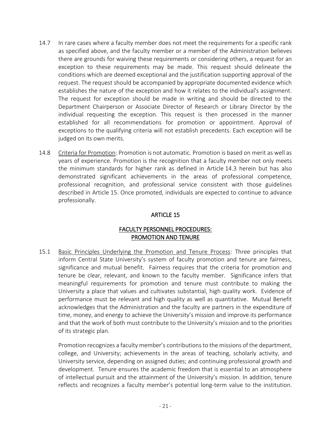- 14.7 In rare cases where a faculty member does not meet the requirements for a specific rank as specified above, and the faculty member or a member of the Administration believes there are grounds for waiving these requirements or considering others, a request for an exception to these requirements may be made. This request should delineate the conditions which are deemed exceptional and the justification supporting approval of the request. The request should be accompanied by appropriate documented evidence which establishes the nature of the exception and how it relates to the individual's assignment. The request for exception should be made in writing and should be directed to the Department Chairperson or Associate Director of Research or Library Director by the individual requesting the exception. This request is then processed in the manner established for all recommendations for promotion or appointment. Approval of exceptions to the qualifying criteria will not establish precedents. Each exception will be judged on its own merits.
- 14.8 Criteria for Promotion: Promotion is not automatic. Promotion is based on merit as well as years of experience. Promotion is the recognition that a faculty member not only meets the minimum standards for higher rank as defined in Article 14.3 herein but has also demonstrated significant achievements in the areas of professional competence, professional recognition, and professional service consistent with those guidelines described in Article 15. Once promoted, individuals are expected to continue to advance professionally.

# ARTICLE 15

#### FACULTY PERSONNEL PROCEDURES: PROMOTION AND TENURE

15.1 Basic Principles Underlying the Promotion and Tenure Process: Three principles that inform Central State University's system of faculty promotion and tenure are fairness, significance and mutual benefit. Fairness requires that the criteria for promotion and tenure be clear, relevant, and known to the faculty member. Significance infers that meaningful requirements for promotion and tenure must contribute to making the University a place that values and cultivates substantial, high quality work. Evidence of performance must be relevant and high quality as well as quantitative. Mutual Benefit acknowledges that the Administration and the faculty are partners in the expenditure of time, money, and energy to achieve the University's mission and improve its performance and that the work of both must contribute to the University's mission and to the priorities of its strategic plan.

Promotion recognizes a faculty member's contributions to the missions of the department, college, and University; achievements in the areas of teaching, scholarly activity, and University service, depending on assigned duties; and continuing professional growth and development. Tenure ensures the academic freedom that is essential to an atmosphere of intellectual pursuit and the attainment of the University's mission. In addition, tenure reflects and recognizes a faculty member's potential long-term value to the institution.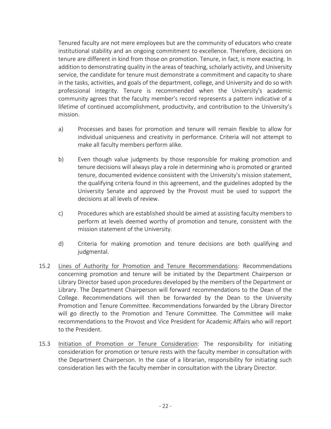Tenured faculty are not mere employees but are the community of educators who create institutional stability and an ongoing commitment to excellence. Therefore, decisions on tenure are different in kind from those on promotion. Tenure, in fact, is more exacting. In addition to demonstrating quality in the areas of teaching, scholarly activity, and University service, the candidate for tenure must demonstrate a commitment and capacity to share in the tasks, activities, and goals of the department, college, and University and do so with professional integrity. Tenure is recommended when the University's academic community agrees that the faculty member's record represents a pattern indicative of a lifetime of continued accomplishment, productivity, and contribution to the University's mission.

- a) Processes and bases for promotion and tenure will remain flexible to allow for individual uniqueness and creativity in performance. Criteria will not attempt to make all faculty members perform alike.
- b) Even though value judgments by those responsible for making promotion and tenure decisions will always play a role in determining who is promoted or granted tenure, documented evidence consistent with the University's mission statement, the qualifying criteria found in this agreement, and the guidelines adopted by the University Senate and approved by the Provost must be used to support the decisions at all levels of review.
- c) Procedures which are established should be aimed at assisting faculty members to perform at levels deemed worthy of promotion and tenure, consistent with the mission statement of the University.
- d) Criteria for making promotion and tenure decisions are both qualifying and judgmental.
- 15.2 Lines of Authority for Promotion and Tenure Recommendations: Recommendations concerning promotion and tenure will be initiated by the Department Chairperson or Library Director based upon procedures developed by the members of the Department or Library. The Department Chairperson will forward recommendations to the Dean of the College. Recommendations will then be forwarded by the Dean to the University Promotion and Tenure Committee. Recommendations forwarded by the Library Director will go directly to the Promotion and Tenure Committee. The Committee will make recommendations to the Provost and Vice President for Academic Affairs who will report to the President.
- 15.3 Initiation of Promotion or Tenure Consideration: The responsibility for initiating consideration for promotion or tenure rests with the faculty member in consultation with the Department Chairperson. In the case of a librarian, responsibility for initiating such consideration lies with the faculty member in consultation with the Library Director.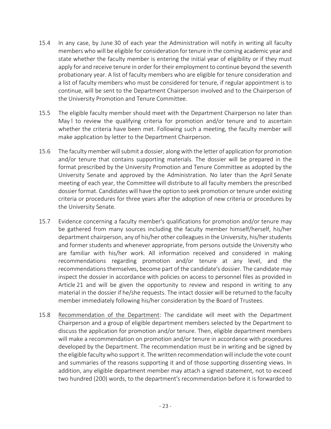- 15.4 In any case, by June 30 of each year the Administration will notify in writing all faculty members who will be eligible for consideration for tenure in the coming academic year and state whether the faculty member is entering the initial year of eligibility or if they must apply for and receive tenure in order for their employment to continue beyond the seventh probationary year. A list of faculty members who are eligible for tenure consideration and a list of faculty members who must be considered for tenure, if regular appointment is to continue, will be sent to the Department Chairperson involved and to the Chairperson of the University Promotion and Tenure Committee.
- 15.5 The eligible faculty member should meet with the Department Chairperson no later than May l to review the qualifying criteria for promotion and/or tenure and to ascertain whether the criteria have been met. Following such a meeting, the faculty member will make application by letter to the Department Chairperson.
- 15.6 The faculty member will submit a dossier, along with the letter of application for promotion and/or tenure that contains supporting materials. The dossier will be prepared in the format prescribed by the University Promotion and Tenure Committee as adopted by the University Senate and approved by the Administration. No later than the April Senate meeting of each year, the Committee will distribute to all faculty members the prescribed dossier format. Candidates will have the option to seek promotion or tenure under existing criteria or procedures for three years after the adoption of new criteria or procedures by the University Senate.
- 15.7 Evidence concerning a faculty member's qualifications for promotion and/or tenure may be gathered from many sources including the faculty member himself/herself, his/her department chairperson, any of his/her other colleagues in the University, his/her students and former students and whenever appropriate, from persons outside the University who are familiar with his/her work. All information received and considered in making recommendations regarding promotion and/or tenure at any level, and the recommendations themselves, become part of the candidate's dossier. The candidate may inspect the dossier in accordance with policies on access to personnel files as provided in Article 21 and will be given the opportunity to review and respond in writing to any material in the dossier if he/she requests. The intact dossier will be returned to the faculty member immediately following his/her consideration by the Board of Trustees.
- 15.8 Recommendation of the Department: The candidate will meet with the Department Chairperson and a group of eligible department members selected by the Department to discuss the application for promotion and/or tenure. Then, eligible department members will make a recommendation on promotion and/or tenure in accordance with procedures developed by the Department. The recommendation must be in writing and be signed by the eligible faculty who support it. The written recommendation will include the vote count and summaries of the reasons supporting it and of those supporting dissenting views. In addition, any eligible department member may attach a signed statement, not to exceed two hundred (200) words, to the department's recommendation before it is forwarded to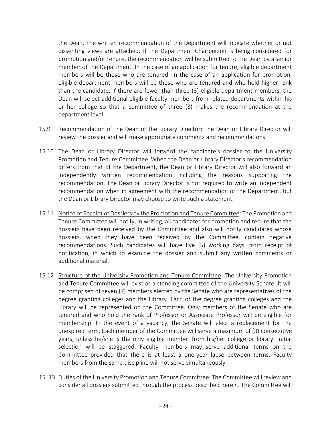the Dean. The written recommendation of the Department will indicate whether or not dissenting views are attached. If the Department Chairperson is being considered for promotion and/or tenure, the recommendation will be submitted to the Dean by a senior member of the Department. In the case of an application for tenure, eligible department members will be those who are tenured. In the case of an application for promotion, eligible department members will be those who are tenured and who hold higher rank than the candidate. If there are fewer than three (3) eligible department members, the Dean will select additional eligible faculty members from related departments within his or her college so that a committee of three (3) makes the recommendation at the department level.

- 15.9 Recommendation of the Dean or the Library Director: The Dean or Library Director will review the dossier and will make appropriate comments and recommendations.
- 15.10 The Dean or Library Director will forward the candidate's dossier to the University Promotion and Tenure Committee. When the Dean or Library Director's recommendation differs from that of the Department, the Dean or Library Director will also forward an independently written recommendation including the reasons supporting the recommendation. The Dean or Library Director is not required to write an independent recommendation when in agreement with the recommendation of the Department, but the Dean or Library Director may choose to write such a statement.
- 15.11 Notice of Receipt of Dossiers by the Promotion and Tenure Committee: The Promotion and Tenure Committee will notify, in writing, all candidates for promotion and tenure that the dossiers have been received by the Committee and also will notify candidates whose dossiers, when they have been received by the Committee, contain negative recommendations. Such candidates will have five (5) working days, from receipt of notification, in which to examine the dossier and submit any written comments or additional material.
- 15.12 Structure of the University Promotion and Tenure Committee: The University Promotion and Tenure Committee will exist as a standing committee of the University Senate. It will be comprised of seven (7) members elected by the Senate who are representatives of the degree granting colleges and the Library. Each of the degree granting colleges and the Library will be represented on the Committee. Only members of the Senate who are tenured and who hold the rank of Professor or Associate Professor will be eligible for membership. In the event of a vacancy, the Senate will elect a replacement for the unexpired term. Each member of the Committee will serve a maximum of (3) consecutive years, unless he/she is the only eligible member from his/her college or library. Initial selection will be staggered. Faculty members may serve additional terms on the Committee provided that there is at least a one-year lapse between terms. Faculty members from the same discipline will not serve simultaneously.
- 15. 13 Duties of the University Promotion and Tenure Committee: The Committee will review and consider all dossiers submitted through the process described herein. The Committee will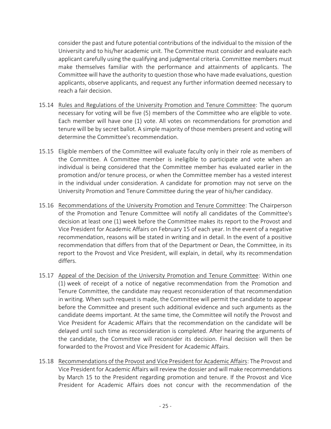consider the past and future potential contributions of the individual to the mission of the University and to his/her academic unit. The Committee must consider and evaluate each applicant carefully using the qualifying and judgmental criteria. Committee members must make themselves familiar with the performance and attainments of applicants. The Committee will have the authority to question those who have made evaluations, question applicants, observe applicants, and request any further information deemed necessary to reach a fair decision.

- 15.14 Rules and Regulations of the University Promotion and Tenure Committee: The quorum necessary for voting will be five (5) members of the Committee who are eligible to vote. Each member will have one (1) vote. All votes on recommendations for promotion and tenure will be by secret ballot. A simple majority of those members present and voting will determine the Committee's recommendation.
- 15.15 Eligible members of the Committee will evaluate faculty only in their role as members of the Committee. A Committee member is ineligible to participate and vote when an individual is being considered that the Committee member has evaluated earlier in the promotion and/or tenure process, or when the Committee member has a vested interest in the individual under consideration. A candidate for promotion may not serve on the University Promotion and Tenure Committee during the year of his/her candidacy.
- 15.16 Recommendations of the University Promotion and Tenure Committee: The Chairperson of the Promotion and Tenure Committee will notify all candidates of the Committee's decision at least one (1) week before the Committee makes its report to the Provost and Vice President for Academic Affairs on February 15 of each year. In the event of a negative recommendation, reasons will be stated in writing and in detail. In the event of a positive recommendation that differs from that of the Department or Dean, the Committee, in its report to the Provost and Vice President, will explain, in detail, why its recommendation differs.
- 15.17 Appeal of the Decision of the University Promotion and Tenure Committee: Within one (1) week of receipt of a notice of negative recommendation from the Promotion and Tenure Committee, the candidate may request reconsideration of that recommendation in writing. When such request is made, the Committee will permit the candidate to appear before the Committee and present such additional evidence and such arguments as the candidate deems important. At the same time, the Committee will notify the Provost and Vice President for Academic Affairs that the recommendation on the candidate will be delayed until such time as reconsideration is completed. After hearing the arguments of the candidate, the Committee will reconsider its decision. Final decision will then be forwarded to the Provost and Vice President for Academic Affairs.
- 15.18 Recommendations of the Provost and Vice President for Academic Affairs: The Provost and Vice President for Academic Affairs will review the dossier and will make recommendations by March 15 to the President regarding promotion and tenure. If the Provost and Vice President for Academic Affairs does not concur with the recommendation of the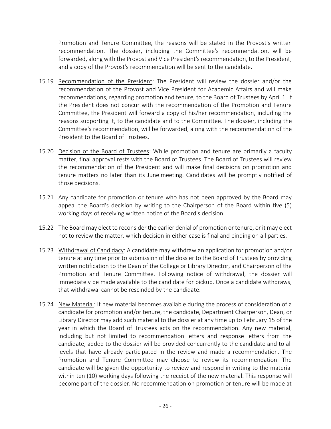Promotion and Tenure Committee, the reasons will be stated in the Provost's written recommendation. The dossier, including the Committee's recommendation, will be forwarded, along with the Provost and Vice President's recommendation, to the President, and a copy of the Provost's recommendation will be sent to the candidate.

- 15.19 Recommendation of the President: The President will review the dossier and/or the recommendation of the Provost and Vice President for Academic Affairs and will make recommendations, regarding promotion and tenure, to the Board of Trustees by April 1. If the President does not concur with the recommendation of the Promotion and Tenure Committee, the President will forward a copy of his/her recommendation, including the reasons supporting it, to the candidate and to the Committee. The dossier, including the Committee's recommendation, will be forwarded, along with the recommendation of the President to the Board of Trustees.
- 15.20 Decision of the Board of Trustees: While promotion and tenure are primarily a faculty matter, final approval rests with the Board of Trustees. The Board of Trustees will review the recommendation of the President and will make final decisions on promotion and tenure matters no later than its June meeting. Candidates will be promptly notified of those decisions.
- 15.21 Any candidate for promotion or tenure who has not been approved by the Board may appeal the Board's decision by writing to the Chairperson of the Board within five (5) working days of receiving written notice of the Board's decision.
- 15.22 The Board may elect to reconsider the earlier denial of promotion or tenure, or it may elect not to review the matter, which decision in either case is final and binding on all parties.
- 15.23 Withdrawal of Candidacy: A candidate may withdraw an application for promotion and/or tenure at any time prior to submission of the dossier to the Board of Trustees by providing written notification to the Dean of the College or Library Director, and Chairperson of the Promotion and Tenure Committee. Following notice of withdrawal, the dossier will immediately be made available to the candidate for pickup. Once a candidate withdraws, that withdrawal cannot be rescinded by the candidate.
- 15.24 New Material: If new material becomes available during the process of consideration of a candidate for promotion and/or tenure, the candidate, Department Chairperson, Dean, or Library Director may add such material to the dossier at any time up to February 15 of the year in which the Board of Trustees acts on the recommendation. Any new material, including but not limited to recommendation letters and response letters from the candidate, added to the dossier will be provided concurrently to the candidate and to all levels that have already participated in the review and made a recommendation. The Promotion and Tenure Committee may choose to review its recommendation. The candidate will be given the opportunity to review and respond in writing to the material within ten (10) working days following the receipt of the new material. This response will become part of the dossier. No recommendation on promotion or tenure will be made at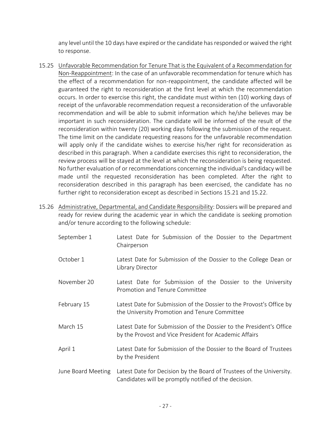any level until the 10 days have expired or the candidate has responded or waived the right to response.

- 15.25 Unfavorable Recommendation for Tenure That is the Equivalent of a Recommendation for Non-Reappointment: In the case of an unfavorable recommendation for tenure which has the effect of a recommendation for non-reappointment, the candidate affected will be guaranteed the right to reconsideration at the first level at which the recommendation occurs. In order to exercise this right, the candidate must within ten (10) working days of receipt of the unfavorable recommendation request a reconsideration of the unfavorable recommendation and will be able to submit information which he/she believes may be important in such reconsideration. The candidate will be informed of the result of the reconsideration within twenty (20) working days following the submission of the request. The time limit on the candidate requesting reasons for the unfavorable recommendation will apply only if the candidate wishes to exercise his/her right for reconsideration as described in this paragraph. When a candidate exercises this right to reconsideration, the review process will be stayed at the level at which the reconsideration is being requested. No further evaluation of or recommendations concerning the individual's candidacy will be made until the requested reconsideration has been completed. After the right to reconsideration described in this paragraph has been exercised, the candidate has no further right to reconsideration except as described in Sections 15.21 and 15.22.
- 15.26 Administrative, Departmental, and Candidate Responsibility: Dossiers will be prepared and ready for review during the academic year in which the candidate is seeking promotion and/or tenure according to the following schedule:
	- September 1 Latest Date for Submission of the Dossier to the Department Chairperson October 1 Latest Date for Submission of the Dossier to the College Dean or Library Director November 20 Latest Date for Submission of the Dossier to the University Promotion and Tenure Committee February 15 Latest Date for Submission of the Dossier to the Provost's Office by the University Promotion and Tenure Committee March 15 Latest Date for Submission of the Dossier to the President's Office by the Provost and Vice President for Academic Affairs April 1 Latest Date for Submission of the Dossier to the Board of Trustees by the President June Board Meeting Latest Date for Decision by the Board of Trustees of the University. Candidates will be promptly notified of the decision.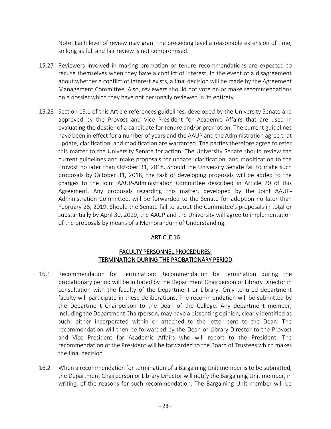Note: Each level of review may grant the preceding level a reasonable extension of time, so long as full and fair review is not compromised.

- 15.27 Reviewers involved in making promotion or tenure recommendations are expected to recuse themselves when they have a conflict of interest. In the event of a disagreement about whether a conflict of interest exists, a final decision will be made by the Agreement Management Committee. Also, reviewers should not vote on or make recommendations on a dossier which they have not personally reviewed in its entirety.
- 15.28 Section 15.1 of this Article references guidelines, developed by the University Senate and approved by the Provost and Vice President for Academic Affairs that are used in evaluating the dossier of a candidate for tenure and/or promotion. The current guidelines have been in effect for a number of years and the AAUP and the Administration agree that update, clarification, and modification are warranted. The parties therefore agree to refer this matter to the University Senate for action. The University Senate should review the current guidelines and make proposals for update, clarification, and modification to the Provost no later than October 31, 2018. Should the University Senate fail to make such proposals by October 31, 2018, the task of developing proposals will be added to the charges to the Joint AAUP-Administration Committee described in Article 20 of this Agreement. Any proposals regarding this matter, developed by the Joint AAUP-Administration Committee, will be forwarded to the Senate for adoption no later than February 28, 2019. Should the Senate fail to adopt the Committee's proposals in total or substantially by April 30, 2019, the AAUP and the University will agree to implementation of the proposals by means of a Memorandum of Understanding.

# ARTICLE 16

#### FACULTY PERSONNEL PROCEDURES: TERMINATION DURING THE PROBATIONARY PERIOD

- 16.1 Recommendation for Termination: Recommendation for termination during the probationary period will be initiated by the Department Chairperson or Library Director in consultation with the faculty of the Department or Library. Only tenured department faculty will participate in these deliberations. The recommendation will be submitted by the Department Chairperson to the Dean of the College. Any department member, including the Department Chairperson, may have a dissenting opinion, clearly identified as such, either incorporated within or attached to the letter sent to the Dean. The recommendation will then be forwarded by the Dean or Library Director to the Provost and Vice President for Academic Affairs who will report to the President. The recommendation of the President will be forwarded to the Board of Trustees which makes the final decision.
- 16.2 When a recommendation for termination of a Bargaining Unit member is to be submitted, the Department Chairperson or Library Director will notify the Bargaining Unit member, in writing, of the reasons for such recommendation. The Bargaining Unit member will be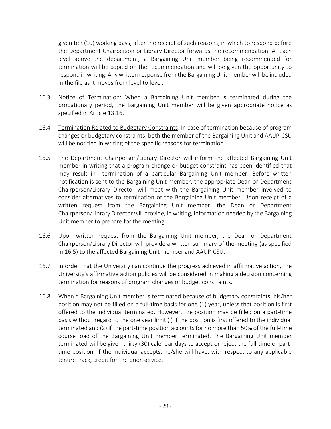given ten (10) working days, after the receipt of such reasons, in which to respond before the Department Chairperson or Library Director forwards the recommendation. At each level above the department, a Bargaining Unit member being recommended for termination will be copied on the recommendation and will be given the opportunity to respond in writing. Any written response from the Bargaining Unit member will be included in the file as it moves from level to level.

- 16.3 Notice of Termination: When a Bargaining Unit member is terminated during the probationary period, the Bargaining Unit member will be given appropriate notice as specified in Article 13.16.
- 16.4 Termination Related to Budgetary Constraints: In case of termination because of program changes or budgetary constraints, both the member of the Bargaining Unit and AAUP-CSU will be notified in writing of the specific reasons for termination.
- 16.5 The Department Chairperson/Library Director will inform the affected Bargaining Unit member in writing that a program change or budget constraint has been identified that may result in termination of a particular Bargaining Unit member. Before written notification is sent to the Bargaining Unit member, the appropriate Dean or Department Chairperson/Library Director will meet with the Bargaining Unit member involved to consider alternatives to termination of the Bargaining Unit member. Upon receipt of a written request from the Bargaining Unit member, the Dean or Department Chairperson/Library Director will provide, in writing, information needed by the Bargaining Unit member to prepare for the meeting.
- 16.6 Upon written request from the Bargaining Unit member, the Dean or Department Chairperson/Library Director will provide a written summary of the meeting (as specified in 16.5) to the affected Bargaining Unit member and AAUP-CSU.
- 16.7 In order that the University can continue the progress achieved in affirmative action, the University's affirmative action policies will be considered in making a decision concerning termination for reasons of program changes or budget constraints.
- 16.8 When a Bargaining Unit member is terminated because of budgetary constraints, his/her position may not be filled on a full-time basis for one (1) year, unless that position is first offered to the individual terminated. However, the position may be filled on a part-time basis without regard to the one year limit (l) if the position is first offered to the individual terminated and (2) if the part-time position accounts for no more than 50% of the full-time course load of the Bargaining Unit member terminated. The Bargaining Unit member terminated will be given thirty (30) calendar days to accept or reject the full-time or parttime position. If the individual accepts, he/she will have, with respect to any applicable tenure track, credit for the prior service.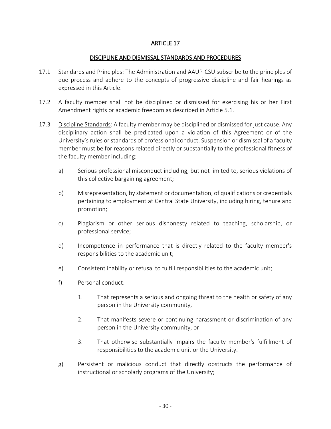#### **ARTICLE 17**

#### DISCIPLINE AND DISMISSAL STANDARDS AND PROCEDURES

- 17.1 Standards and Principles: The Administration and AAUP-CSU subscribe to the principles of due process and adhere to the concepts of progressive discipline and fair hearings as expressed in this Article.
- 17.2 A faculty member shall not be disciplined or dismissed for exercising his or her First Amendment rights or academic freedom as described in Article 5.1.
- 17.3 Discipline Standards: A faculty member may be disciplined or dismissed for just cause. Any disciplinary action shall be predicated upon a violation of this Agreement or of the University's rules or standards of professional conduct. Suspension or dismissal of a faculty member must be for reasons related directly or substantially to the professional fitness of the faculty member including:
	- a) Serious professional misconduct including, but not limited to, serious violations of this collective bargaining agreement;
	- b) Misrepresentation, by statement or documentation, of qualifications or credentials pertaining to employment at Central State University, including hiring, tenure and promotion;
	- c) Plagiarism or other serious dishonesty related to teaching, scholarship, or professional service;
	- d) Incompetence in performance that is directly related to the faculty member's responsibilities to the academic unit;
	- e) Consistent inability or refusal to fulfill responsibilities to the academic unit;
	- f) Personal conduct:
		- 1. That represents a serious and ongoing threat to the health or safety of any person in the University community,
		- 2. That manifests severe or continuing harassment or discrimination of any person in the University community, or
		- 3. That otherwise substantially impairs the faculty member's fulfillment of responsibilities to the academic unit or the University.
	- g) Persistent or malicious conduct that directly obstructs the performance of instructional or scholarly programs of the University;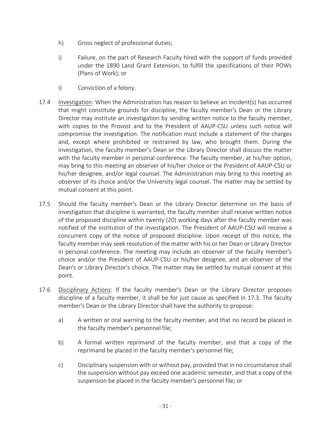- h) Gross neglect of professional duties;
- i) Failure, on the part of Research Faculty hired with the support of funds provided under the 1890 Land Grant Extension, to fulfill the specifications of their POWs (Plans of Work); or
- i) Conviction of a felony.
- 17.4 Investigation: When the Administration has reason to believe an incident(s) has occurred that might constitute grounds for discipline, the faculty member's Dean or the Library Director may institute an investigation by sending written notice to the faculty member, with copies to the Provost and to the President of AAUP-CSU unless such notice will compromise the investigation. The notification must include a statement of the charges and, except where prohibited or restrained by law, who brought them. During the investigation, the faculty member's Dean or the Library Director shall discuss the matter with the faculty member in personal conference. The faculty member, at his/her option, may bring to this meeting an observer of his/her choice or the President of AAUP-CSU or his/her designee, and/or legal counsel. The Administration may bring to this meeting an observer of its choice and/or the University legal counsel. The matter may be settled by mutual consent at this point.
- 17.5 Should the faculty member's Dean or the Library Director determine on the basis of investigation that discipline is warranted, the faculty member shall receive written notice of the proposed discipline within twenty (20) working days after the faculty member was notified of the institution of the investigation. The President of AAUP-CSU will receive a concurrent copy of the notice of proposed discipline. Upon receipt of this notice, the faculty member may seek resolution of the matter with his or her Dean or Library Director in personal conference. The meeting may include an observer of the faculty member's choice and/or the President of AAUP-CSU or his/her designee, and an observer of the Dean's or Library Director's choice. The matter may be settled by mutual consent at this point.
- 17.6 Disciplinary Actions: If the faculty member's Dean or the Library Director proposes discipline of a faculty member, it shall be for just cause as specified in 17.3. The faculty member's Dean or the Library Director shall have the authority to propose:
	- a) A written or oral warning to the faculty member, and that no record be placed in the faculty member's personnel file;
	- b) A formal written reprimand of the faculty member, and that a copy of the reprimand be placed in the faculty member's personnel file;
	- c) Disciplinary suspension with or without pay, provided that in no circumstance shall the suspension without pay exceed one academic semester, and that a copy of the suspension be placed in the faculty member's personnel file; or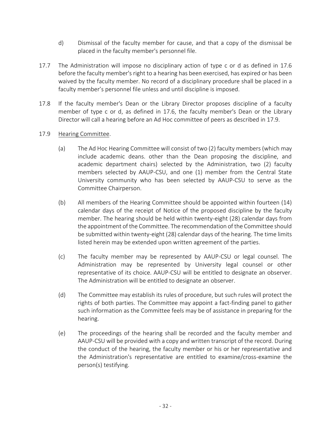- d) Dismissal of the faculty member for cause, and that a copy of the dismissal be placed in the faculty member's personnel file.
- 17.7 The Administration will impose no disciplinary action of type c or d as defined in 17.6 before the faculty member's right to a hearing has been exercised, has expired or has been waived by the faculty member. No record of a disciplinary procedure shall be placed in a faculty member's personnel file unless and until discipline is imposed.
- 17.8 If the faculty member's Dean or the Library Director proposes discipline of a faculty member of type c or d, as defined in 17.6, the faculty member's Dean or the Library Director will call a hearing before an Ad Hoc committee of peers as described in 17.9.

#### 17.9 Hearing Committee.

- (a) The Ad Hoc Hearing Committee will consist of two (2) faculty members (which may include academic deans. other than the Dean proposing the discipline, and academic department chairs) selected by the Administration, two (2) faculty members selected by AAUP-CSU, and one (1) member from the Central State University community who has been selected by AAUP-CSU to serve as the Committee Chairperson.
- (b) All members of the Hearing Committee should be appointed within fourteen (14) calendar days of the receipt of Notice of the proposed discipline by the faculty member. The hearing should be held within twenty-eight (28) calendar days from the appointment of the Committee. The recommendation of the Committee should be submitted within twenty-eight (28) calendar days of the hearing. The time limits listed herein may be extended upon written agreement of the parties.
- (c) The faculty member may be represented by AAUP-CSU or legal counsel. The Administration may be represented by University legal counsel or other representative of its choice. AAUP-CSU will be entitled to designate an observer. The Administration will be entitled to designate an observer.
- (d) The Committee may establish its rules of procedure, but such rules will protect the rights of both parties. The Committee may appoint a fact-finding panel to gather such information as the Committee feels may be of assistance in preparing for the hearing.
- (e) The proceedings of the hearing shall be recorded and the faculty member and AAUP-CSU will be provided with a copy and written transcript of the record. During the conduct of the hearing, the faculty member or his or her representative and the Administration's representative are entitled to examine/cross-examine the person(s) testifying.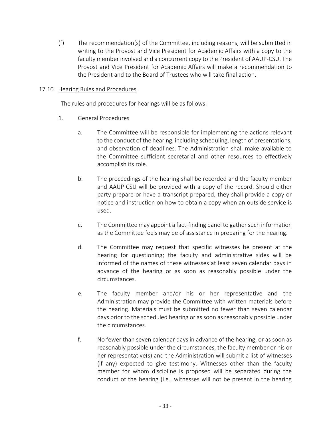(f) The recommendation(s) of the Committee, including reasons, will be submitted in writing to the Provost and Vice President for Academic Affairs with a copy to the faculty member involved and a concurrent copy to the President of AAUP-CSU. The Provost and Vice President for Academic Affairs will make a recommendation to the President and to the Board of Trustees who will take final action.

### 17.10 Hearing Rules and Procedures.

The rules and procedures for hearings will be as follows:

- 1. General Procedures
	- a. The Committee will be responsible for implementing the actions relevant to the conduct of the hearing, including scheduling, length of presentations, and observation of deadlines. The Administration shall make available to the Committee sufficient secretarial and other resources to effectively accomplish its role.
	- b. The proceedings of the hearing shall be recorded and the faculty member and AAUP-CSU will be provided with a copy of the record. Should either party prepare or have a transcript prepared, they shall provide a copy or notice and instruction on how to obtain a copy when an outside service is used.
	- c. The Committee may appoint a fact-finding panel to gather such information as the Committee feels may be of assistance in preparing for the hearing.
	- d. The Committee may request that specific witnesses be present at the hearing for questioning; the faculty and administrative sides will be informed of the names of these witnesses at least seven calendar days in advance of the hearing or as soon as reasonably possible under the circumstances.
	- e. The faculty member and/or his or her representative and the Administration may provide the Committee with written materials before the hearing. Materials must be submitted no fewer than seven calendar days prior to the scheduled hearing or as soon as reasonably possible under the circumstances.
	- f. No fewer than seven calendar days in advance of the hearing, or as soon as reasonably possible under the circumstances, the faculty member or his or her representative(s) and the Administration will submit a list of witnesses (if any) expected to give testimony. Witnesses other than the faculty member for whom discipline is proposed will be separated during the conduct of the hearing (i.e., witnesses will not be present in the hearing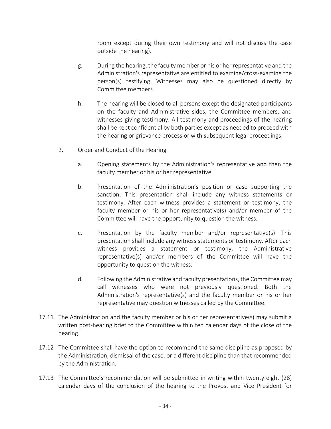room except during their own testimony and will not discuss the case outside the hearing).

- g. During the hearing, the faculty member or his or her representative and the Administration's representative are entitled to examine/cross-examine the person(s) testifying. Witnesses may also be questioned directly by Committee members.
- h. The hearing will be closed to all persons except the designated participants on the faculty and Administrative sides, the Committee members, and witnesses giving testimony. All testimony and proceedings of the hearing shall be kept confidential by both parties except as needed to proceed with the hearing or grievance process or with subsequent legal proceedings.
- 2. Order and Conduct of the Hearing
	- a. Opening statements by the Administration's representative and then the faculty member or his or her representative.
	- b. Presentation of the Administration's position or case supporting the sanction: This presentation shall include any witness statements or testimony. After each witness provides a statement or testimony, the faculty member or his or her representative(s) and/or member of the Committee will have the opportunity to question the witness.
	- c. Presentation by the faculty member and/or representative(s): This presentation shall include any witness statements or testimony. After each witness provides a statement or testimony, the Administrative representative(s) and/or members of the Committee will have the opportunity to question the witness.
	- d. Following the Administrative and faculty presentations, the Committee may call witnesses who were not previously questioned. Both the Administration's representative(s) and the faculty member or his or her representative may question witnesses called by the Committee.
- 17.11 The Administration and the faculty member or his or her representative(s) may submit a written post-hearing brief to the Committee within ten calendar days of the close of the hearing.
- 17.12 The Committee shall have the option to recommend the same discipline as proposed by the Administration, dismissal of the case, or a different discipline than that recommended by the Administration.
- 17.13 The Committee's recommendation will be submitted in writing within twenty-eight (28) calendar days of the conclusion of the hearing to the Provost and Vice President for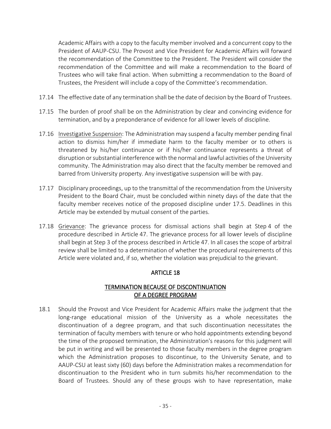Academic Affairs with a copy to the faculty member involved and a concurrent copy to the President of AAUP-CSU. The Provost and Vice President for Academic Affairs will forward the recommendation of the Committee to the President. The President will consider the recommendation of the Committee and will make a recommendation to the Board of Trustees who will take final action. When submitting a recommendation to the Board of Trustees, the President will include a copy of the Committee's recommendation.

- 17.14 The effective date of any termination shall be the date of decision by the Board of Trustees.
- 17.15 The burden of proof shall be on the Administration by clear and convincing evidence for termination, and by a preponderance of evidence for all lower levels of discipline.
- 17.16 Investigative Suspension: The Administration may suspend a faculty member pending final action to dismiss him/her if immediate harm to the faculty member or to others is threatened by his/her continuance or if his/her continuance represents a threat of disruption or substantial interference with the normal and lawful activities of the University community. The Administration may also direct that the faculty member be removed and barred from University property. Any investigative suspension will be with pay.
- 17.17 Disciplinary proceedings, up to the transmittal of the recommendation from the University President to the Board Chair, must be concluded within ninety days of the date that the faculty member receives notice of the proposed discipline under 17.5. Deadlines in this Article may be extended by mutual consent of the parties.
- 17.18 Grievance: The grievance process for dismissal actions shall begin at Step 4 of the procedure described in Article 47. The grievance process for all lower levels of discipline shall begin at Step 3 of the process described in Article 47. In all cases the scope of arbitral review shall be limited to a determination of whether the procedural requirements of this Article were violated and, if so, whether the violation was prejudicial to the grievant.

# ARTICLE 18

# TERMINATION BECAUSE OF DISCONTINUATION OF A DEGREE PROGRAM

18.1 Should the Provost and Vice President for Academic Affairs make the judgment that the long-range educational mission of the University as a whole necessitates the discontinuation of a degree program, and that such discontinuation necessitates the termination of faculty members with tenure or who hold appointments extending beyond the time of the proposed termination, the Administration's reasons for this judgment will be put in writing and will be presented to those faculty members in the degree program which the Administration proposes to discontinue, to the University Senate, and to AAUP-CSU at least sixty (60) days before the Administration makes a recommendation for discontinuation to the President who in turn submits his/her recommendation to the Board of Trustees. Should any of these groups wish to have representation, make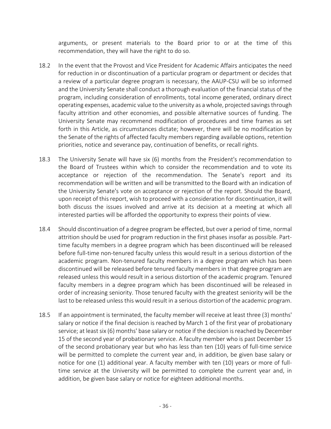arguments, or present materials to the Board prior to or at the time of this recommendation, they will have the right to do so.

- 18.2 In the event that the Provost and Vice President for Academic Affairs anticipates the need for reduction in or discontinuation of a particular program or department or decides that a review of a particular degree program is necessary, the AAUP-CSU will be so informed and the University Senate shall conduct a thorough evaluation of the financial status of the program, including consideration of enrollments, total income generated, ordinary direct operating expenses, academic value to the university as a whole, projected savings through faculty attrition and other economies, and possible alternative sources of funding. The University Senate may recommend modification of procedures and time frames as set forth in this Article, as circumstances dictate; however, there will be no modification by the Senate of the rights of affected faculty members regarding available options, retention priorities, notice and severance pay, continuation of benefits, or recall rights.
- 18.3 The University Senate will have six (6) months from the President's recommendation to the Board of Trustees within which to consider the recommendation and to vote its acceptance or rejection of the recommendation. The Senate's report and its recommendation will be written and will be transmitted to the Board with an indication of the University Senate's vote on acceptance or rejection of the report. Should the Board, upon receipt of this report, wish to proceed with a consideration for discontinuation, it will both discuss the issues involved and arrive at its decision at a meeting at which all interested parties will be afforded the opportunity to express their points of view.
- 18.4 Should discontinuation of a degree program be effected, but over a period of time, normal attrition should be used for program reduction in the first phases insofar as possible. Parttime faculty members in a degree program which has been discontinued will be released before full-time non-tenured faculty unless this would result in a serious distortion of the academic program. Non-tenured faculty members in a degree program which has been discontinued will be released before tenured faculty members in that degree program are released unless this would result in a serious distortion of the academic program. Tenured faculty members in a degree program which has been discontinued will be released in order of increasing seniority. Those tenured faculty with the greatest seniority will be the last to be released unless this would result in a serious distortion of the academic program.
- 18.5 If an appointment is terminated, the faculty member will receive at least three (3) months' salary or notice if the final decision is reached by March 1 of the first year of probationary service; at least six (6) months' base salary or notice if the decision is reached by December 15 of the second year of probationary service. A faculty member who is past December 15 of the second probationary year but who has less than ten (10) years of full-time service will be permitted to complete the current year and, in addition, be given base salary or notice for one (1) additional year. A faculty member with ten (10) years or more of fulltime service at the University will be permitted to complete the current year and, in addition, be given base salary or notice for eighteen additional months.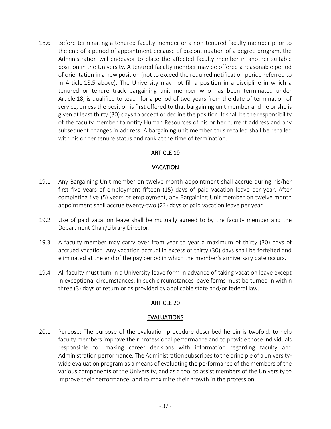18.6 Before terminating a tenured faculty member or a non-tenured faculty member prior to the end of a period of appointment because of discontinuation of a degree program, the Administration will endeavor to place the affected faculty member in another suitable position in the University. A tenured faculty member may be offered a reasonable period of orientation in a new position (not to exceed the required notification period referred to in Article 18.5 above). The University may not fill a position in a discipline in which a tenured or tenure track bargaining unit member who has been terminated under Article 18, is qualified to teach for a period of two years from the date of termination of service, unless the position is first offered to that bargaining unit member and he or she is given at least thirty (30) days to accept or decline the position. It shall be the responsibility of the faculty member to notify Human Resources of his or her current address and any subsequent changes in address. A bargaining unit member thus recalled shall be recalled with his or her tenure status and rank at the time of termination.

# ARTICLE 19

## VACATION

- 19.1 Any Bargaining Unit member on twelve month appointment shall accrue during his/her first five years of employment fifteen (15) days of paid vacation leave per year. After completing five (5) years of employment, any Bargaining Unit member on twelve month appointment shall accrue twenty-two (22) days of paid vacation leave per year.
- 19.2 Use of paid vacation leave shall be mutually agreed to by the faculty member and the Department Chair/Library Director.
- 19.3 A faculty member may carry over from year to year a maximum of thirty (30) days of accrued vacation. Any vacation accrual in excess of thirty (30) days shall be forfeited and eliminated at the end of the pay period in which the member's anniversary date occurs.
- 19.4 All faculty must turn in a University leave form in advance of taking vacation leave except in exceptional circumstances. In such circumstances leave forms must be turned in within three (3) days of return or as provided by applicable state and/or federal law.

## ARTICLE 20

## EVALUATIONS

20.1 Purpose: The purpose of the evaluation procedure described herein is twofold: to help faculty members improve their professional performance and to provide those individuals responsible for making career decisions with information regarding faculty and Administration performance. The Administration subscribes to the principle of a universitywide evaluation program as a means of evaluating the performance of the members of the various components of the University, and as a tool to assist members of the University to improve their performance, and to maximize their growth in the profession.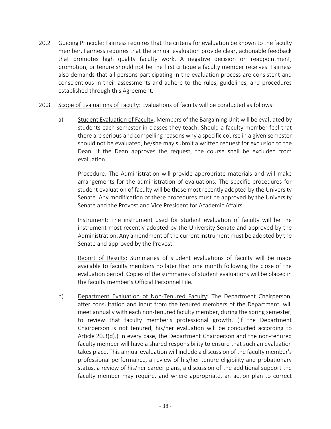- 20.2 Guiding Principle: Fairness requires that the criteria for evaluation be known to the faculty member. Fairness requires that the annual evaluation provide clear, actionable feedback that promotes high quality faculty work. A negative decision on reappointment, promotion, or tenure should not be the first critique a faculty member receives. Fairness also demands that all persons participating in the evaluation process are consistent and conscientious in their assessments and adhere to the rules, guidelines, and procedures established through this Agreement.
- 20.3 Scope of Evaluations of Faculty: Evaluations of faculty will be conducted as follows:
	- a) Student Evaluation of Faculty: Members of the Bargaining Unit will be evaluated by students each semester in classes they teach. Should a faculty member feel that there are serious and compelling reasons why a specific course in a given semester should not be evaluated, he/she may submit a written request for exclusion to the Dean. If the Dean approves the request, the course shall be excluded from evaluation.

Procedure: The Administration will provide appropriate materials and will make arrangements for the administration of evaluations. The specific procedures for student evaluation of faculty will be those most recently adopted by the University Senate. Any modification of these procedures must be approved by the University Senate and the Provost and Vice President for Academic Affairs.

Instrument: The instrument used for student evaluation of faculty will be the instrument most recently adopted by the University Senate and approved by the Administration. Any amendment of the current instrument must be adopted by the Senate and approved by the Provost.

Report of Results: Summaries of student evaluations of faculty will be made available to faculty members no later than one month following the close of the evaluation period. Copies of the summaries of student evaluations will be placed in the faculty member's Official Personnel File.

b) Department Evaluation of Non-Tenured Faculty: The Department Chairperson, after consultation and input from the tenured members of the Department, will meet annually with each non-tenured faculty member, during the spring semester, to review that faculty member's professional growth. (If the Department Chairperson is not tenured, his/her evaluation will be conducted according to Article 20.3(d).) In every case, the Department Chairperson and the non-tenured faculty member will have a shared responsibility to ensure that such an evaluation takes place. This annual evaluation will include a discussion of the faculty member's professional performance, a review of his/her tenure eligibility and probationary status, a review of his/her career plans, a discussion of the additional support the faculty member may require, and where appropriate, an action plan to correct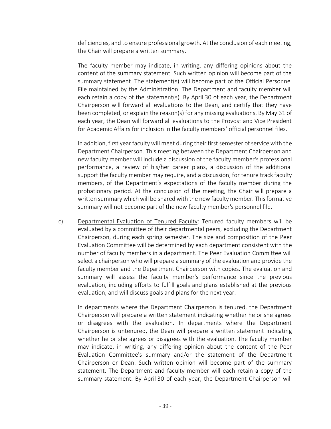deficiencies, and to ensure professional growth. At the conclusion of each meeting, the Chair will prepare a written summary.

The faculty member may indicate, in writing, any differing opinions about the content of the summary statement. Such written opinion will become part of the summary statement. The statement(s) will become part of the Official Personnel File maintained by the Administration. The Department and faculty member will each retain a copy of the statement(s). By April 30 of each year, the Department Chairperson will forward all evaluations to the Dean, and certify that they have been completed, or explain the reason(s) for any missing evaluations. By May 31 of each year, the Dean will forward all evaluations to the Provost and Vice President for Academic Affairs for inclusion in the faculty members' official personnel files.

In addition, first year faculty will meet during their first semester of service with the Department Chairperson. This meeting between the Department Chairperson and new faculty member will include a discussion of the faculty member's professional performance, a review of his/her career plans, a discussion of the additional support the faculty member may require, and a discussion, for tenure track faculty members, of the Department's expectations of the faculty member during the probationary period. At the conclusion of the meeting, the Chair will prepare a written summary which will be shared with the new faculty member. This formative summary will not become part of the new faculty member's personnel file.

c) Departmental Evaluation of Tenured Faculty: Tenured faculty members will be evaluated by a committee of their departmental peers, excluding the Department Chairperson, during each spring semester. The size and composition of the Peer Evaluation Committee will be determined by each department consistent with the number of faculty members in a department. The Peer Evaluation Committee will select a chairperson who will prepare a summary of the evaluation and provide the faculty member and the Department Chairperson with copies. The evaluation and summary will assess the faculty member's performance since the previous evaluation, including efforts to fulfill goals and plans established at the previous evaluation, and will discuss goals and plans for the next year.

In departments where the Department Chairperson is tenured, the Department Chairperson will prepare a written statement indicating whether he or she agrees or disagrees with the evaluation. In departments where the Department Chairperson is untenured, the Dean will prepare a written statement indicating whether he or she agrees or disagrees with the evaluation. The faculty member may indicate, in writing, any differing opinion about the content of the Peer Evaluation Committee's summary and/or the statement of the Department Chairperson or Dean. Such written opinion will become part of the summary statement. The Department and faculty member will each retain a copy of the summary statement. By April 30 of each year, the Department Chairperson will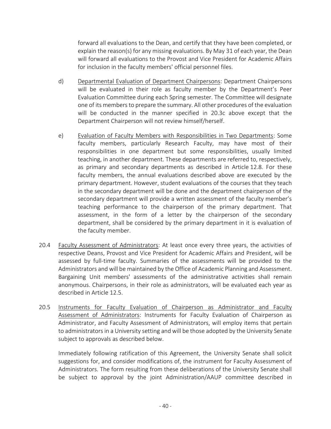forward all evaluations to the Dean, and certify that they have been completed, or explain the reason(s) for any missing evaluations. By May 31 of each year, the Dean will forward all evaluations to the Provost and Vice President for Academic Affairs for inclusion in the faculty members' official personnel files.

- d) Departmental Evaluation of Department Chairpersons: Department Chairpersons will be evaluated in their role as faculty member by the Department's Peer Evaluation Committee during each Spring semester. The Committee will designate one of its members to prepare the summary. All other procedures of the evaluation will be conducted in the manner specified in 20.3c above except that the Department Chairperson will not review himself/herself.
- e) Evaluation of Faculty Members with Responsibilities in Two Departments: Some faculty members, particularly Research Faculty, may have most of their responsibilities in one department but some responsibilities, usually limited teaching, in another department. These departments are referred to, respectively, as primary and secondary departments as described in Article 12.8. For these faculty members, the annual evaluations described above are executed by the primary department. However, student evaluations of the courses that they teach in the secondary department will be done and the department chairperson of the secondary department will provide a written assessment of the faculty member's teaching performance to the chairperson of the primary department. That assessment, in the form of a letter by the chairperson of the secondary department, shall be considered by the primary department in it is evaluation of the faculty member.
- 20.4 Faculty Assessment of Administrators: At least once every three years, the activities of respective Deans, Provost and Vice President for Academic Affairs and President, will be assessed by full-time faculty. Summaries of the assessments will be provided to the Administrators and will be maintained by the Office of Academic Planning and Assessment. Bargaining Unit members' assessments of the administrative activities shall remain anonymous. Chairpersons, in their role as administrators, will be evaluated each year as described in Article 12.5.
- 20.5 Instruments for Faculty Evaluation of Chairperson as Administrator and Faculty Assessment of Administrators: Instruments for Faculty Evaluation of Chairperson as Administrator, and Faculty Assessment of Administrators, will employ items that pertain to administrators in a University setting and will be those adopted by the University Senate subject to approvals as described below.

Immediately following ratification of this Agreement, the University Senate shall solicit suggestions for, and consider modifications of, the instrument for Faculty Assessment of Administrators. The form resulting from these deliberations of the University Senate shall be subject to approval by the joint Administration/AAUP committee described in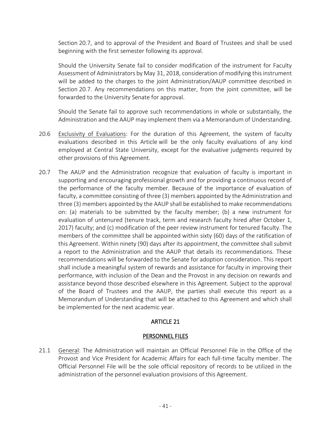Section 20.7, and to approval of the President and Board of Trustees and shall be used beginning with the first semester following its approval.

Should the University Senate fail to consider modification of the instrument for Faculty Assessment of Administrators by May 31, 2018, consideration of modifying this instrument will be added to the charges to the joint Administration/AAUP committee described in Section 20.7. Any recommendations on this matter, from the joint committee, will be forwarded to the University Senate for approval.

Should the Senate fail to approve such recommendations in whole or substantially, the Administration and the AAUP may implement them via a Memorandum of Understanding.

- 20.6 Exclusivity of Evaluations: For the duration of this Agreement, the system of faculty evaluations described in this Article will be the only faculty evaluations of any kind employed at Central State University, except for the evaluative judgments required by other provisions of this Agreement.
- 20.7 The AAUP and the Administration recognize that evaluation of faculty is important in supporting and encouraging professional growth and for providing a continuous record of the performance of the faculty member. Because of the importance of evaluation of faculty, a committee consisting of three (3) members appointed by the Administration and three (3) members appointed by the AAUP shall be established to make recommendations on: (a) materials to be submitted by the faculty member; (b) a new instrument for evaluation of untenured (tenure track, term and research faculty hired after October 1, 2017) faculty; and (c) modification of the peer review instrument for tenured faculty. The members of the committee shall be appointed within sixty (60) days of the ratification of this Agreement. Within ninety (90) days after its appointment, the committee shall submit a report to the Administration and the AAUP that details its recommendations. These recommendations will be forwarded to the Senate for adoption consideration. This report shall include a meaningful system of rewards and assistance for faculty in improving their performance, with inclusion of the Dean and the Provost in any decision on rewards and assistance beyond those described elsewhere in this Agreement. Subject to the approval of the Board of Trustees and the AAUP, the parties shall execute this report as a Memorandum of Understanding that will be attached to this Agreement and which shall be implemented for the next academic year.

# ARTICLE 21

## PERSONNEL FILES

21.1 General: The Administration will maintain an Official Personnel File in the Office of the Provost and Vice President for Academic Affairs for each full-time faculty member. The Official Personnel File will be the sole official repository of records to be utilized in the administration of the personnel evaluation provisions of this Agreement.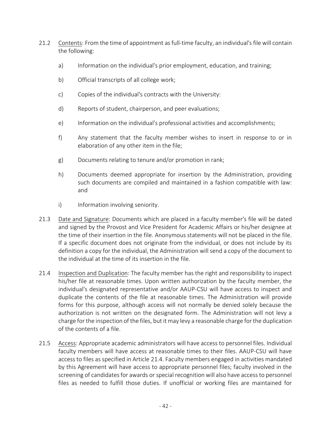- 21.2 Contents: From the time of appointment as full-time faculty, an individual's file will contain the following:
	- a) Information on the individual's prior employment, education, and training;
	- b) Official transcripts of all college work;
	- c) Copies of the individual's contracts with the University:
	- d) Reports of student, chairperson, and peer evaluations;
	- e) Information on the individual's professional activities and accomplishments;
	- f) Any statement that the faculty member wishes to insert in response to or in elaboration of any other item in the file;
	- g) Documents relating to tenure and/or promotion in rank;
	- h) Documents deemed appropriate for insertion by the Administration, providing such documents are compiled and maintained in a fashion compatible with law: and
	- i) Information involving seniority.
- 21.3 Date and Signature: Documents which are placed in a faculty member's file will be dated and signed by the Provost and Vice President for Academic Affairs or his/her designee at the time of their insertion in the file. Anonymous statements will not be placed in the file. If a specific document does not originate from the individual, or does not include by its definition a copy for the individual, the Administration will send a copy of the document to the individual at the time of its insertion in the file.
- 21.4 Inspection and Duplication: The faculty member has the right and responsibility to inspect his/her file at reasonable times. Upon written authorization by the faculty member, the individual's designated representative and/or AAUP-CSU will have access to inspect and duplicate the contents of the file at reasonable times. The Administration will provide forms for this purpose, although access will not normally be denied solely because the authorization is not written on the designated form. The Administration will not levy a charge for the inspection of the files, but it may levy a reasonable charge for the duplication of the contents of a file.
- 21.5 Access: Appropriate academic administrators will have access to personnel files. Individual faculty members will have access at reasonable times to their files. AAUP-CSU will have access to files as specified in Article 21.4. Faculty members engaged in activities mandated by this Agreement will have access to appropriate personnel files; faculty involved in the screening of candidates for awards or special recognition will also have access to personnel files as needed to fulfill those duties. If unofficial or working files are maintained for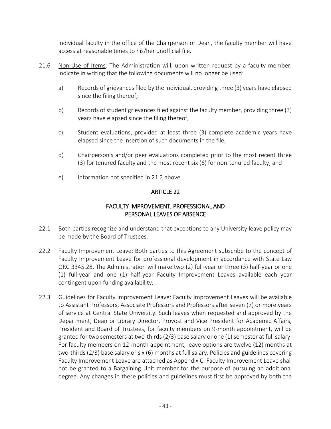individual faculty in the office of the Chairperson or Dean, the faculty member will have access at reasonable times to his/her unofficial file.

- 21.6 Non-Use of Items: The Administration will, upon written request by a faculty member, indicate in writing that the following documents will no longer be used:
	- a) Records of grievances filed by the individual, providing three (3) years have elapsed since the filing thereof;
	- b) Records of student grievances filed against the faculty member, providing three (3) years have elapsed since the filing thereof;
	- c) Student evaluations, provided at least three (3) complete academic years have elapsed since the insertion of such documents in the file;
	- d) Chairperson's and/or peer evaluations completed prior to the most recent three (3) for tenured faculty and the most recent six (6) for non-tenured faculty; and
	- e) Information not specified in 21.2 above.

# ARTICLE 22

## FACULTY IMPROVEMENT, PROFESSIONAL AND PERSONAL LEAVES OF ABSENCE

- 22.1 Both parties recognize and understand that exceptions to any University leave policy may be made by the Board of Trustees.
- 22.2 Faculty Improvement Leave: Both parties to this Agreement subscribe to the concept of Faculty Improvement Leave for professional development in accordance with State Law ORC 3345.28. The Administration will make two (2) full-year or three (3) half-year or one (1) full-year and one (1) half-year Faculty Improvement Leaves available each year contingent upon funding availability.
- 22.3 Guidelines for Faculty Improvement Leave: Faculty Improvement Leaves will be available to Assistant Professors, Associate Professors and Professors after seven (7) or more years of service at Central State University. Such leaves when requested and approved by the Department, Dean or Library Director, Provost and Vice President for Academic Affairs, President and Board of Trustees, for faculty members on 9-month appointment, will be granted for two semesters at two-thirds (2/3) base salary or one (1) semester at full salary. For faculty members on 12-month appointment, leave options are twelve (12) months at two-thirds (2/3) base salary or six (6) months at full salary. Policies and guidelines covering Faculty Improvement Leave are attached as Appendix C. Faculty Improvement Leave shall not be granted to a Bargaining Unit member for the purpose of pursuing an additional degree. Any changes in these policies and guidelines must first be approved by both the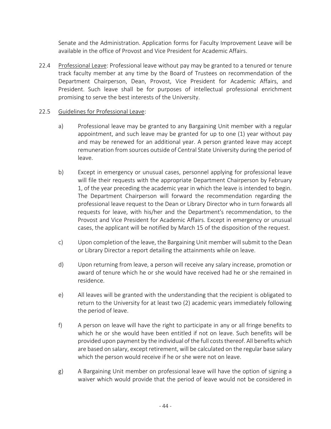Senate and the Administration. Application forms for Faculty Improvement Leave will be available in the office of Provost and Vice President for Academic Affairs.

22.4 Professional Leave: Professional leave without pay may be granted to a tenured or tenure track faculty member at any time by the Board of Trustees on recommendation of the Department Chairperson, Dean, Provost, Vice President for Academic Affairs, and President. Such leave shall be for purposes of intellectual professional enrichment promising to serve the best interests of the University.

## 22.5 Guidelines for Professional Leave:

- a) Professional leave may be granted to any Bargaining Unit member with a regular appointment, and such leave may be granted for up to one (1) year without pay and may be renewed for an additional year. A person granted leave may accept remuneration from sources outside of Central State University during the period of leave.
- b) Except in emergency or unusual cases, personnel applying for professional leave will file their requests with the appropriate Department Chairperson by February 1, of the year preceding the academic year in which the leave is intended to begin. The Department Chairperson will forward the recommendation regarding the professional leave request to the Dean or Library Director who in turn forwards all requests for leave, with his/her and the Department's recommendation, to the Provost and Vice President for Academic Affairs. Except in emergency or unusual cases, the applicant will be notified by March 15 of the disposition of the request.
- c) Upon completion of the leave, the Bargaining Unit member will submit to the Dean or Library Director a report detailing the attainments while on leave.
- d) Upon returning from leave, a person will receive any salary increase, promotion or award of tenure which he or she would have received had he or she remained in residence.
- e) All leaves will be granted with the understanding that the recipient is obligated to return to the University for at least two (2) academic years immediately following the period of leave.
- f) A person on leave will have the right to participate in any or all fringe benefits to which he or she would have been entitled if not on leave. Such benefits will be provided upon payment by the individual of the full costs thereof. All benefits which are based on salary, except retirement, will be calculated on the regular base salary which the person would receive if he or she were not on leave.
- g) A Bargaining Unit member on professional leave will have the option of signing a waiver which would provide that the period of leave would not be considered in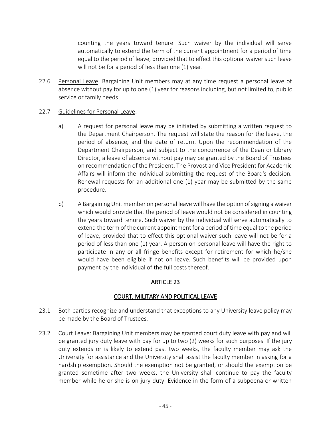counting the years toward tenure. Such waiver by the individual will serve automatically to extend the term of the current appointment for a period of time equal to the period of leave, provided that to effect this optional waiver such leave will not be for a period of less than one (1) year.

22.6 Personal Leave: Bargaining Unit members may at any time request a personal leave of absence without pay for up to one (1) year for reasons including, but not limited to, public service or family needs.

## 22.7 Guidelines for Personal Leave:

- a) A request for personal leave may be initiated by submitting a written request to the Department Chairperson. The request will state the reason for the leave, the period of absence, and the date of return. Upon the recommendation of the Department Chairperson, and subject to the concurrence of the Dean or Library Director, a leave of absence without pay may be granted by the Board of Trustees on recommendation of the President. The Provost and Vice President for Academic Affairs will inform the individual submitting the request of the Board's decision. Renewal requests for an additional one (1) year may be submitted by the same procedure.
- b) A Bargaining Unit member on personal leave will have the option of signing a waiver which would provide that the period of leave would not be considered in counting the years toward tenure. Such waiver by the individual will serve automatically to extend the term of the current appointment for a period of time equal to the period of leave, provided that to effect this optional waiver such leave will not be for a period of less than one (1) year. A person on personal leave will have the right to participate in any or all fringe benefits except for retirement for which he/she would have been eligible if not on leave. Such benefits will be provided upon payment by the individual of the full costs thereof.

# ARTICLE 23

# COURT, MILITARY AND POLITICAL LEAVE

- 23.1 Both parties recognize and understand that exceptions to any University leave policy may be made by the Board of Trustees.
- 23.2 Court Leave: Bargaining Unit members may be granted court duty leave with pay and will be granted jury duty leave with pay for up to two (2) weeks for such purposes. If the jury duty extends or is likely to extend past two weeks, the faculty member may ask the University for assistance and the University shall assist the faculty member in asking for a hardship exemption. Should the exemption not be granted, or should the exemption be granted sometime after two weeks, the University shall continue to pay the faculty member while he or she is on jury duty. Evidence in the form of a subpoena or written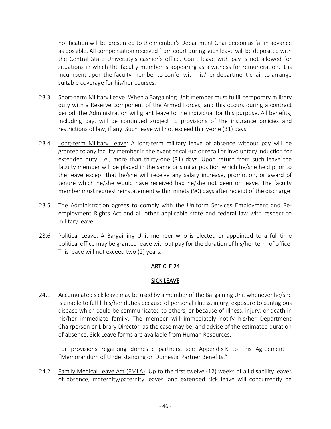notification will be presented to the member's Department Chairperson as far in advance as possible. All compensation received from court during such leave will be deposited with the Central State University's cashier's office. Court leave with pay is not allowed for situations in which the faculty member is appearing as a witness for remuneration. It is incumbent upon the faculty member to confer with his/her department chair to arrange suitable coverage for his/her courses.

- 23.3 Short-term Military Leave: When a Bargaining Unit member must fulfill temporary military duty with a Reserve component of the Armed Forces, and this occurs during a contract period, the Administration will grant leave to the individual for this purpose. All benefits, including pay, will be continued subject to provisions of the insurance policies and restrictions of law, if any. Such leave will not exceed thirty-one (31) days.
- 23.4 Long-term Military Leave: A long-term military leave of absence without pay will be granted to any faculty member in the event of call-up or recall or involuntary induction for extended duty, i.e., more than thirty-one (31) days. Upon return from such leave the faculty member will be placed in the same or similar position which he/she held prior to the leave except that he/she will receive any salary increase, promotion, or award of tenure which he/she would have received had he/she not been on leave. The faculty member must request reinstatement within ninety (90) days after receipt of the discharge.
- 23.5 The Administration agrees to comply with the Uniform Services Employment and Reemployment Rights Act and all other applicable state and federal law with respect to military leave.
- 23.6 Political Leave: A Bargaining Unit member who is elected or appointed to a full-time political office may be granted leave without pay for the duration of his/her term of office. This leave will not exceed two (2) years.

## **ARTICLE 24**

## SICK LEAVE

24.1 Accumulated sick leave may be used by a member of the Bargaining Unit whenever he/she is unable to fulfill his/her duties because of personal illness, injury, exposure to contagious disease which could be communicated to others, or because of illness, injury, or death in his/her immediate family. The member will immediately notify his/her Department Chairperson or Library Director, as the case may be, and advise of the estimated duration of absence. Sick Leave forms are available from Human Resources.

For provisions regarding domestic partners, see Appendix K to this Agreement  $-$ "Memorandum of Understanding on Domestic Partner Benefits."

24.2 Family Medical Leave Act (FMLA): Up to the first twelve (12) weeks of all disability leaves of absence, maternity/paternity leaves, and extended sick leave will concurrently be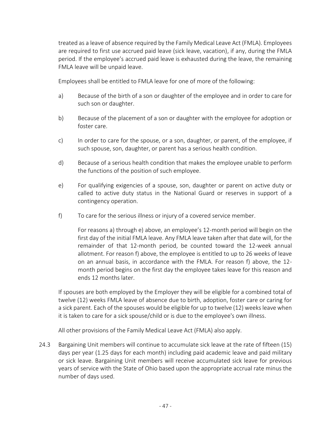treated as a leave of absence required by the Family Medical Leave Act (FMLA). Employees are required to first use accrued paid leave (sick leave, vacation), if any, during the FMLA period. If the employee's accrued paid leave is exhausted during the leave, the remaining FMLA leave will be unpaid leave.

Employees shall be entitled to FMLA leave for one of more of the following:

- a) Because of the birth of a son or daughter of the employee and in order to care for such son or daughter.
- b) Because of the placement of a son or daughter with the employee for adoption or foster care.
- c) In order to care for the spouse, or a son, daughter, or parent, of the employee, if such spouse, son, daughter, or parent has a serious health condition.
- d) Because of a serious health condition that makes the employee unable to perform the functions of the position of such employee.
- e) For qualifying exigencies of a spouse, son, daughter or parent on active duty or called to active duty status in the National Guard or reserves in support of a contingency operation.
- f) To care for the serious illness or injury of a covered service member.

For reasons a) through e) above, an employee's 12-month period will begin on the first day of the initial FMLA leave. Any FMLA leave taken after that date will, for the remainder of that 12-month period, be counted toward the 12-week annual allotment. For reason f) above, the employee is entitled to up to 26 weeks of leave on an annual basis, in accordance with the FMLA. For reason f) above, the 12 month period begins on the first day the employee takes leave for this reason and ends 12 months later.

 If spouses are both employed by the Employer they will be eligible for a combined total of twelve (12) weeks FMLA leave of absence due to birth, adoption, foster care or caring for a sick parent. Each of the spouses would be eligible for up to twelve (12) weeks leave when it is taken to care for a sick spouse/child or is due to the employee's own illness.

All other provisions of the Family Medical Leave Act (FMLA) also apply.

24.3 Bargaining Unit members will continue to accumulate sick leave at the rate of fifteen (15) days per year (1.25 days for each month) including paid academic leave and paid military or sick leave. Bargaining Unit members will receive accumulated sick leave for previous years of service with the State of Ohio based upon the appropriate accrual rate minus the number of days used.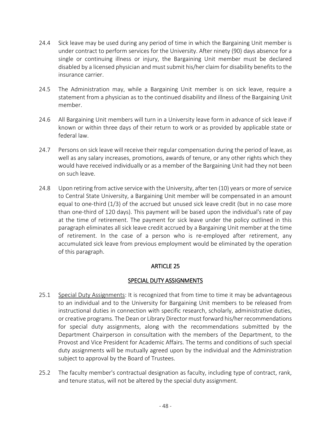- 24.4 Sick leave may be used during any period of time in which the Bargaining Unit member is under contract to perform services for the University. After ninety (90) days absence for a single or continuing illness or injury, the Bargaining Unit member must be declared disabled by a licensed physician and must submit his/her claim for disability benefits to the insurance carrier.
- 24.5 The Administration may, while a Bargaining Unit member is on sick leave, require a statement from a physician as to the continued disability and illness of the Bargaining Unit member.
- 24.6 All Bargaining Unit members will turn in a University leave form in advance of sick leave if known or within three days of their return to work or as provided by applicable state or federal law.
- 24.7 Persons on sick leave will receive their regular compensation during the period of leave, as well as any salary increases, promotions, awards of tenure, or any other rights which they would have received individually or as a member of the Bargaining Unit had they not been on such leave.
- 24.8 Upon retiring from active service with the University, after ten (10) years or more of service to Central State University, a Bargaining Unit member will be compensated in an amount equal to one-third (1/3) of the accrued but unused sick leave credit (but in no case more than one-third of 120 days). This payment will be based upon the individual's rate of pay at the time of retirement. The payment for sick leave under the policy outlined in this paragraph eliminates all sick leave credit accrued by a Bargaining Unit member at the time of retirement. In the case of a person who is re-employed after retirement, any accumulated sick leave from previous employment would be eliminated by the operation of this paragraph.

## SPECIAL DUTY ASSIGNMENTS

- 25.1 Special Duty Assignments: It is recognized that from time to time it may be advantageous to an individual and to the University for Bargaining Unit members to be released from instructional duties in connection with specific research, scholarly, administrative duties, or creative programs. The Dean or Library Director must forward his/her recommendations for special duty assignments, along with the recommendations submitted by the Department Chairperson in consultation with the members of the Department, to the Provost and Vice President for Academic Affairs. The terms and conditions of such special duty assignments will be mutually agreed upon by the individual and the Administration subject to approval by the Board of Trustees.
- 25.2 The faculty member's contractual designation as faculty, including type of contract, rank, and tenure status, will not be altered by the special duty assignment.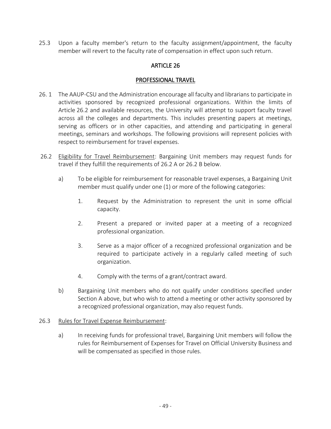25.3 Upon a faculty member's return to the faculty assignment/appointment, the faculty member will revert to the faculty rate of compensation in effect upon such return.

## ARTICLE 26

### PROFESSIONAL TRAVEL

- 26. 1 The AAUP-CSU and the Administration encourage all faculty and librarians to participate in activities sponsored by recognized professional organizations. Within the limits of Article 26.2 and available resources, the University will attempt to support faculty travel across all the colleges and departments. This includes presenting papers at meetings, serving as officers or in other capacities, and attending and participating in general meetings, seminars and workshops. The following provisions will represent policies with respect to reimbursement for travel expenses.
- 26.2 Eligibility for Travel Reimbursement: Bargaining Unit members may request funds for travel if they fulfill the requirements of 26.2 A or 26.2 B below.
	- a) To be eligible for reimbursement for reasonable travel expenses, a Bargaining Unit member must qualify under one (1) or more of the following categories:
		- 1. Request by the Administration to represent the unit in some official capacity.
		- 2. Present a prepared or invited paper at a meeting of a recognized professional organization.
		- 3. Serve as a major officer of a recognized professional organization and be required to participate actively in a regularly called meeting of such organization.
		- 4. Comply with the terms of a grant/contract award.
	- b) Bargaining Unit members who do not qualify under conditions specified under Section A above, but who wish to attend a meeting or other activity sponsored by a recognized professional organization, may also request funds.
- 26.3 Rules for Travel Expense Reimbursement:
	- a) In receiving funds for professional travel, Bargaining Unit members will follow the rules for Reimbursement of Expenses for Travel on Official University Business and will be compensated as specified in those rules.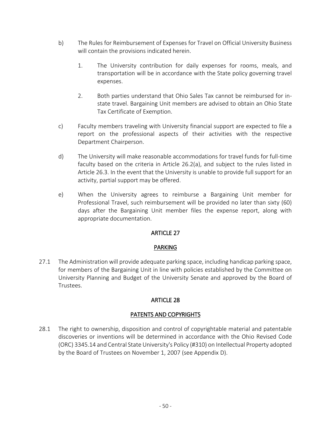- b) The Rules for Reimbursement of Expenses for Travel on Official University Business will contain the provisions indicated herein.
	- 1. The University contribution for daily expenses for rooms, meals, and transportation will be in accordance with the State policy governing travel expenses.
	- 2. Both parties understand that Ohio Sales Tax cannot be reimbursed for instate travel. Bargaining Unit members are advised to obtain an Ohio State Tax Certificate of Exemption.
- c) Faculty members traveling with University financial support are expected to file a report on the professional aspects of their activities with the respective Department Chairperson.
- d) The University will make reasonable accommodations for travel funds for full-time faculty based on the criteria in Article 26.2(a), and subject to the rules listed in Article 26.3. In the event that the University is unable to provide full support for an activity, partial support may be offered.
- e) When the University agrees to reimburse a Bargaining Unit member for Professional Travel, such reimbursement will be provided no later than sixty (60) days after the Bargaining Unit member files the expense report, along with appropriate documentation.

## PARKING

27.1 The Administration will provide adequate parking space, including handicap parking space, for members of the Bargaining Unit in line with policies established by the Committee on University Planning and Budget of the University Senate and approved by the Board of Trustees.

# ARTICLE 28

## PATENTS AND COPYRIGHTS

28.1 The right to ownership, disposition and control of copyrightable material and patentable discoveries or inventions will be determined in accordance with the Ohio Revised Code (ORC) 3345.14 and Central State University's Policy (#310) on Intellectual Property adopted by the Board of Trustees on November 1, 2007 (see Appendix D).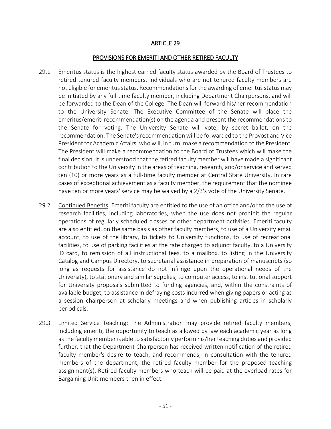#### PROVISIONS FOR EMERITI AND OTHER RETIRED FACULTY

- 29.1 Emeritus status is the highest earned faculty status awarded by the Board of Trustees to retired tenured faculty members. Individuals who are not tenured faculty members are not eligible for emeritus status. Recommendations for the awarding of emeritus status may be initiated by any full-time faculty member, including Department Chairpersons, and will be forwarded to the Dean of the College. The Dean will forward his/her recommendation to the University Senate. The Executive Committee of the Senate will place the emeritus/emeriti recommendation(s) on the agenda and present the recommendations to the Senate for voting. The University Senate will vote, by secret ballot, on the recommendation. The Senate's recommendation will be forwarded to the Provost and Vice President for Academic Affairs, who will, in turn, make a recommendation to the President. The President will make a recommendation to the Board of Trustees which will make the final decision. It is understood that the retired faculty member will have made a significant contribution to the University in the areas of teaching, research, and/or service and served ten (10) or more years as a full-time faculty member at Central State University. In rare cases of exceptional achievement as a faculty member, the requirement that the nominee have ten or more years' service may be waived by a 2/3's vote of the University Senate.
- 29.2 Continued Benefits: Emeriti faculty are entitled to the use of an office and/or to the use of research facilities, including laboratories, when the use does not prohibit the regular operations of regularly scheduled classes or other department activities. Emeriti faculty are also entitled, on the same basis as other faculty members, to use of a University email account, to use of the library, to tickets to University functions, to use of recreational facilities, to use of parking facilities at the rate charged to adjunct faculty, to a University ID card, to remission of all instructional fees, to a mailbox, to listing in the University Catalog and Campus Directory, to secretarial assistance in preparation of manuscripts (so long as requests for assistance do not infringe upon the operational needs of the University), to stationery and similar supplies, to computer access, to institutional support for University proposals submitted to funding agencies, and, within the constraints of available budget, to assistance in defraying costs incurred when giving papers or acting as a session chairperson at scholarly meetings and when publishing articles in scholarly periodicals.
- 29.3 Limited Service Teaching: The Administration may provide retired faculty members, including emeriti, the opportunity to teach as allowed by law each academic year as long as the faculty member is able to satisfactorily perform his/her teaching duties and provided further, that the Department Chairperson has received written notification of the retired faculty member's desire to teach, and recommends, in consultation with the tenured members of the department, the retired faculty member for the proposed teaching assignment(s). Retired faculty members who teach will be paid at the overload rates for Bargaining Unit members then in effect.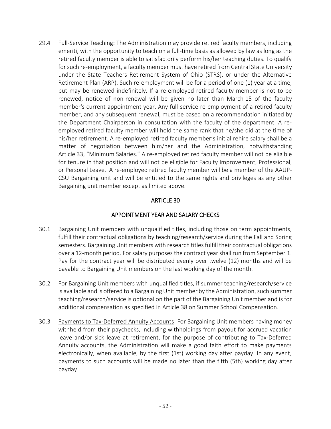29.4 Full-Service Teaching: The Administration may provide retired faculty members, including emeriti, with the opportunity to teach on a full-time basis as allowed by law as long as the retired faculty member is able to satisfactorily perform his/her teaching duties. To qualify for such re-employment, a faculty member must have retired from Central State University under the State Teachers Retirement System of Ohio (STRS), or under the Alternative Retirement Plan (ARP). Such re-employment will be for a period of one (1) year at a time, but may be renewed indefinitely. If a re-employed retired faculty member is not to be renewed, notice of non-renewal will be given no later than March 15 of the faculty member's current appointment year. Any full-service re-employment of a retired faculty member, and any subsequent renewal, must be based on a recommendation initiated by the Department Chairperson in consultation with the faculty of the department. A reemployed retired faculty member will hold the same rank that he/she did at the time of his/her retirement. A re-employed retired faculty member's initial rehire salary shall be a matter of negotiation between him/her and the Administration, notwithstanding Article 33, "Minimum Salaries." A re-employed retired faculty member will not be eligible for tenure in that position and will not be eligible for Faculty Improvement, Professional, or Personal Leave. A re-employed retired faculty member will be a member of the AAUP-CSU Bargaining unit and will be entitled to the same rights and privileges as any other Bargaining unit member except as limited above.

## ARTICLE 30

## APPOINTMENT YEAR AND SALARY CHECKS

- 30.1 Bargaining Unit members with unqualified titles, including those on term appointments, fulfill their contractual obligations by teaching/research/service during the Fall and Spring semesters. Bargaining Unit members with research titles fulfill their contractual obligations over a 12-month period. For salary purposes the contract year shall run from September 1. Pay for the contract year will be distributed evenly over twelve (12) months and will be payable to Bargaining Unit members on the last working day of the month.
- 30.2 For Bargaining Unit members with unqualified titles, if summer teaching/research/service is available and is offered to a Bargaining Unit member by the Administration, such summer teaching/research/service is optional on the part of the Bargaining Unit member and is for additional compensation as specified in Article 38 on Summer School Compensation.
- 30.3 Payments to Tax-Deferred Annuity Accounts: For Bargaining Unit members having money withheld from their paychecks, including withholdings from payout for accrued vacation leave and/or sick leave at retirement, for the purpose of contributing to Tax-Deferred Annuity accounts, the Administration will make a good faith effort to make payments electronically, when available, by the first (1st) working day after payday. In any event, payments to such accounts will be made no later than the fifth (5th) working day after payday.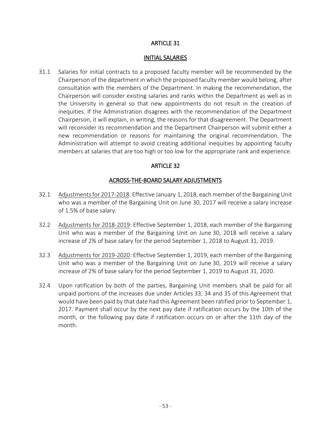#### INITIAL SALARIES

31.1 Salaries for initial contracts to a proposed faculty member will be recommended by the Chairperson of the department in which the proposed faculty member would belong, after consultation with the members of the Department. In making the recommendation, the Chairperson will consider existing salaries and ranks within the Department as well as in the University in general so that new appointments do not result in the creation of inequities. If the Administration disagrees with the recommendation of the Department Chairperson, it will explain, in writing, the reasons for that disagreement. The Department will reconsider its recommendation and the Department Chairperson will submit either a new recommendation or reasons for maintaining the original recommendation. The Administration will attempt to avoid creating additional inequities by appointing faculty members at salaries that are too high or too low for the appropriate rank and experience.

## ARTICLE 32

### ACROSS-THE-BOARD SALARY ADJUSTMENTS

- 32.1 Adjustments for 2017-2018: Effective January 1, 2018, each member of the Bargaining Unit who was a member of the Bargaining Unit on June 30, 2017 will receive a salary increase of 1.5% of base salary.
- 32.2 Adjustments for 2018-2019: Effective September 1, 2018, each member of the Bargaining Unit who was a member of the Bargaining Unit on June 30, 2018 will receive a salary increase of 2% of base salary for the period September 1, 2018 to August 31, 2019.
- 32.3 Adjustments for 2019-2020: Effective September 1, 2019, each member of the Bargaining Unit who was a member of the Bargaining Unit on June 30, 2019 will receive a salary increase of 2% of base salary for the period September 1, 2019 to August 31, 2020.
- 32.4 Upon ratification by both of the parties, Bargaining Unit members shall be paid for all unpaid portions of the increases due under Articles 33, 34 and 35 of this Agreement that would have been paid by that date had this Agreement been ratified prior to September 1, 2017. Payment shall occur by the next pay date if ratification occurs by the 10th of the month, or the following pay date if ratification occurs on or after the 11th day of the month.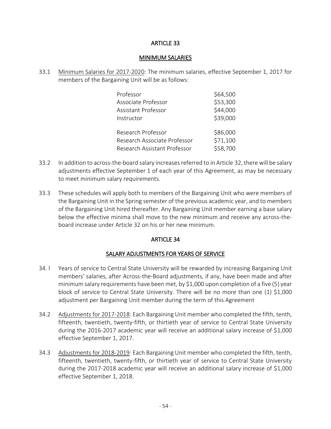#### MINIMUM SALARIES

33.1 Minimum Salaries for 2017-2020: The minimum salaries, effective September 1, 2017 for members of the Bargaining Unit will be as follows:

| Professor                    | \$64,500 |
|------------------------------|----------|
| Associate Professor          | \$53,300 |
| Assistant Professor          | \$44,000 |
| Instructor                   | \$39,000 |
| Research Professor           | \$86,000 |
| Research Associate Professor | \$71,100 |
| Research Assistant Professor | \$58,700 |

- 33.2 In addition to across-the-board salary increases referred to in Article 32, there will be salary adjustments effective September 1 of each year of this Agreement, as may be necessary to meet minimum salary requirements.
- 33.3 These schedules will apply both to members of the Bargaining Unit who were members of the Bargaining Unit in the Spring semester of the previous academic year, and to members of the Bargaining Unit hired thereafter. Any Bargaining Unit member earning a base salary below the effective minima shall move to the new minimum and receive any across-theboard increase under Article 32 on his or her new minimum.

## ARTICLE 34

# SALARY ADJUSTMENTS FOR YEARS OF SERVICE

- 34. I Years of service to Central State University will be rewarded by increasing Bargaining Unit members' salaries, after Across-the-Board adjustments, if any, have been made and after minimum salary requirements have been met, by \$1,000 upon completion of a five (5) year block of service to Central State University. There will be no more than one (1) \$1,000 adjustment per Bargaining Unit member during the term of this Agreement
- 34.2 Adjustments for 2017-2018: Each Bargaining Unit member who completed the fifth, tenth, fifteenth, twentieth, twenty-fifth, or thirtieth year of service to Central State University during the 2016-2017 academic year will receive an additional salary increase of \$1,000 effective September 1, 2017.
- 34.3 Adjustments for 2018-2019: Each Bargaining Unit member who completed the fifth, tenth, fifteenth, twentieth, twenty-fifth, or thirtieth year of service to Central State University during the 2017-2018 academic year will receive an additional salary increase of \$1,000 effective September 1, 2018.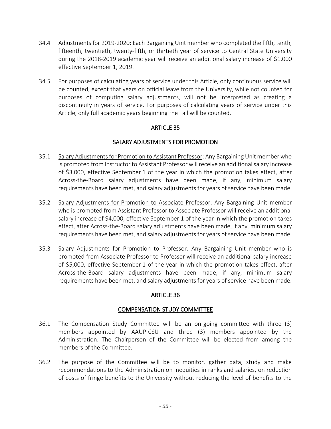- 34.4 Adjustments for 2019-2020: Each Bargaining Unit member who completed the fifth, tenth, fifteenth, twentieth, twenty-fifth, or thirtieth year of service to Central State University during the 2018-2019 academic year will receive an additional salary increase of \$1,000 effective September 1, 2019.
- 34.5 For purposes of calculating years of service under this Article, only continuous service will be counted, except that years on official leave from the University, while not counted for purposes of computing salary adjustments, will not be interpreted as creating a discontinuity in years of service. For purposes of calculating years of service under this Article, only full academic years beginning the Fall will be counted.

## SALARY ADJUSTMENTS FOR PROMOTION

- 35.1 Salary Adjustments for Promotion to Assistant Professor: Any Bargaining Unit member who is promoted from Instructor to Assistant Professor will receive an additional salary increase of \$3,000, effective September 1 of the year in which the promotion takes effect, after Across-the-Board salary adjustments have been made, if any, minimum salary requirements have been met, and salary adjustments for years of service have been made.
- 35.2 Salary Adjustments for Promotion to Associate Professor: Any Bargaining Unit member who is promoted from Assistant Professor to Associate Professor will receive an additional salary increase of \$4,000, effective September 1 of the year in which the promotion takes effect, after Across-the-Board salary adjustments have been made, if any, minimum salary requirements have been met, and salary adjustments for years of service have been made.
- 35.3 Salary Adjustments for Promotion to Professor: Any Bargaining Unit member who is promoted from Associate Professor to Professor will receive an additional salary increase of \$5,000, effective September 1 of the year in which the promotion takes effect, after Across-the-Board salary adjustments have been made, if any, minimum salary requirements have been met, and salary adjustments for years of service have been made.

## ARTICLE 36

## COMPENSATION STUDY COMMITTEE

- 36.1 The Compensation Study Committee will be an on-going committee with three (3) members appointed by AAUP-CSU and three (3) members appointed by the Administration. The Chairperson of the Committee will be elected from among the members of the Committee.
- 36.2 The purpose of the Committee will be to monitor, gather data, study and make recommendations to the Administration on inequities in ranks and salaries, on reduction of costs of fringe benefits to the University without reducing the level of benefits to the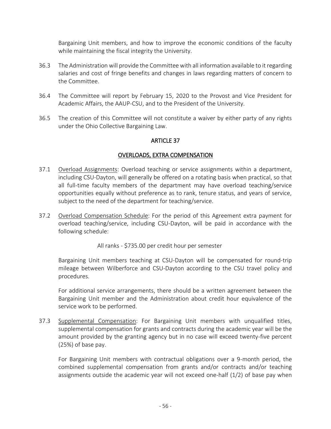Bargaining Unit members, and how to improve the economic conditions of the faculty while maintaining the fiscal integrity the University.

- 36.3 The Administration will provide the Committee with all information available to it regarding salaries and cost of fringe benefits and changes in laws regarding matters of concern to the Committee.
- 36.4 The Committee will report by February 15, 2020 to the Provost and Vice President for Academic Affairs, the AAUP-CSU, and to the President of the University.
- 36.5 The creation of this Committee will not constitute a waiver by either party of any rights under the Ohio Collective Bargaining Law.

## ARTICLE 37

## OVERLOADS, EXTRA COMPENSATION

- 37.1 Overload Assignments: Overload teaching or service assignments within a department, including CSU-Dayton, will generally be offered on a rotating basis when practical, so that all full-time faculty members of the department may have overload teaching/service opportunities equally without preference as to rank, tenure status, and years of service, subject to the need of the department for teaching/service.
- 37.2 Overload Compensation Schedule: For the period of this Agreement extra payment for overload teaching/service, including CSU-Dayton, will be paid in accordance with the following schedule:

All ranks - \$735.00 per credit hour per semester

Bargaining Unit members teaching at CSU-Dayton will be compensated for round-trip mileage between Wilberforce and CSU-Dayton according to the CSU travel policy and procedures.

For additional service arrangements, there should be a written agreement between the Bargaining Unit member and the Administration about credit hour equivalence of the service work to be performed.

37.3 Supplemental Compensation: For Bargaining Unit members with unqualified titles, supplemental compensation for grants and contracts during the academic year will be the amount provided by the granting agency but in no case will exceed twenty-five percent (25%) of base pay.

 For Bargaining Unit members with contractual obligations over a 9-month period, the combined supplemental compensation from grants and/or contracts and/or teaching assignments outside the academic year will not exceed one-half (1/2) of base pay when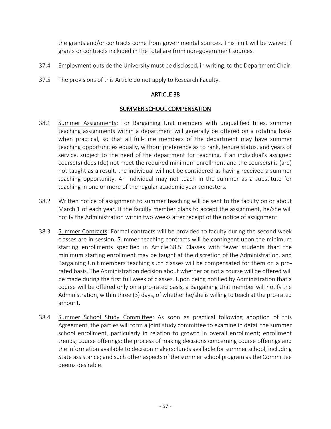the grants and/or contracts come from governmental sources. This limit will be waived if grants or contracts included in the total are from non-government sources.

- 37.4 Employment outside the University must be disclosed, in writing, to the Department Chair.
- 37.5 The provisions of this Article do not apply to Research Faculty.

## ARTICLE 38

## SUMMER SCHOOL COMPENSATION

- 38.1 Summer Assignments: For Bargaining Unit members with unqualified titles, summer teaching assignments within a department will generally be offered on a rotating basis when practical, so that all full-time members of the department may have summer teaching opportunities equally, without preference as to rank, tenure status, and years of service, subject to the need of the department for teaching. If an individual's assigned course(s) does (do) not meet the required minimum enrollment and the course(s) is (are) not taught as a result, the individual will not be considered as having received a summer teaching opportunity. An individual may not teach in the summer as a substitute for teaching in one or more of the regular academic year semesters.
- 38.2 Written notice of assignment to summer teaching will be sent to the faculty on or about March 1 of each year. If the faculty member plans to accept the assignment, he/she will notify the Administration within two weeks after receipt of the notice of assignment.
- 38.3 Summer Contracts: Formal contracts will be provided to faculty during the second week classes are in session. Summer teaching contracts will be contingent upon the minimum starting enrollments specified in Article 38.5. Classes with fewer students than the minimum starting enrollment may be taught at the discretion of the Administration, and Bargaining Unit members teaching such classes will be compensated for them on a prorated basis. The Administration decision about whether or not a course will be offered will be made during the first full week of classes. Upon being notified by Administration that a course will be offered only on a pro-rated basis, a Bargaining Unit member will notify the Administration, within three (3) days, of whether he/she is willing to teach at the pro-rated amount.
- 38.4 Summer School Study Committee: As soon as practical following adoption of this Agreement, the parties will form a joint study committee to examine in detail the summer school enrollment, particularly in relation to growth in overall enrollment; enrollment trends; course offerings; the process of making decisions concerning course offerings and the information available to decision makers; funds available for summer school, including State assistance; and such other aspects of the summer school program as the Committee deems desirable.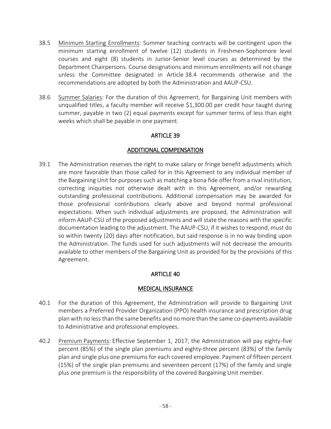- 38.5 Minimum Starting Enrollments: Summer teaching contracts will be contingent upon the minimum starting enrollment of twelve (12) students in Freshmen-Sophomore level courses and eight (8) students in Junior-Senior level courses as determined by the Department Chairpersons. Course designations and minimum enrollments will not change unless the Committee designated in Article 38.4 recommends otherwise and the recommendations are adopted by both the Administration and AAUP-CSU.
- 38.6 Summer Salaries: For the duration of this Agreement, for Bargaining Unit members with unqualified titles, a faculty member will receive \$1,300.00 per credit hour taught during summer, payable in two (2) equal payments except for summer terms of less than eight weeks which shall be payable in one payment.

## ADDITIONAL COMPENSATION

39.1 The Administration reserves the right to make salary or fringe benefit adjustments which are more favorable than those called for in this Agreement to any individual member of the Bargaining Unit for purposes such as matching a bona fide offer from a rival institution, correcting iniquities not otherwise dealt with in this Agreement, and/or rewarding outstanding professional contributions. Additional compensation may be awarded for those professional contributions clearly above and beyond normal professional expectations. When such individual adjustments are proposed, the Administration will inform AAUP-CSU of the proposed adjustments and will state the reasons with the specific documentation leading to the adjustment. The AAUP-CSU, if it wishes to respond, must do so within twenty (20) days after notification, but said response is in no way binding upon the Administration. The funds used for such adjustments will not decrease the amounts available to other members of the Bargaining Unit as provided for by the provisions of this Agreement.

# ARTICLE 40

## MEDICAL INSURANCE

- 40.1 For the duration of this Agreement, the Administration will provide to Bargaining Unit members a Preferred Provider Organization (PPO) health insurance and prescription drug plan with no less than the same benefits and no more than the same co-payments available to Administrative and professional employees.
- 40.2 Premium Payments: Effective September 1, 2017, the Administration will pay eighty-five percent (85%) of the single plan premiums and eighty-three percent (83%) of the family plan and single plus one premiums for each covered employee. Payment of fifteen percent (15%) of the single plan premiums and seventeen percent (17%) of the family and single plus one premium is the responsibility of the covered Bargaining Unit member.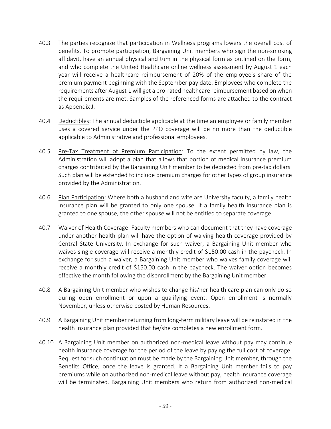- 40.3 The parties recognize that participation in Wellness programs lowers the overall cost of benefits. To promote participation, Bargaining Unit members who sign the non-smoking affidavit, have an annual physical and tum in the physical form as outlined on the form, and who complete the United Healthcare online wellness assessment by August 1 each year will receive a healthcare reimbursement of 20% of the employee's share of the premium payment beginning with the September pay date. Employees who complete the requirements after August 1 will get a pro-rated healthcare reimbursement based on when the requirements are met. Samples of the referenced forms are attached to the contract as Appendix J.
- 40.4 Deductibles: The annual deductible applicable at the time an employee or family member uses a covered service under the PPO coverage will be no more than the deductible applicable to Administrative and professional employees.
- 40.5 Pre-Tax Treatment of Premium Participation: To the extent permitted by law, the Administration will adopt a plan that allows that portion of medical insurance premium charges contributed by the Bargaining Unit member to be deducted from pre-tax dollars. Such plan will be extended to include premium charges for other types of group insurance provided by the Administration.
- 40.6 Plan Participation: Where both a husband and wife are University faculty, a family health insurance plan will be granted to only one spouse. If a family health insurance plan is granted to one spouse, the other spouse will not be entitled to separate coverage.
- 40.7 Waiver of Health Coverage: Faculty members who can document that they have coverage under another health plan will have the option of waiving health coverage provided by Central State University. In exchange for such waiver, a Bargaining Unit member who waives single coverage will receive a monthly credit of \$150.00 cash in the paycheck. In exchange for such a waiver, a Bargaining Unit member who waives family coverage will receive a monthly credit of \$150.00 cash in the paycheck. The waiver option becomes effective the month following the disenrollment by the Bargaining Unit member.
- 40.8 A Bargaining Unit member who wishes to change his/her health care plan can only do so during open enrollment or upon a qualifying event. Open enrollment is normally November, unless otherwise posted by Human Resources.
- 40.9 A Bargaining Unit member returning from long-term military leave will be reinstated in the health insurance plan provided that he/she completes a new enrollment form.
- 40.10 A Bargaining Unit member on authorized non-medical leave without pay may continue health insurance coverage for the period of the leave by paying the full cost of coverage. Request for such continuation must be made by the Bargaining Unit member, through the Benefits Office, once the leave is granted. If a Bargaining Unit member fails to pay premiums while on authorized non-medical leave without pay, health insurance coverage will be terminated. Bargaining Unit members who return from authorized non-medical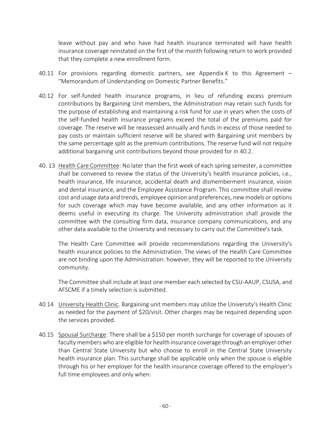leave without pay and who have had health insurance terminated will have health insurance coverage reinstated on the first of the month following return to work provided that they complete a new enrollment form.

- 40.11 For provisions regarding domestic partners, see Appendix K to this Agreement "Memorandum of Understanding on Domestic Partner Benefits."
- 40.12 For self-funded health insurance programs, in lieu of refunding excess premium contributions by Bargaining Unit members, the Administration may retain such funds for the purpose of establishing and maintaining a risk fund for use in years when the costs of the self-funded health insurance programs exceed the total of the premiums paid for coverage. The reserve will be reassessed annually and funds in excess of those needed to pay costs or maintain sufficient reserve will be shared with Bargaining unit members by the same percentage split as the premium contributions. The reserve fund will not require additional bargaining unit contributions beyond those provided for in 40.2.
- 40. 13 Health Care Committee: No later than the first week of each spring semester, a committee shall be convened to review the status of the University's health insurance policies, i.e., health insurance, life insurance, accidental death and dismemberment insurance, vision and dental insurance, and the Employee Assistance Program. This committee shall review cost and usage data and trends, employee opinion and preferences, new models or options for such coverage which may have become available, and any other information as it deems useful in executing its charge. The University administration shall provide the committee with the consulting firm data, insurance company communications, and any other data available to the University and necessary to carry out the Committee's task.

 The Health Care Committee will provide recommendations regarding the University's health insurance policies to the Administration. The views of the Health Care Committee are not binding upon the Administration: however, they will be reported to the University community.

 The Committee shall include at least one member each selected by CSU-AAUP, CSUSA, and AFSCME if a timely selection is submitted.

- 40.14 University Health Clinic. Bargaining unit members may utilize the University's Health Clinic as needed for the payment of \$20/visit. Other charges may be required depending upon the services provided.
- 40.15 Spousal Surcharge: There shall be a \$150 per month surcharge for coverage of spouses of faculty members who are eligible for health insurance coverage through an employer other than Central State University but who choose to enroll in the Central State University health insurance plan. This surcharge shall be applicable only when the spouse is eligible through his or her employer for the health insurance coverage offered to the employer's full time employees and only when: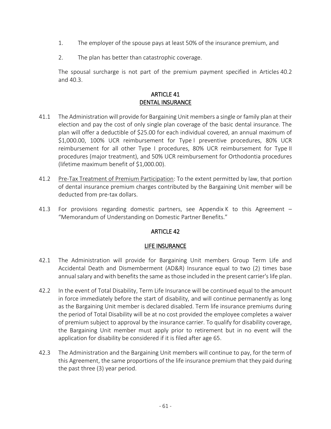- 1. The employer of the spouse pays at least 50% of the insurance premium, and
- 2. The plan has better than catastrophic coverage.

 The spousal surcharge is not part of the premium payment specified in Articles 40.2 and 40.3.

## ARTICLE 41 DENTAL INSURANCE

- 41.1 The Administration will provide for Bargaining Unit members a single or family plan at their election and pay the cost of only single plan coverage of the basic dental insurance. The plan will offer a deductible of \$25.00 for each individual covered, an annual maximum of \$1,000.00, 100% UCR reimbursement for Type I preventive procedures, 80% UCR reimbursement for all other Type I procedures, 80% UCR reimbursement for Type II procedures (major treatment), and 50% UCR reimbursement for Orthodontia procedures (lifetime maximum benefit of \$1,000.00).
- 41.2 Pre-Tax Treatment of Premium Participation: To the extent permitted by law, that portion of dental insurance premium charges contributed by the Bargaining Unit member will be deducted from pre-tax dollars.
- 41.3 For provisions regarding domestic partners, see Appendix K to this Agreement "Memorandum of Understanding on Domestic Partner Benefits."

## ARTICLE 42

## LIFE INSURANCE

- 42.1 The Administration will provide for Bargaining Unit members Group Term Life and Accidental Death and Dismemberment (AD&R) Insurance equal to two (2) times base annual salary and with benefits the same as those included in the present carrier's life plan.
- 42.2 In the event of Total Disability, Term Life Insurance will be continued equal to the amount in force immediately before the start of disability, and will continue permanently as long as the Bargaining Unit member is declared disabled. Term life insurance premiums during the period of Total Disability will be at no cost provided the employee completes a waiver of premium subject to approval by the insurance carrier. To qualify for disability coverage, the Bargaining Unit member must apply prior to retirement but in no event will the application for disability be considered if it is filed after age 65.
- 42.3 The Administration and the Bargaining Unit members will continue to pay, for the term of this Agreement, the same proportions of the life insurance premium that they paid during the past three (3) year period.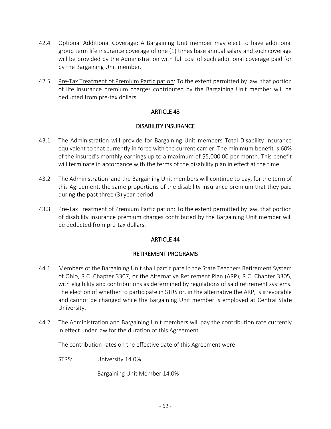- 42.4 Optional Additional Coverage: A Bargaining Unit member may elect to have additional group term life insurance coverage of one (1) times base annual salary and such coverage will be provided by the Administration with full cost of such additional coverage paid for by the Bargaining Unit member.
- 42.5 Pre-Tax Treatment of Premium Participation: To the extent permitted by law, that portion of life insurance premium charges contributed by the Bargaining Unit member will be deducted from pre-tax dollars.

### DISABILITY INSURANCE

- 43.1 The Administration will provide for Bargaining Unit members Total Disability Insurance equivalent to that currently in force with the current carrier. The minimum benefit is 60% of the insured's monthly earnings up to a maximum of \$5,000.00 per month. This benefit will terminate in accordance with the terms of the disability plan in effect at the time.
- 43.2 The Administration and the Bargaining Unit members will continue to pay, for the term of this Agreement, the same proportions of the disability insurance premium that they paid during the past three (3) year period.
- 43.3 Pre-Tax Treatment of Premium Participation: To the extent permitted by law, that portion of disability insurance premium charges contributed by the Bargaining Unit member will be deducted from pre-tax dollars.

## ARTICLE 44

## RETIREMENT PROGRAMS

- 44.1 Members of the Bargaining Unit shall participate in the State Teachers Retirement System of Ohio, R.C. Chapter 3307, or the Alternative Retirement Plan (ARP), R.C. Chapter 3305, with eligibility and contributions as determined by regulations of said retirement systems. The election of whether to participate in STRS or, in the alternative the ARP, is irrevocable and cannot be changed while the Bargaining Unit member is employed at Central State University.
- 44.2 The Administration and Bargaining Unit members will pay the contribution rate currently in effect under law for the duration of this Agreement.

The contribution rates on the effective date of this Agreement were:

STRS: University 14.0%

Bargaining Unit Member 14.0%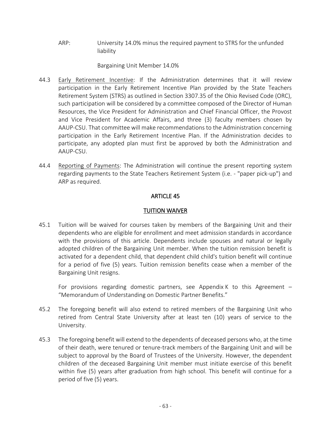ARP: University 14.0% minus the required payment to STRS for the unfunded liability

Bargaining Unit Member 14.0%

- 44.3 Early Retirement Incentive: If the Administration determines that it will review participation in the Early Retirement Incentive Plan provided by the State Teachers Retirement System (STRS) as outlined in Section 3307.35 of the Ohio Revised Code (ORC), such participation will be considered by a committee composed of the Director of Human Resources, the Vice President for Administration and Chief Financial Officer, the Provost and Vice President for Academic Affairs, and three (3) faculty members chosen by AAUP-CSU. That committee will make recommendations to the Administration concerning participation in the Early Retirement Incentive Plan. If the Administration decides to participate, any adopted plan must first be approved by both the Administration and AAUP-CSU.
- 44.4 Reporting of Payments: The Administration will continue the present reporting system regarding payments to the State Teachers Retirement System (i.e. - "paper pick-up") and ARP as required.

# ARTICLE 45

## TUITION WAIVER

45.1 Tuition will be waived for courses taken by members of the Bargaining Unit and their dependents who are eligible for enrollment and meet admission standards in accordance with the provisions of this article. Dependents include spouses and natural or legally adopted children of the Bargaining Unit member. When the tuition remission benefit is activated for a dependent child, that dependent child child's tuition benefit will continue for a period of five (5) years. Tuition remission benefits cease when a member of the Bargaining Unit resigns.

For provisions regarding domestic partners, see Appendix K to this Agreement  $-$ "Memorandum of Understanding on Domestic Partner Benefits."

- 45.2 The foregoing benefit will also extend to retired members of the Bargaining Unit who retired from Central State University after at least ten (10) years of service to the University.
- 45.3 The foregoing benefit will extend to the dependents of deceased persons who, at the time of their death, were tenured or tenure-track members of the Bargaining Unit and will be subject to approval by the Board of Trustees of the University. However, the dependent children of the deceased Bargaining Unit member must initiate exercise of this benefit within five (5) years after graduation from high school. This benefit will continue for a period of five (5) years.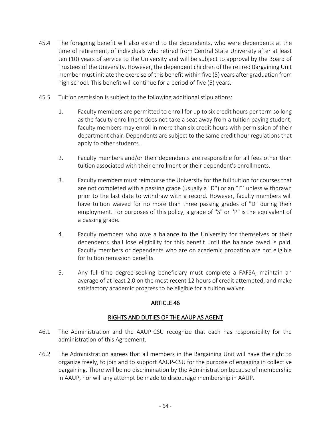- 45.4 The foregoing benefit will also extend to the dependents, who were dependents at the time of retirement, of individuals who retired from Central State University after at least ten (10) years of service to the University and will be subject to approval by the Board of Trustees of the University. However, the dependent children of the retired Bargaining Unit member must initiate the exercise of this benefit within five (5) years after graduation from high school. This benefit will continue for a period of five (5) years.
- 45.5 Tuition remission is subject to the following additional stipulations:
	- 1. Faculty members are permitted to enroll for up to six credit hours per term so long as the faculty enrollment does not take a seat away from a tuition paying student; faculty members may enroll in more than six credit hours with permission of their department chair. Dependents are subject to the same credit hour regulations that apply to other students.
	- 2. Faculty members and/or their dependents are responsible for all fees other than tuition associated with their enrollment or their dependent's enrollments.
	- 3. Faculty members must reimburse the University for the full tuition for courses that are not completed with a passing grade (usually a "D") or an "I"` unless withdrawn prior to the last date to withdraw with a record. However, faculty members will have tuition waived for no more than three passing grades of "D" during their employment. For purposes of this policy, a grade of ''S" or ''P" is the equivalent of a passing grade.
	- 4. Faculty members who owe a balance to the University for themselves or their dependents shall lose eligibility for this benefit until the balance owed is paid. Faculty members or dependents who are on academic probation are not eligible for tuition remission benefits.
	- 5. Any full-time degree-seeking beneficiary must complete a FAFSA, maintain an average of at least 2.0 on the most recent 12 hours of credit attempted, and make satisfactory academic progress to be eligible for a tuition waiver.

## RIGHTS AND DUTIES OF THE AAUP AS AGENT

- 46.1 The Administration and the AAUP-CSU recognize that each has responsibility for the administration of this Agreement.
- 46.2 The Administration agrees that all members in the Bargaining Unit will have the right to organize freely, to join and to support AAUP-CSU for the purpose of engaging in collective bargaining. There will be no discrimination by the Administration because of membership in AAUP, nor will any attempt be made to discourage membership in AAUP.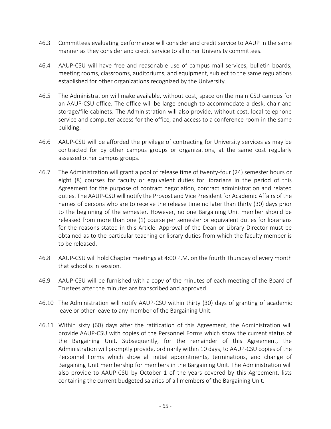- 46.3 Committees evaluating performance will consider and credit service to AAUP in the same manner as they consider and credit service to all other University committees.
- 46.4 AAUP-CSU will have free and reasonable use of campus mail services, bulletin boards, meeting rooms, classrooms, auditoriums, and equipment, subject to the same regulations established for other organizations recognized by the University.
- 46.5 The Administration will make available, without cost, space on the main CSU campus for an AAUP-CSU office. The office will be large enough to accommodate a desk, chair and storage/file cabinets. The Administration will also provide, without cost, local telephone service and computer access for the office, and access to a conference room in the same building.
- 46.6 AAUP-CSU will be afforded the privilege of contracting for University services as may be contracted for by other campus groups or organizations, at the same cost regularly assessed other campus groups.
- 46.7 The Administration will grant a pool of release time of twenty-four (24) semester hours or eight (8) courses for faculty or equivalent duties for librarians in the period of this Agreement for the purpose of contract negotiation, contract administration and related duties. The AAUP-CSU will notify the Provost and Vice President for Academic Affairs of the names of persons who are to receive the release time no later than thirty (30) days prior to the beginning of the semester. However, no one Bargaining Unit member should be released from more than one (1) course per semester or equivalent duties for librarians for the reasons stated in this Article. Approval of the Dean or Library Director must be obtained as to the particular teaching or library duties from which the faculty member is to be released.
- 46.8 AAUP-CSU will hold Chapter meetings at 4:00 P.M. on the fourth Thursday of every month that school is in session.
- 46.9 AAUP-CSU will be furnished with a copy of the minutes of each meeting of the Board of Trustees after the minutes are transcribed and approved.
- 46.10 The Administration will notify AAUP-CSU within thirty (30) days of granting of academic leave or other leave to any member of the Bargaining Unit.
- 46.11 Within sixty (60) days after the ratification of this Agreement, the Administration will provide AAUP-CSU with copies of the Personnel Forms which show the current status of the Bargaining Unit. Subsequently, for the remainder of this Agreement, the Administration will promptly provide, ordinarily within 10 days, to AAUP-CSU copies of the Personnel Forms which show all initial appointments, terminations, and change of Bargaining Unit membership for members in the Bargaining Unit. The Administration will also provide to AAUP-CSU by October 1 of the years covered by this Agreement, lists containing the current budgeted salaries of all members of the Bargaining Unit.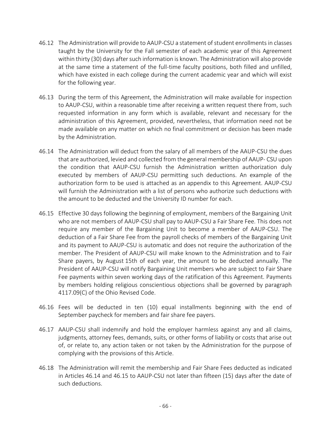- 46.12 The Administration will provide to AAUP-CSU a statement of student enrollments in classes taught by the University for the Fall semester of each academic year of this Agreement within thirty (30) days after such information is known. The Administration will also provide at the same time a statement of the full-time faculty positions, both filled and unfilled, which have existed in each college during the current academic year and which will exist for the following year.
- 46.13 During the term of this Agreement, the Administration will make available for inspection to AAUP-CSU, within a reasonable time after receiving a written request there from, such requested information in any form which is available, relevant and necessary for the administration of this Agreement, provided, nevertheless, that information need not be made available on any matter on which no final commitment or decision has been made by the Administration.
- 46.14 The Administration will deduct from the salary of all members of the AAUP-CSU the dues that are authorized, levied and collected from the general membership of AAUP- CSU upon the condition that AAUP-CSU furnish the Administration written authorization duly executed by members of AAUP-CSU permitting such deductions. An example of the authorization form to be used is attached as an appendix to this Agreement. AAUP-CSU will furnish the Administration with a list of persons who authorize such deductions with the amount to be deducted and the University ID number for each.
- 46.15 Effective 30 days following the beginning of employment, members of the Bargaining Unit who are not members of AAUP-CSU shall pay to AAUP-CSU a Fair Share Fee. This does not require any member of the Bargaining Unit to become a member of AAUP-CSU. The deduction of a Fair Share Fee from the payroll checks of members of the Bargaining Unit and its payment to AAUP-CSU is automatic and does not require the authorization of the member. The President of AAUP-CSU will make known to the Administration and to Fair Share payers, by August 15th of each year, the amount to be deducted annually. The President of AAUP-CSU will notify Bargaining Unit members who are subject to Fair Share Fee payments within seven working days of the ratification of this Agreement. Payments by members holding religious conscientious objections shall be governed by paragraph 4117.09(C) of the Ohio Revised Code.
- 46.16 Fees will be deducted in ten (10) equal installments beginning with the end of September paycheck for members and fair share fee payers.
- 46.17 AAUP-CSU shall indemnify and hold the employer harmless against any and all claims, judgments, attorney fees, demands, suits, or other forms of liability or costs that arise out of, or relate to, any action taken or not taken by the Administration for the purpose of complying with the provisions of this Article.
- 46.18 The Administration will remit the membership and Fair Share Fees deducted as indicated in Articles 46.14 and 46.15 to AAUP-CSU not later than fifteen (15) days after the date of such deductions.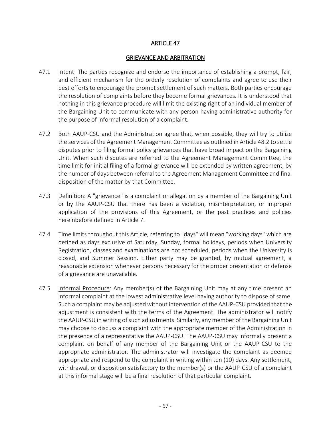#### GRIEVANCE AND ARBITRATION

- 47.1 Intent: The parties recognize and endorse the importance of establishing a prompt, fair, and efficient mechanism for the orderly resolution of complaints and agree to use their best efforts to encourage the prompt settlement of such matters. Both parties encourage the resolution of complaints before they become formal grievances. It is understood that nothing in this grievance procedure will limit the existing right of an individual member of the Bargaining Unit to communicate with any person having administrative authority for the purpose of informal resolution of a complaint.
- 47.2 Both AAUP-CSU and the Administration agree that, when possible, they will try to utilize the services of the Agreement Management Committee as outlined in Article 48.2 to settle disputes prior to filing formal policy grievances that have broad impact on the Bargaining Unit. When such disputes are referred to the Agreement Management Committee, the time limit for initial filing of a formal grievance will be extended by written agreement, by the number of days between referral to the Agreement Management Committee and final disposition of the matter by that Committee.
- 47.3 Definition: A "grievance" is a complaint or allegation by a member of the Bargaining Unit or by the AAUP-CSU that there has been a violation, misinterpretation, or improper application of the provisions of this Agreement, or the past practices and policies hereinbefore defined in Article 7.
- 47.4 Time limits throughout this Article, referring to "days" will mean "working days" which are defined as days exclusive of Saturday, Sunday, formal holidays, periods when University Registration, classes and examinations are not scheduled, periods when the University is closed, and Summer Session. Either party may be granted, by mutual agreement, a reasonable extension whenever persons necessary for the proper presentation or defense of a grievance are unavailable.
- 47.5 Informal Procedure: Any member(s) of the Bargaining Unit may at any time present an informal complaint at the lowest administrative level having authority to dispose of same. Such a complaint may be adjusted without intervention of the AAUP-CSU provided that the adjustment is consistent with the terms of the Agreement. The administrator will notify the AAUP-CSU in writing of such adjustments. Similarly, any member of the Bargaining Unit may choose to discuss a complaint with the appropriate member of the Administration in the presence of a representative the AAUP-CSU. The AAUP-CSU may informally present a complaint on behalf of any member of the Bargaining Unit or the AAUP-CSU to the appropriate administrator. The administrator will investigate the complaint as deemed appropriate and respond to the complaint in writing within ten (10) days. Any settlement, withdrawal, or disposition satisfactory to the member(s) or the AAUP-CSU of a complaint at this informal stage will be a final resolution of that particular complaint.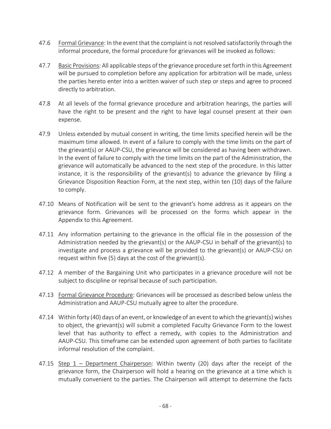- 47.6 Formal Grievance: In the event that the complaint is not resolved satisfactorily through the informal procedure, the formal procedure for grievances will be invoked as follows:
- 47.7 Basic Provisions: All applicable steps of the grievance procedure set forth in this Agreement will be pursued to completion before any application for arbitration will be made, unless the parties hereto enter into a written waiver of such step or steps and agree to proceed directly to arbitration.
- 47.8 At all levels of the formal grievance procedure and arbitration hearings, the parties will have the right to be present and the right to have legal counsel present at their own expense.
- 47.9 Unless extended by mutual consent in writing, the time limits specified herein will be the maximum time allowed. In event of a failure to comply with the time limits on the part of the grievant(s) or AAUP-CSU, the grievance will be considered as having been withdrawn. In the event of failure to comply with the time limits on the part of the Administration, the grievance will automatically be advanced to the next step of the procedure. In this latter instance, it is the responsibility of the grievant(s) to advance the grievance by filing a Grievance Disposition Reaction Form, at the next step, within ten (10) days of the failure to comply.
- 47.10 Means of Notification will be sent to the grievant's home address as it appears on the grievance form. Grievances will be processed on the forms which appear in the Appendix to this Agreement.
- 47.11 Any information pertaining to the grievance in the official file in the possession of the Administration needed by the grievant(s) or the AAUP-CSU in behalf of the grievant(s) to investigate and process a grievance will be provided to the grievant(s) or AAUP-CSU on request within five (5) days at the cost of the grievant(s).
- 47.12 A member of the Bargaining Unit who participates in a grievance procedure will not be subject to discipline or reprisal because of such participation.
- 47.13 Formal Grievance Procedure: Grievances will be processed as described below unless the Administration and AAUP-CSU mutually agree to alter the procedure.
- 47.14 Within forty (40) days of an event, or knowledge of an event to which the grievant(s) wishes to object, the grievant(s) will submit a completed Faculty Grievance Form to the lowest level that has authority to effect a remedy, with copies to the Administration and AAUP-CSU. This timeframe can be extended upon agreement of both parties to facilitate informal resolution of the complaint.
- 47.15 Step 1 Department Chairperson: Within twenty (20) days after the receipt of the grievance form, the Chairperson will hold a hearing on the grievance at a time which is mutually convenient to the parties. The Chairperson will attempt to determine the facts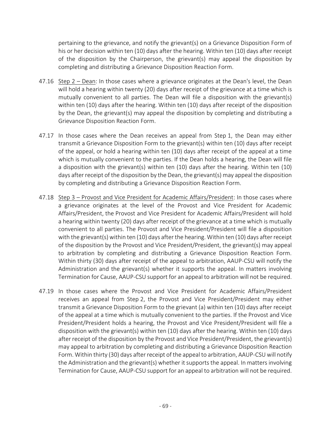pertaining to the grievance, and notify the grievant(s) on a Grievance Disposition Form of his or her decision within ten (10) days after the hearing. Within ten (10) days after receipt of the disposition by the Chairperson, the grievant(s) may appeal the disposition by completing and distributing a Grievance Disposition Reaction Form.

- 47.16 Step 2 Dean: In those cases where a grievance originates at the Dean's level, the Dean will hold a hearing within twenty (20) days after receipt of the grievance at a time which is mutually convenient to all parties. The Dean will file a disposition with the grievant(s) within ten (10) days after the hearing. Within ten (10) days after receipt of the disposition by the Dean, the grievant(s) may appeal the disposition by completing and distributing a Grievance Disposition Reaction Form.
- 47.17 In those cases where the Dean receives an appeal from Step 1, the Dean may either transmit a Grievance Disposition Form to the grievant(s) within ten (10) days after receipt of the appeal, or hold a hearing within ten (10) days after receipt of the appeal at a time which is mutually convenient to the parties. If the Dean holds a hearing, the Dean will file a disposition with the grievant(s) within ten (10) days after the hearing. Within ten (10) days after receipt of the disposition by the Dean, the grievant(s) may appeal the disposition by completing and distributing a Grievance Disposition Reaction Form.
- 47.18 Step 3 Provost and Vice President for Academic Affairs/President: In those cases where a grievance originates at the level of the Provost and Vice President for Academic Affairs/President, the Provost and Vice President for Academic Affairs/President will hold a hearing within twenty (20) days after receipt of the grievance at a time which is mutually convenient to all parties. The Provost and Vice President/President will file a disposition with the grievant(s) within ten (10) days after the hearing. Within ten (10) days after receipt of the disposition by the Provost and Vice President/President, the grievant(s) may appeal to arbitration by completing and distributing a Grievance Disposition Reaction Form. Within thirty (30) days after receipt of the appeal to arbitration, AAUP-CSU will notify the Administration and the grievant(s) whether it supports the appeal. In matters involving Termination for Cause, AAUP-CSU support for an appeal to arbitration will not be required.
- 47.19 In those cases where the Provost and Vice President for Academic Affairs/President receives an appeal from Step 2, the Provost and Vice President/President may either transmit a Grievance Disposition Form to the grievant (a) within ten (10) days after receipt of the appeal at a time which is mutually convenient to the parties. If the Provost and Vice President/President holds a hearing, the Provost and Vice President/President will file a disposition with the grievant(s) within ten (10) days after the hearing. Within ten (10) days after receipt of the disposition by the Provost and Vice President/President, the grievant(s) may appeal to arbitration by completing and distributing a Grievance Disposition Reaction Form. Within thirty (30) days after receipt of the appeal to arbitration, AAUP-CSU will notify the Administration and the grievant(s) whether it supports the appeal. In matters involving Termination for Cause, AAUP-CSU support for an appeal to arbitration will not be required.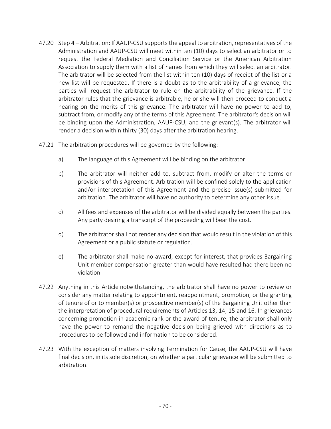- 47.20 Step 4 Arbitration: If AAUP-CSU supports the appeal to arbitration, representatives of the Administration and AAUP-CSU will meet within ten (10) days to select an arbitrator or to request the Federal Mediation and Conciliation Service or the American Arbitration Association to supply them with a list of names from which they will select an arbitrator. The arbitrator will be selected from the list within ten (10) days of receipt of the list or a new list will be requested. If there is a doubt as to the arbitrability of a grievance, the parties will request the arbitrator to rule on the arbitrability of the grievance. If the arbitrator rules that the grievance is arbitrable, he or she will then proceed to conduct a hearing on the merits of this grievance. The arbitrator will have no power to add to, subtract from, or modify any of the terms of this Agreement. The arbitrator's decision will be binding upon the Administration, AAUP-CSU, and the grievant(s). The arbitrator will render a decision within thirty (30) days after the arbitration hearing.
- 47.21 The arbitration procedures will be governed by the following:
	- a) The language of this Agreement will be binding on the arbitrator.
	- b) The arbitrator will neither add to, subtract from, modify or alter the terms or provisions of this Agreement. Arbitration will be confined solely to the application and/or interpretation of this Agreement and the precise issue(s) submitted for arbitration. The arbitrator will have no authority to determine any other issue.
	- c) All fees and expenses of the arbitrator will be divided equally between the parties. Any party desiring a transcript of the proceeding will bear the cost.
	- d) The arbitrator shall not render any decision that would result in the violation of this Agreement or a public statute or regulation.
	- e) The arbitrator shall make no award, except for interest, that provides Bargaining Unit member compensation greater than would have resulted had there been no violation.
- 47.22 Anything in this Article notwithstanding, the arbitrator shall have no power to review or consider any matter relating to appointment, reappointment, promotion, or the granting of tenure of or to member(s) or prospective member(s) of the Bargaining Unit other than the interpretation of procedural requirements of Articles 13, 14, 15 and 16. In grievances concerning promotion in academic rank or the award of tenure, the arbitrator shall only have the power to remand the negative decision being grieved with directions as to procedures to be followed and information to be considered.
- 47.23 With the exception of matters involving Termination for Cause, the AAUP-CSU will have final decision, in its sole discretion, on whether a particular grievance will be submitted to arbitration.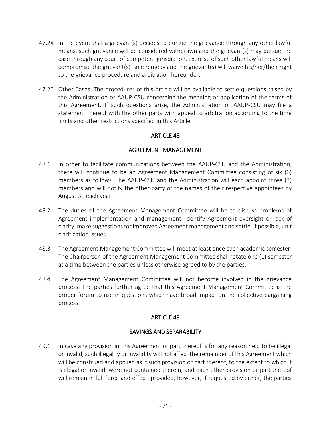- 47.24 In the event that a grievant(s) decides to pursue the grievance through any other lawful means, such grievance will be considered withdrawn and the grievant(s) may pursue the case through any court of competent jurisdiction. Exercise of such other lawful means will compromise the grievant(s)' sole remedy and the grievant(s) will waive his/her/their right to the grievance procedure and arbitration hereunder.
- 47.25 Other Cases: The procedures of this Article will be available to settle questions raised by the Administration or AAUP-CSU concerning the meaning or application of the terms of this Agreement. If such questions arise, the Administration or AAUP-CSU may file a statement thereof with the other party with appeal to arbitration according to the time limits and other restrictions specified in this Article.

## ARTICLE 48

## AGREEMENT MANAGEMENT

- 48.1 In order to facilitate communications between the AAUP-CSU and the Administration, there will continue to be an Agreement Management Committee consisting of six (6) members as follows. The AAUP-CSU and the Administration will each appoint three (3) members and will notify the other party of the names of their respective appointees by August 31 each year.
- 48.2 The duties of the Agreement Management Committee will be to discuss problems of Agreement implementation and management, identify Agreement oversight or lack of clarity, make suggestions for improved Agreement management and settle, if possible, unit clarification issues.
- 48.3 The Agreement Management Committee will meet at least once each academic semester. The Chairperson of the Agreement Management Committee shall rotate one (1) semester at a time between the parties unless otherwise agreed to by the parties.
- 48.4 The Agreement Management Committee will not become involved in the grievance process. The parties further agree that this Agreement Management Committee is the proper forum to use in questions which have broad impact on the collective bargaining process.

## ARTICLE 49

## SAVINGS AND SEPARABILITY

49.1 In case any provision in this Agreement or part thereof is for any reason held to be illegal or invalid, such illegality or invalidity will not affect the remainder of this Agreement which will be construed and applied as if such provision or part thereof, to the extent to which it is illegal or invalid, were not contained therein, and each other provision or part thereof will remain in full force and effect; provided, however, if requested by either, the parties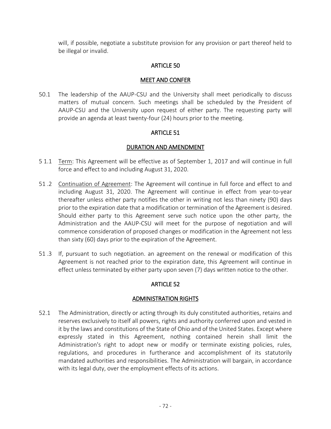will, if possible, negotiate a substitute provision for any provision or part thereof held to be illegal or invalid.

## ARTICLE 50

#### MEET AND CONFER

50.1 The leadership of the AAUP-CSU and the University shall meet periodically to discuss matters of mutual concern. Such meetings shall be scheduled by the President of AAUP-CSU and the University upon request of either party. The requesting party will provide an agenda at least twenty-four (24) hours prior to the meeting.

## ARTICLE 51

## DURATION AND AMENDMENT

- 5 1.1 Term: This Agreement will be effective as of September 1, 2017 and will continue in full force and effect to and including August 31, 2020.
- 51 .2 Continuation of Agreement: The Agreement will continue in full force and effect to and including August 31, 2020. The Agreement will continue in effect from year-to-year thereafter unless either party notifies the other in writing not less than ninety (90) days prior to the expiration date that a modification or termination of the Agreement is desired. Should either party to this Agreement serve such notice upon the other party, the Administration and the AAUP-CSU will meet for the purpose of negotiation and will commence consideration of proposed changes or modification in the Agreement not less than sixty (60) days prior to the expiration of the Agreement.
- 51 .3 If, pursuant to such negotiation. an agreement on the renewal or modification of this Agreement is not reached prior to the expiration date, this Agreement will continue in effect unless terminated by either party upon seven (7) days written notice to the other.

## ARTICLE 52

## ADMINISTRATION RIGHTS

52.1 The Administration, directly or acting through its duly constituted authorities, retains and reserves exclusively to itself all powers, rights and authority conferred upon and vested in it by the laws and constitutions of the State of Ohio and of the United States. Except where expressly stated in this Agreement, nothing contained herein shall limit the Administration's right to adopt new or modify or terminate existing policies, rules, regulations, and procedures in furtherance and accomplishment of its statutorily mandated authorities and responsibilities. The Administration will bargain, in accordance with its legal duty, over the employment effects of its actions.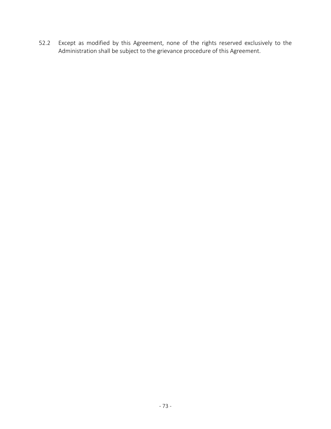52.2 Except as modified by this Agreement, none of the rights reserved exclusively to the Administration shall be subject to the grievance procedure of this Agreement.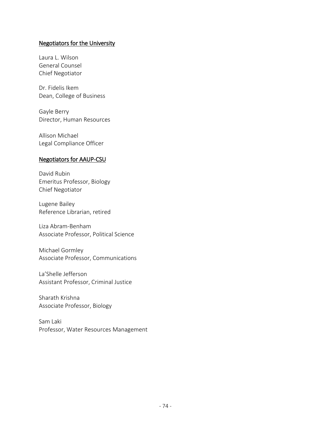#### Negotiators for the University

Laura L. Wilson General Counsel Chief Negotiator

Dr. Fidelis Ikem Dean, College of Business

Gayle Berry Director, Human Resources

Allison Michael Legal Compliance Officer

#### Negotiators for AAUP-CSU

David Rubin Emeritus Professor, Biology Chief Negotiator

Lugene Bailey Reference Librarian, retired

Liza Abram-Benham Associate Professor, Political Science

Michael Gormley Associate Professor, Communications

La'Shelle Jefferson Assistant Professor, Criminal Justice

Sharath Krishna Associate Professor, Biology

Sam Laki Professor, Water Resources Management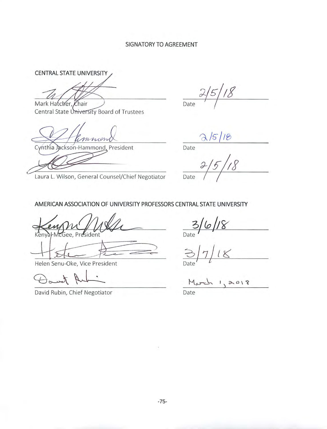#### SIGNATORY TO AGREEMENT

CENTRAL STATE UNIVERSITY

Mark Hatcher, Chair

Central State University Board of Trustees

Backson-Hammond, President Cynthia

Laura L. Wilson, General Counsel/Chief Negotiator

Date

Date

 $rac{1}{\sqrt{2}}$ Date

AMERICAN ASSOCIATION OF UNIVERSITY PROFESSORS CENTRAL STATE UNIVERSITY

Helen Senu-Oke, Vice President

David Rubin, Chief Negotiator

 $3/6/18$ Date

 $1,2018$ March

Date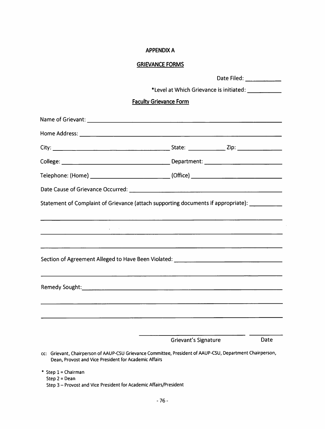#### **APPENDIX A**

## **GRIEVANCE FORMS**

|                                                                                                                                                                    |                                                                                                                      | Date Filed: ____________ |
|--------------------------------------------------------------------------------------------------------------------------------------------------------------------|----------------------------------------------------------------------------------------------------------------------|--------------------------|
|                                                                                                                                                                    | *Level at Which Grievance is initiated: \[\stangeline{infty}}                                                        |                          |
|                                                                                                                                                                    | <b>Faculty Grievance Form</b>                                                                                        |                          |
|                                                                                                                                                                    |                                                                                                                      |                          |
|                                                                                                                                                                    |                                                                                                                      |                          |
|                                                                                                                                                                    |                                                                                                                      |                          |
|                                                                                                                                                                    |                                                                                                                      |                          |
| Telephone: (Home) ____________________________(Office) _________________________                                                                                   |                                                                                                                      |                          |
|                                                                                                                                                                    |                                                                                                                      |                          |
| Statement of Complaint of Grievance (attach supporting documents if appropriate): ___________                                                                      |                                                                                                                      |                          |
|                                                                                                                                                                    |                                                                                                                      |                          |
|                                                                                                                                                                    | <u> 1980 - Jan James James Jan James James James James James James James James James James James James James Jam</u> |                          |
|                                                                                                                                                                    |                                                                                                                      |                          |
| Section of Agreement Alleged to Have Been Violated: _____________________________                                                                                  |                                                                                                                      |                          |
|                                                                                                                                                                    |                                                                                                                      |                          |
|                                                                                                                                                                    |                                                                                                                      |                          |
|                                                                                                                                                                    |                                                                                                                      |                          |
|                                                                                                                                                                    |                                                                                                                      |                          |
|                                                                                                                                                                    |                                                                                                                      |                          |
|                                                                                                                                                                    | Grievant's Signature                                                                                                 | Date                     |
| cc: Grievant, Chairperson of AAUP-CSU Grievance Committee, President of AAUP-CSU, Department Chairperson,<br>Dean, Provost and Vice President for Academic Affairs |                                                                                                                      |                          |
| * Step 1 = Chairman<br>Step $2 = Dean$<br>Step 3 - Provost and Vice President for Academic Affairs/President                                                       |                                                                                                                      |                          |

 $\mathcal{L}_{\mathcal{L}}$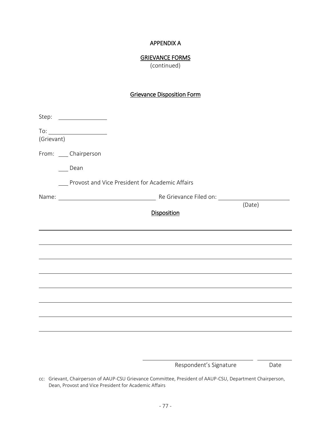## APPENDIX A

## GRIEVANCE FORMS

(continued)

## Grievance Disposition Form

| (Grievant) | $\begin{picture}(150,10) \put(0,0){\line(1,0){10}} \put(0,0){\line(1,0){10}} \put(0,0){\line(1,0){10}} \put(0,0){\line(1,0){10}} \put(0,0){\line(1,0){10}} \put(0,0){\line(1,0){10}} \put(0,0){\line(1,0){10}} \put(0,0){\line(1,0){10}} \put(0,0){\line(1,0){10}} \put(0,0){\line(1,0){10}} \put(0,0){\line(1,0){10}} \put(0,0){\line(1,0){10}} \put(0$ |
|------------|----------------------------------------------------------------------------------------------------------------------------------------------------------------------------------------------------------------------------------------------------------------------------------------------------------------------------------------------------------|
|            | From: ____ Chairperson                                                                                                                                                                                                                                                                                                                                   |
|            | Dean                                                                                                                                                                                                                                                                                                                                                     |
|            | Provost and Vice President for Academic Affairs                                                                                                                                                                                                                                                                                                          |
|            | (Date)                                                                                                                                                                                                                                                                                                                                                   |
|            | <b>Disposition</b>                                                                                                                                                                                                                                                                                                                                       |
|            |                                                                                                                                                                                                                                                                                                                                                          |
|            |                                                                                                                                                                                                                                                                                                                                                          |
|            |                                                                                                                                                                                                                                                                                                                                                          |
|            |                                                                                                                                                                                                                                                                                                                                                          |
|            |                                                                                                                                                                                                                                                                                                                                                          |
|            |                                                                                                                                                                                                                                                                                                                                                          |
|            |                                                                                                                                                                                                                                                                                                                                                          |
|            |                                                                                                                                                                                                                                                                                                                                                          |
|            |                                                                                                                                                                                                                                                                                                                                                          |

Respondent's Signature **Date** 

cc: Grievant, Chairperson of AAUP-CSU Grievance Committee, President of AAUP-CSU, Department Chairperson, Dean, Provost and Vice President for Academic Affairs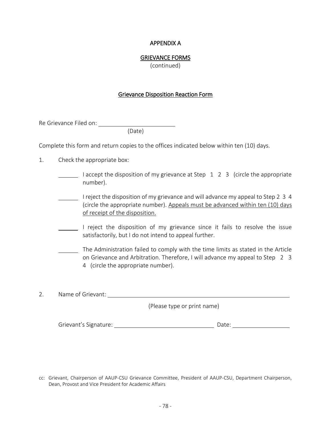#### APPENDIX A

#### GRIEVANCE FORMS

(continued)

#### Grievance Disposition Reaction Form

Re Grievance Filed on:

(Date)

Complete this form and return copies to the offices indicated below within ten (10) days.

- 1. Check the appropriate box:
	- I accept the disposition of my grievance at Step  $\,1\,$  2  $\,$  3 (circle the appropriate number).
	- I reject the disposition of my grievance and will advance my appeal to Step 2 3 4 (circle the appropriate number). Appeals must be advanced within ten (10) days of receipt of the disposition.
	- I reject the disposition of my grievance since it fails to resolve the issue satisfactorily, but I do not intend to appeal further.
	- The Administration failed to comply with the time limits as stated in the Article on Grievance and Arbitration. Therefore, I will advance my appeal to Step 2 3 4 (circle the appropriate number).

2. Name of Grievant:

(Please type or print name)

| Grievant's Signature: |  |  |
|-----------------------|--|--|
|-----------------------|--|--|

cc: Grievant, Chairperson of AAUP-CSU Grievance Committee, President of AAUP-CSU, Department Chairperson, Dean, Provost and Vice President for Academic Affairs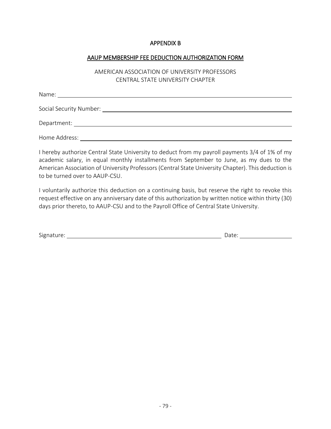#### APPENDIX B

#### AAUP MEMBERSHIP FEE DEDUCTION AUTHORIZATION FORM

## AMERICAN ASSOCIATION OF UNIVERSITY PROFESSORS CENTRAL STATE UNIVERSITY CHAPTER

| Name:         |  |  |
|---------------|--|--|
|               |  |  |
| Department:   |  |  |
| Home Address: |  |  |

I hereby authorize Central State University to deduct from my payroll payments 3/4 of 1% of my academic salary, in equal monthly installments from September to June, as my dues to the American Association of University Professors (Central State University Chapter). This deduction is to be turned over to AAUP-CSU.

I voluntarily authorize this deduction on a continuing basis, but reserve the right to revoke this request effective on any anniversary date of this authorization by written notice within thirty (30) days prior thereto, to AAUP-CSU and to the Payroll Office of Central State University.

| <b></b><br>Signature: | Jdle. |  |
|-----------------------|-------|--|
|                       |       |  |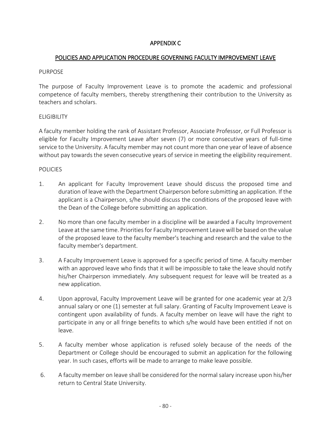## APPENDIX C

## POLICIES AND APPLICATION PROCEDURE GOVERNING FACULTY IMPROVEMENT LEAVE

#### PURPOSE

The purpose of Faculty Improvement Leave is to promote the academic and professional competence of faculty members, thereby strengthening their contribution to the University as teachers and scholars.

## ELIGIBILITY

A faculty member holding the rank of Assistant Professor, Associate Professor, or Full Professor is eligible for Faculty Improvement Leave after seven (7) or more consecutive years of full-time service to the University. A faculty member may not count more than one year of leave of absence without pay towards the seven consecutive years of service in meeting the eligibility requirement.

## POLICIES

- 1. An applicant for Faculty Improvement Leave should discuss the proposed time and duration of leave with the Department Chairperson before submitting an application. If the applicant is a Chairperson, s/he should discuss the conditions of the proposed leave with the Dean of the College before submitting an application.
- 2. No more than one faculty member in a discipline will be awarded a Faculty Improvement Leave at the same time. Priorities for Faculty Improvement Leave will be based on the value of the proposed leave to the faculty member's teaching and research and the value to the faculty member's department.
- 3. A Faculty Improvement Leave is approved for a specific period of time. A faculty member with an approved leave who finds that it will be impossible to take the leave should notify his/her Chairperson immediately. Any subsequent request for leave will be treated as a new application.
- 4. Upon approval, Faculty Improvement Leave will be granted for one academic year at 2/3 annual salary or one (1) semester at full salary. Granting of Faculty Improvement Leave is contingent upon availability of funds. A faculty member on leave will have the right to participate in any or all fringe benefits to which s/he would have been entitled if not on leave.
- 5. A faculty member whose application is refused solely because of the needs of the Department or College should be encouraged to submit an application for the following year. In such cases, efforts will be made to arrange to make leave possible.
- 6. A faculty member on leave shall be considered for the normal salary increase upon his/her return to Central State University.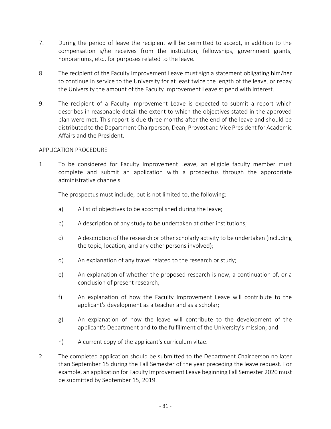- 7. During the period of leave the recipient will be permitted to accept, in addition to the compensation s/he receives from the institution, fellowships, government grants, honorariums, etc., for purposes related to the leave.
- 8. The recipient of the Faculty Improvement Leave must sign a statement obligating him/her to continue in service to the University for at least twice the length of the leave, or repay the University the amount of the Faculty Improvement Leave stipend with interest.
- 9. The recipient of a Faculty Improvement Leave is expected to submit a report which describes in reasonable detail the extent to which the objectives stated in the approved plan were met. This report is due three months after the end of the leave and should be distributed to the Department Chairperson, Dean, Provost and Vice President for Academic Affairs and the President.

## APPLICATION PROCEDURE

1. To be considered for Faculty Improvement Leave, an eligible faculty member must complete and submit an application with a prospectus through the appropriate administrative channels.

The prospectus must include, but is not limited to, the following:

- a) A list of objectives to be accomplished during the leave;
- b) A description of any study to be undertaken at other institutions;
- c) A description of the research or other scholarly activity to be undertaken (including the topic, location, and any other persons involved);
- d) An explanation of any travel related to the research or study;
- e) An explanation of whether the proposed research is new, a continuation of, or a conclusion of present research;
- f) An explanation of how the Faculty Improvement Leave will contribute to the applicant's development as a teacher and as a scholar;
- g) An explanation of how the leave will contribute to the development of the applicant's Department and to the fulfillment of the University's mission; and
- h) A current copy of the applicant's curriculum vitae.
- 2. The completed application should be submitted to the Department Chairperson no later than September 15 during the Fall Semester of the year preceding the leave request. For example, an application for Faculty Improvement Leave beginning Fall Semester 2020 must be submitted by September 15, 2019.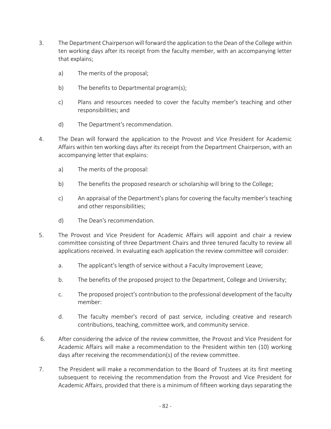- 3. The Department Chairperson will forward the application to the Dean of the College within ten working days after its receipt from the faculty member, with an accompanying letter that explains;
	- a) The merits of the proposal;
	- b) The benefits to Departmental program(s);
	- c) Plans and resources needed to cover the faculty member's teaching and other responsibilities; and
	- d) The Department's recommendation.
- 4. The Dean will forward the application to the Provost and Vice President for Academic Affairs within ten working days after its receipt from the Department Chairperson, with an accompanying letter that explains:
	- a) The merits of the proposal:
	- b) The benefits the proposed research or scholarship will bring to the College;
	- c) An appraisal of the Department's plans for covering the faculty member's teaching and other responsibilities;
	- d) The Dean's recommendation.
- 5. The Provost and Vice President for Academic Affairs will appoint and chair a review committee consisting of three Department Chairs and three tenured faculty to review all applications received. In evaluating each application the review committee will consider:
	- a. The applicant's length of service without a Faculty Improvement Leave;
	- b. The benefits of the proposed project to the Department, College and University;
	- c. The proposed project's contribution to the professional development of the faculty member:
	- d. The faculty member's record of past service, including creative and research contributions, teaching, committee work, and community service.
- 6. After considering the advice of the review committee, the Provost and Vice President for Academic Affairs will make a recommendation to the President within ten (10) working days after receiving the recommendation(s) of the review committee.
- 7. The President will make a recommendation to the Board of Trustees at its first meeting subsequent to receiving the recommendation from the Provost and Vice President for Academic Affairs, provided that there is a minimum of fifteen working days separating the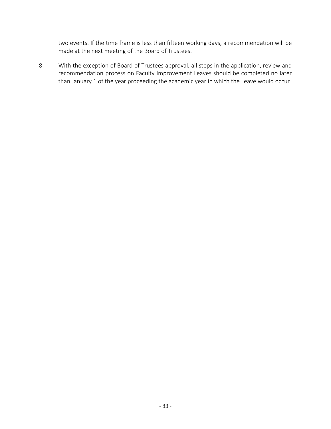two events. If the time frame is less than fifteen working days, a recommendation will be made at the next meeting of the Board of Trustees.

8. With the exception of Board of Trustees approval, all steps in the application, review and recommendation process on Faculty Improvement Leaves should be completed no later than January 1 of the year proceeding the academic year in which the Leave would occur.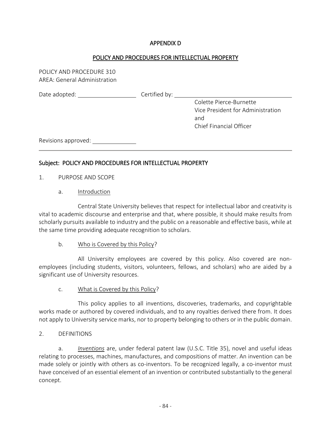## APPENDIX D

## POLICY AND PROCEDURES FOR INTELLECTUAL PROPERTY

POLICY AND PROCEDURE 310 AREA: General Administration

Date adopted: Certified by:

Colette Pierce-Burnette Vice President for Administration and Chief Financial Officer

Revisions approved:

## Subject: POLICY AND PROCEDURES FOR INTELLECTUAL PROPERTY

- 1. PURPOSE AND SCOPE
	- a. Introduction

Central State University believes that respect for intellectual labor and creativity is vital to academic discourse and enterprise and that, where possible, it should make results from scholarly pursuits available to industry and the public on a reasonable and effective basis, while at the same time providing adequate recognition to scholars.

## b. Who is Covered by this Policy?

All University employees are covered by this policy. Also covered are nonemployees (including students, visitors, volunteers, fellows, and scholars) who are aided by a significant use of University resources.

c. What is Covered by this Policy?

This policy applies to all inventions, discoveries, trademarks, and copyrightable works made or authored by covered individuals, and to any royalties derived there from. It does not apply to University service marks, nor to property belonging to others or in the public domain.

## 2. DEFINITIONS

a. *Inventions* are, under federal patent law (U.S.C. Title 35), novel and useful ideas relating to processes, machines, manufactures, and compositions of matter. An invention can be made solely or jointly with others as co-inventors. To be recognized legally, a co-inventor must have conceived of an essential element of an invention or contributed substantially to the general concept.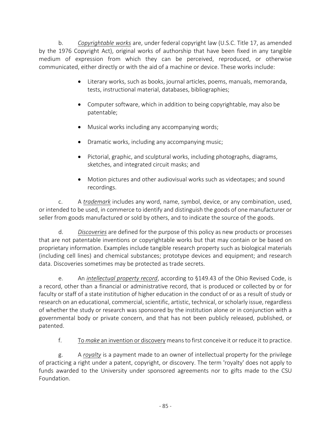b. *Copyrightable works* are, under federal copyright law (U.S.C. Title 17, as amended by the 1976 Copyright Act), original works of authorship that have been fixed in any tangible medium of expression from which they can be perceived, reproduced, or otherwise communicated, either directly or with the aid of a machine or device. These works include:

- Literary works, such as books, journal articles, poems, manuals, memoranda, tests, instructional material, databases, bibliographies;
- Computer software, which in addition to being copyrightable, may also be patentable;
- Musical works including any accompanying words;
- Dramatic works, including any accompanying music;
- Pictorial, graphic, and sculptural works, including photographs, diagrams, sketches, and integrated circuit masks; and
- Motion pictures and other audiovisual works such as videotapes; and sound recordings.

c. A *trademark* includes any word, name, symbol, device, or any combination, used, or intended to be used, in commerce to identify and distinguish the goods of one manufacturer or seller from goods manufactured or sold by others, and to indicate the source of the goods.

d. *Discoveries* are defined for the purpose of this policy as new products or processes that are not patentable inventions or copyrightable works but that may contain or be based on proprietary information. Examples include tangible research property such as biological materials (including cell lines) and chemical substances; prototype devices and equipment; and research data. Discoveries sometimes may be protected as trade secrets.

e. An *intellectual property record*, according to §149.43 of the Ohio Revised Code, is a record, other than a financial or administrative record, that is produced or collected by or for faculty or staff of a state institution of higher education in the conduct of or as a result of study or research on an educational, commercial, scientific, artistic, technical, or scholarly issue, regardless of whether the study or research was sponsored by the institution alone or in conjunction with a governmental body or private concern, and that has not been publicly released, published, or patented.

f. To *make* an invention or discovery means to first conceive it or reduce it to practice.

g. A *royalty* is a payment made to an owner of intellectual property for the privilege of practicing a right under a patent, copyright, or discovery. The term 'royalty' does not apply to funds awarded to the University under sponsored agreements nor to gifts made to the CSU Foundation.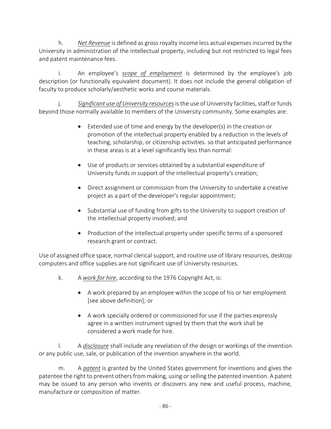h. *Net Revenue* is defined as gross royalty income less actual expenses incurred by the University in administration of the intellectual property, including but not restricted to legal fees and patent maintenance fees.

i. An employee's *scope of employment* is determined by the employee's job description (or functionally equivalent document). It does not include the general obligation of faculty to produce scholarly/aesthetic works and course materials.

j. *Significant use of University resources* is the use of University facilities, staff or funds beyond those normally available to members of the University community. Some examples are:

- Extended use of time and energy by the developer(s) in the creation or promotion of the intellectual property enabled by a reduction in the levels of teaching, scholarship, or citizenship activities. so that anticipated performance in these areas is at a level significantly less than normal:
- Use of products or services obtained by a substantial expenditure of University funds in support of the intellectual property's creation;
- Direct assignment or commission from the University to undertake a creative project as a part of the developer's regular appointment;
- Substantial use of funding from gifts to the University to support creation of the intellectual property involved; and
- Production of the intellectual property under specific terms of a sponsored research grant or contract.

Use of assigned office space, normal clerical support, and routine use of library resources, desktop computers and office supplies are not significant use of University resources.

- k. A *work for hire*, according to the 1976 Copyright Act, is:
	- A work prepared by an employee within the scope of his or her employment [see above definition]; or
	- A work specially ordered or commissioned for use if the parties expressly agree in a written instrument signed by them that the work shall be considered a work made for hire.

l. A *disclosure* shall include any revelation of the design or workings of the invention or any public use, sale, or publication of the invention anywhere in the world.

m. A *patent* is granted by the United States government for inventions and gives the patentee the right to prevent others from making, using or selling the patented invention. A patent may be issued to any person who invents or discovers any new and useful process, machine, manufacture or composition of matter.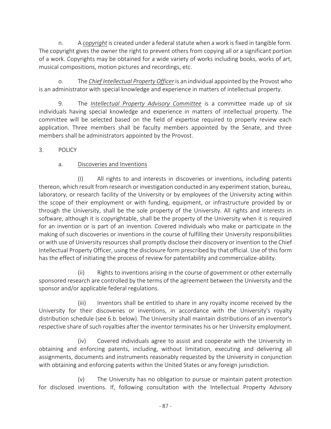n. A *copyright* is created under a federal statute when a work is fixed in tangible form. The copyright gives the owner the right to prevent others from copying all or a significant portion of a work. Copyrights may be obtained for a wide variety of works including books, works of art, musical compositions, motion pictures and recordings, etc.

o. The *Chief Intellectual Property Officer* is an individual appointed by the Provost who is an administrator with special knowledge and experience in matters of intellectual property.

9. The *Intellectual Property Advisory Committee* is a committee made up of six individuals having special knowledge and experience in matters of intellectual property. The committee will be selected based on the field of expertise required to properly review each application. Three members shall be faculty members appointed by the Senate, and three members shall be administrators appointed by the Provost.

## 3. POLICY

## a. Discoveries and Inventions

(I) All rights to and interests in discoveries or inventions, including patents thereon, which result from research or investigation conducted in any experiment station, bureau, laboratory, or research facility of the University or by employees of the University acting within the scope of their employment or with funding, equipment, or infrastructure provided by or through the University, shall be the sole property of the University. All rights and interests in software, although it is copyrightable, shall be the property of the University when it is required for an invention or is part of an invention. Covered individuals who make or participate in the making of such discoveries or inventions in the course of fulfilling their University responsibilities or with use of University resources shall promptly disclose their discovery or invention to the Chief Intellectual Property Officer, using the disclosure form prescribed by that official. Use of this form has the effect of initiating the process of review for patentability and commercialize-ability.

(ii) Rights to inventions arising in the course of government or other externally sponsored research are controlled by the terms of the agreement between the University and the sponsor and/or applicable federal regulations.

(iii) Inventors shall be entitled to share in any royalty income received by the University for their discoveries or inventions, in accordance with the University's royalty distribution schedule (see 6.b. below). The University shall maintain distributions of an inventor's respective share of such royalties after the inventor terminates his or her University employment.

(iv) Covered individuals agree to assist and cooperate with the University in obtaining and enforcing patents, including, without limitation, executing and delivering all assignments, documents and instruments reasonably requested by the University in conjunction with obtaining and enforcing patents within the United States or any foreign jurisdiction.

(v) The University has no obligation to pursue or maintain patent protection for disclosed inventions. If, following consultation with the Intellectual Property Advisory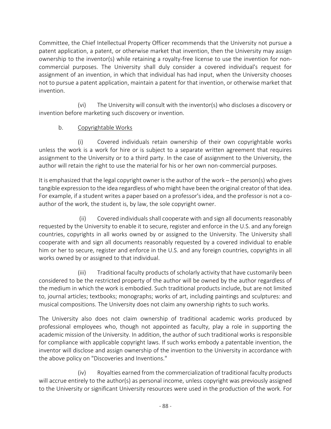Committee, the Chief Intellectual Property Officer recommends that the University not pursue a patent application, a patent, or otherwise market that invention, then the University may assign ownership to the inventor(s) while retaining a royalty-free license to use the invention for noncommercial purposes. The University shall duly consider a covered individual's request for assignment of an invention, in which that individual has had input, when the University chooses not to pursue a patent application, maintain a patent for that invention, or otherwise market that invention.

 (vi) The University will consult with the inventor(s) who discloses a discovery or invention before marketing such discovery or invention.

## b. Copyrightable Works

(i) Covered individuals retain ownership of their own copyrightable works unless the work is a work for hire or is subject to a separate written agreement that requires assignment to the University or to a third party. In the case of assignment to the University, the author will retain the right to use the material for his or her own non-commercial purposes.

It is emphasized that the legal copyright owner is the author of the work – the person(s) who gives tangible expression to the idea regardless of who might have been the original creator of that idea. For example, if a student writes a paper based on a professor's idea, and the professor is not a coauthor of the work, the student is, by law, the sole copyright owner.

 (ii) Covered individuals shall cooperate with and sign all documents reasonably requested by the University to enable it to secure, register and enforce in the U.S. and any foreign countries, copyrights in all works owned by or assigned to the University. The University shall cooperate with and sign all documents reasonably requested by a covered individual to enable him or her to secure, register and enforce in the U.S. and any foreign countries, copyrights in all works owned by or assigned to that individual.

(iii) Traditional faculty products of scholarly activity that have customarily been considered to be the restricted property of the author will be owned by the author regardless of the medium in which the work is embodied. Such traditional products include, but are not limited to, journal articles; textbooks; monographs; works of art, including paintings and sculptures: and musical compositions. The University does not claim any ownership rights to such works.

The University also does not claim ownership of traditional academic works produced by professional employees who, though not appointed as faculty, play a role in supporting the academic mission of the University. In addition, the author of such traditional works is responsible for compliance with applicable copyright laws. If such works embody a patentable invention, the inventor will disclose and assign ownership of the invention to the University in accordance with the above policy on "Discoveries and Inventions."

(iv) Royalties earned from the commercialization of traditional faculty products will accrue entirely to the author(s) as personal income, unless copyright was previously assigned to the University or significant University resources were used in the production of the work. For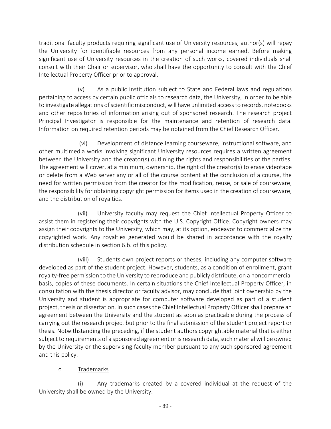traditional faculty products requiring significant use of University resources, author(s) will repay the University for identifiable resources from any personal income earned. Before making significant use of University resources in the creation of such works, covered individuals shall consult with their Chair or supervisor, who shall have the opportunity to consult with the Chief Intellectual Property Officer prior to approval.

(v) As a public institution subject to State and Federal laws and regulations pertaining to access by certain public officials to research data, the University, in order to be able to investigate allegations of scientific misconduct, will have unlimited access to records, notebooks and other repositories of information arising out of sponsored research. The research project Principal Investigator is responsible for the maintenance and retention of research data. Information on required retention periods may be obtained from the Chief Research Officer.

 (vi) Development of distance learning courseware, instructional software, and other multimedia works involving significant University resources requires a written agreement between the University and the creator(s) outlining the rights and responsibilities of the parties. The agreement will cover, at a minimum, ownership, the right of the creator(s) to erase videotape or delete from a Web server any or all of the course content at the conclusion of a course, the need for written permission from the creator for the modification, reuse, or sale of courseware, the responsibility for obtaining copyright permission for items used in the creation of courseware, and the distribution of royalties.

(vii) University faculty may request the Chief Intellectual Property Officer to assist them in registering their copyrights with the U.S. Copyright Office. Copyright owners may assign their copyrights to the University, which may, at its option, endeavor to commercialize the copyrighted work. Any royalties generated would be shared in accordance with the royalty distribution schedule in section 6.b. of this policy.

(viii) Students own project reports or theses, including any computer software developed as part of the student project. However, students, as a condition of enrollment, grant royalty-free permission to the University to reproduce and publicly distribute, on a noncommercial basis, copies of these documents. In certain situations the Chief Intellectual Property Officer, in consultation with the thesis director or faculty advisor, may conclude that joint ownership by the University and student is appropriate for computer software developed as part of a student project, thesis or dissertation. In such cases the Chief Intellectual Property Officer shall prepare an agreement between the University and the student as soon as practicable during the process of carrying out the research project but prior to the final submission of the student project report or thesis. Notwithstanding the preceding, if the student authors copyrightable material that is either subject to requirements of a sponsored agreement or is research data, such material will be owned by the University or the supervising faculty member pursuant to any such sponsored agreement and this policy.

# c. Trademarks

(i) Any trademarks created by a covered individual at the request of the University shall be owned by the University.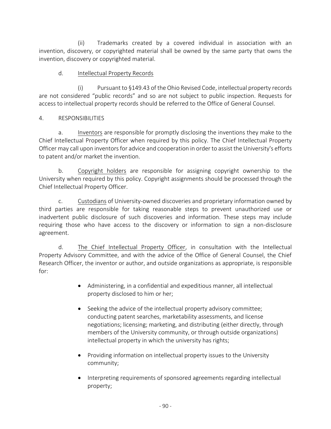(ii) Trademarks created by a covered individual in association with an invention, discovery, or copyrighted material shall be owned by the same party that owns the invention, discovery or copyrighted material.

## d. Intellectual Property Records

(i) Pursuant to §149.43 of the Ohio Revised Code, intellectual property records are not considered "public records" and so are not subject to public inspection. Requests for access to intellectual property records should be referred to the Office of General Counsel.

## 4. RESPONSIBILITIES

a. Inventors are responsible for promptly disclosing the inventions they make to the Chief Intellectual Property Officer when required by this policy. The Chief Intellectual Property Officer may call upon inventors for advice and cooperation in order to assist the University's efforts to patent and/or market the invention.

b. Copyright holders are responsible for assigning copyright ownership to the University when required by this policy. Copyright assignments should be processed through the Chief Intellectual Property Officer.

c. Custodians of University-owned discoveries and proprietary information owned by third parties are responsible for taking reasonable steps to prevent unauthorized use or inadvertent public disclosure of such discoveries and information. These steps may include requiring those who have access to the discovery or information to sign a non-disclosure agreement.

d. The Chief Intellectual Property Officer, in consultation with the Intellectual Property Advisory Committee, and with the advice of the Office of General Counsel, the Chief Research Officer, the inventor or author, and outside organizations as appropriate, is responsible for:

- Administering, in a confidential and expeditious manner, all intellectual property disclosed to him or her;
- Seeking the advice of the intellectual property advisory committee; conducting patent searches, marketability assessments, and license negotiations; licensing; marketing, and distributing (either directly, through members of the University community, or through outside organizations) intellectual property in which the university has rights;
- Providing information on intellectual property issues to the University community;
- Interpreting requirements of sponsored agreements regarding intellectual property;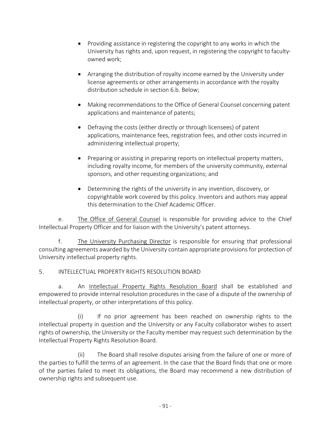- Providing assistance in registering the copyright to any works in which the University has rights and, upon request, in registering the copyright to facultyowned work;
- Arranging the distribution of royalty income earned by the University under license agreements or other arrangements in accordance with the royalty distribution schedule in section 6.b. Below;
- Making recommendations to the Office of General Counsel concerning patent applications and maintenance of patents;
- Defraying the costs (either directly or through licensees) of patent applications, maintenance fees, registration fees, and other costs incurred in administering intellectual property;
- Preparing or assisting in preparing reports on intellectual property matters, including royalty income, for members of the university community, external sponsors, and other requesting organizations; and
- Determining the rights of the university in any invention, discovery, or copyrightable work covered by this policy. Inventors and authors may appeal this determination to the Chief Academic Officer.

e. The Office of General Counsel is responsible for providing advice to the Chief Intellectual Property Officer and for liaison with the University's patent attorneys.

f. The University Purchasing Director is responsible for ensuring that professional consulting agreements awarded by the University contain appropriate provisions for protection of University intellectual property rights.

## 5. INTELLECTUAL PROPERTY RIGHTS RESOLUTION BOARD

a. An Intellectual Property Rights Resolution Board shall be established and empowered to provide internal resolution procedures in the case of a dispute of the ownership of intellectual property, or other interpretations of this policy.

(i) If no prior agreement has been reached on ownership rights to the intellectual property in question and the University or any Faculty collaborator wishes to assert rights of ownership, the University or the Faculty member may request such determination by the Intellectual Property Rights Resolution Board.

(ii) The Board shall resolve disputes arising from the failure of one or more of the parties to fulfill the terms of an agreement. In the case that the Board finds that one or more of the parties failed to meet its obligations, the Board may recommend a new distribution of ownership rights and subsequent use.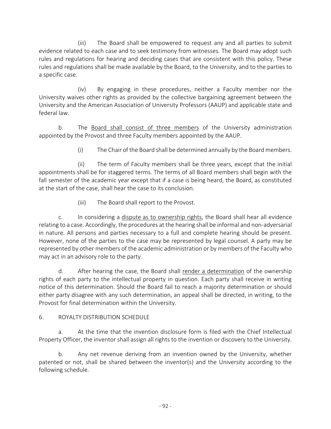(iii) The Board shall be empowered to request any and all parties to submit evidence related to each case and to seek testimony from witnesses. The Board may adopt such rules and regulations for hearing and deciding cases that are consistent with this policy. These rules and regulations shall be made available by the Board, to the University, and to the parties to a specific case.

(iv) By engaging in these procedures, neither a Faculty member nor the University waives other rights as provided by the collective bargaining agreement between the University and the American Association of University Professors (AAUP) and applicable state and federal law.

b. The Board shall consist of three members of the University administration appointed by the Provost and three Faculty members appointed by the AAUP.

(i) The Chair of the Board shall be determined annually by the Board members.

(ii) The term of Faculty members shall be three years, except that the initial appointments shall be for staggered terms. The terms of all Board members shall begin with the fall semester of the academic year except that if a case is being heard, the Board, as constituted at the start of the case, shall hear the case to its conclusion.

(iii) The Board shall report to the Provost.

c. In considering a dispute as to ownership rights, the Board shall hear all evidence relating to a case. Accordingly, the procedures at the hearing shall be informal and non-adversarial in nature. All persons and parties necessary to a full and complete hearing should be present. However, none of the parties to the case may be represented by legal counsel. A party may be represented by other members of the academic administration or by members of the Faculty who may act in an advisory role to the party.

d. After hearing the case, the Board shall render a determination of the ownership rights of each party to the intellectual property in question. Each party shall receive in writing notice of this determination. Should the Board fail to reach a majority determination or should either party disagree with any such determination, an appeal shall be directed, in writing, to the Provost for final determination within the University.

## 6. ROYALTY DISTRIBUTION SCHEDULE

a. At the time that the invention disclosure form is filed with the Chief Intellectual Property Officer, the inventor shall assign all rights to the invention or discovery to the University.

b. Any net revenue deriving from an invention owned by the University, whether patented or not, shall be shared between the inventor(s) and the University according to the following schedule.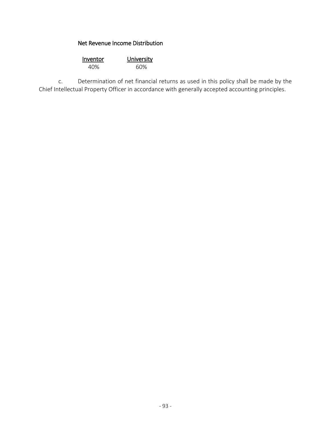## Net Revenue Income Distribution

| Inventor | University |  |
|----------|------------|--|
| 40%      | 60%        |  |

c. Determination of net financial returns as used in this policy shall be made by the Chief Intellectual Property Officer in accordance with generally accepted accounting principles.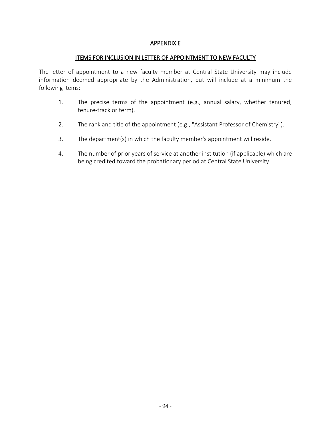#### APPENDIX E

#### ITEMS FOR INCLUSION IN LETTER OF APPOINTMENT TO NEW FACULTY

The letter of appointment to a new faculty member at Central State University may include information deemed appropriate by the Administration, but will include at a minimum the following items:

- 1. The precise terms of the appointment (e.g., annual salary, whether tenured, tenure-track or term).
- 2. The rank and title of the appointment (e.g., "Assistant Professor of Chemistry").
- 3. The department(s) in which the faculty member's appointment will reside.
- 4. The number of prior years of service at another institution (if applicable) which are being credited toward the probationary period at Central State University.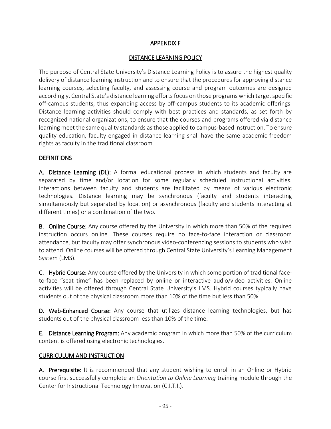## APPENDIX F

## DISTANCE LEARNING POLICY

The purpose of Central State University's Distance Learning Policy is to assure the highest quality delivery of distance learning instruction and to ensure that the procedures for approving distance learning courses, selecting faculty, and assessing course and program outcomes are designed accordingly. Central State's distance learning efforts focus on those programs which target specific off-campus students, thus expanding access by off-campus students to its academic offerings. Distance learning activities should comply with best practices and standards, as set forth by recognized national organizations, to ensure that the courses and programs offered via distance learning meet the same quality standards as those applied to campus-based instruction. To ensure quality education, faculty engaged in distance learning shall have the same academic freedom rights as faculty in the traditional classroom.

## **DEFINITIONS**

A. Distance Learning (DL): A formal educational process in which students and faculty are separated by time and/or location for some regularly scheduled instructional activities. Interactions between faculty and students are facilitated by means of various electronic technologies. Distance learning may be synchronous (faculty and students interacting simultaneously but separated by location) or asynchronous (faculty and students interacting at different times) or a combination of the two.

B. Online Course: Any course offered by the University in which more than 50% of the required instruction occurs online. These courses require no face-to-face interaction or classroom attendance, but faculty may offer synchronous video-conferencing sessions to students who wish to attend. Online courses will be offered through Central State University's Learning Management System (LMS).

C. Hybrid Course: Any course offered by the University in which some portion of traditional faceto-face "seat time" has been replaced by online or interactive audio/video activities. Online activities will be offered through Central State University's LMS. Hybrid courses typically have students out of the physical classroom more than 10% of the time but less than 50%.

D. Web-Enhanced Course: Any course that utilizes distance learning technologies, but has students out of the physical classroom less than 10% of the time.

E. Distance Learning Program: Any academic program in which more than 50% of the curriculum content is offered using electronic technologies.

## CURRICULUM AND INSTRUCTION

A. Prerequisite: It is recommended that any student wishing to enroll in an Online or Hybrid course first successfully complete an *Orientation to Online Learning* training module through the Center for Instructional Technology Innovation (C.I.T.I.).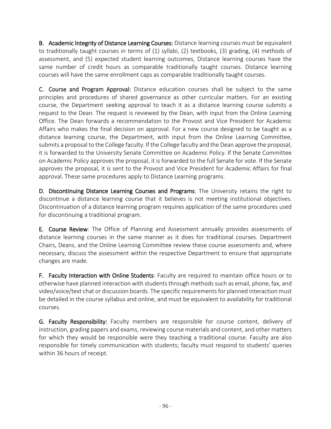B. Academic Integrity of Distance Learning Courses: Distance learning courses must be equivalent to traditionally taught courses in terms of (1) syllabi, (2) textbooks, (3) grading, (4) methods of assessment, and (5) expected student learning outcomes, Distance learning courses have the same number of credit hours as comparable traditionally taught courses. Distance learning courses will have the same enrollment caps as comparable traditionally taught courses.

C. Course and Program Approval: Distance education courses shall be subject to the same principles and procedures of shared governance as other curricular matters. For an existing course, the Department seeking approval to teach it as a distance learning course submits a request to the Dean. The request is reviewed by the Dean, with input from the Online Learning Office. The Dean forwards a recommendation to the Provost and Vice President for Academic Affairs who makes the final decision on approval. For a new course designed to be taught as a distance learning course, the Department, with input from the Online Learning Committee, submits a proposal to the College faculty. If the College faculty and the Dean approve the proposal, it is forwarded to the University Senate Committee on Academic Policy. If the Senate Committee on Academic Policy approves the proposal, it is forwarded to the full Senate for vote. If the Senate approves the proposal, it is sent to the Provost and Vice President for Academic Affairs for final approval. These same procedures apply to Distance Learning programs.

D. Discontinuing Distance Learning Courses and Programs: The University retains the right to discontinue a distance learning course that it believes is not meeting institutional objectives. Discontinuation of a distance learning program requires application of the same procedures used for discontinuing a traditional program.

E. Course Review: The Office of Planning and Assessment annually provides assessments of distance learning courses in the same manner as it does for traditional courses. Department Chairs, Deans, and the Online Learning Committee review these course assessments and, where necessary, discuss the assessment within the respective Department to ensure that appropriate changes are made.

F. Faculty Interaction with Online Students: Faculty are required to maintain office hours or to otherwise have planned interaction with students through methods such as email, phone, fax, and video/voice/text chat or discussion boards. The specific requirements for planned interaction must be detailed in the course syllabus and online, and must be equivalent to availability for traditional courses.

G. Faculty Responsibility: Faculty members are responsible for course content, delivery of instruction, grading papers and exams, reviewing course materials and content, and other matters for which they would be responsible were they teaching a traditional course. Faculty are also responsible for timely communication with students; faculty must respond to students' queries within 36 hours of receipt.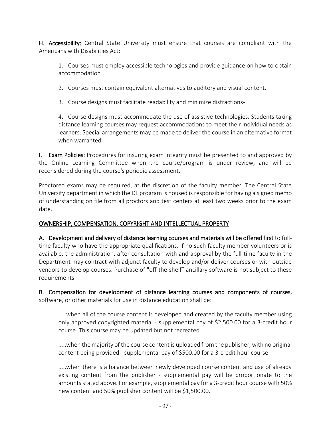H. Accessibility: Central State University must ensure that courses are compliant with the Americans with Disabilities Act:

1. Courses must employ accessible technologies and provide guidance on how to obtain accommodation.

2. Courses must contain equivalent alternatives to auditory and visual content.

3. Course designs must facilitate readability and minimize distractions-

4. Course designs must accommodate the use of assistive technologies. Students taking distance learning courses may request accommodations to meet their individual needs as learners. Special arrangements may be made to deliver the course in an alternative format when warranted.

I. Exam Policies: Procedures for insuring exam integrity must be presented to and approved by the Online Learning Committee when the course/program is under review, and will be reconsidered during the course's periodic assessment.

Proctored exams may be required, at the discretion of the faculty member. The Central State University department in which the DL program is housed is responsible for having a signed memo of understanding on file from all proctors and test centers at least two weeks prior to the exam date.

## OWNERSHIP, COMPENSATION, COPYRIGHT AND INTELLECTUAL PROPERTY

A. Development and delivery of distance learning courses and materials will be offered first to fulltime faculty who have the appropriate qualifications. If no such faculty member volunteers or is available, the administration, after consultation with and approval by the full-time faculty in the Department may contract with adjunct faculty to develop and/or deliver courses or with outside vendors to develop courses. Purchase of "off-the-shelf" ancillary software is not subject to these requirements.

B. Compensation for development of distance learning courses and components of courses, software, or other materials for use in distance education shall be:

.....when all of the course content is developed and created by the faculty member using only approved copyrighted material - supplemental pay of \$2,500.00 for a 3-credit hour course. This course may be updated but not recreated.

.....when the majority of the course content is uploaded from the publisher, with no original content being provided - supplemental pay of \$500.00 for a 3-credit hour course.

.....when there is a balance between newly developed course content and use of already existing content from the publisher - supplemental pay will be proportionate to the amounts stated above. For example, supplemental pay for a 3-credit hour course with 50% new content and 50% publisher content will be \$1,500.00.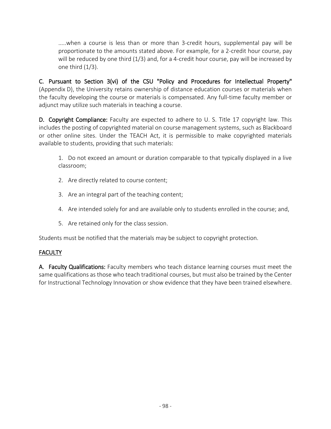.....when a course is less than or more than 3-credit hours, supplemental pay will be proportionate to the amounts stated above. For example, for a 2-credit hour course, pay will be reduced by one third (1/3) and, for a 4-credit hour course, pay will be increased by one third  $(1/3)$ .

C. Pursuant to Section 3(vi) of the CSU "Policy and Procedures for Intellectual Property" (Appendix D), the University retains ownership of distance education courses or materials when the faculty developing the course or materials is compensated. Any full-time faculty member or adjunct may utilize such materials in teaching a course.

D. Copyright Compliance: Faculty are expected to adhere to U. S. Title 17 copyright law. This includes the posting of copyrighted material on course management systems, such as Blackboard or other online sites. Under the TEACH Act, it is permissible to make copyrighted materials available to students, providing that such materials:

1. Do not exceed an amount or duration comparable to that typically displayed in a live classroom;

- 2. Are directly related to course content;
- 3. Are an integral part of the teaching content;
- 4. Are intended solely for and are available only to students enrolled in the course; and,
- 5. Are retained only for the class session.

Students must be notified that the materials may be subject to copyright protection.

## FACULTY

A. Faculty Qualifications: Faculty members who teach distance learning courses must meet the same qualifications as those who teach traditional courses, but must also be trained by the Center for Instructional Technology Innovation or show evidence that they have been trained elsewhere.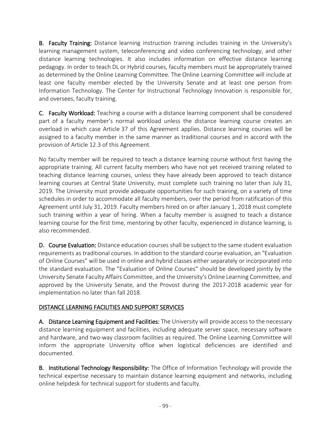B. Faculty Training: Distance learning instruction training includes training in the University's learning management system, teleconferencing and video conferencing technology, and other distance learning technologies. It also includes information on effective distance learning pedagogy. In order to teach DL or Hybrid courses, faculty members must be appropriately trained as determined by the Online Learning Committee. The Online Learning Committee will include at least one faculty member elected by the University Senate and at least one person from Information Technology. The Center for Instructional Technology Innovation is responsible for, and oversees, faculty training.

C. Faculty Workload: Teaching a course with a distance learning component shall be considered part of a faculty member's normal workload unless the distance learning course creates an overload in which case Article 37 of this Agreement applies. Distance learning courses will be assigned to a faculty member in the same manner as traditional courses and in accord with the provision of Article 12.3 of this Agreement.

No faculty member will be required to teach a distance learning course without first having the appropriate training. All current faculty members who have not yet received training related to teaching distance learning courses, unless they have already been approved to teach distance learning courses at Central State University, must complete such training no later than July 31, 2019. The University must provide adequate opportunities for such training, on a variety of time schedules in order to accommodate all faculty members, over the period from ratification of this Agreement until July 31, 2019. Faculty members hired on or after January 1, 2018 must complete such training within a year of hiring. When a faculty member is assigned to teach a distance learning course for the first time, mentoring by other faculty, experienced in distance learning, is also recommended.

D. Course Evaluation: Distance education courses shall be subject to the same student evaluation requirements as traditional courses. In addition to the standard course evaluation, an "Evaluation of Online Courses" will be used in online and hybrid classes either separately or incorporated into the standard evaluation. The "Evaluation of Online Courses" should be developed jointly by the University Senate Faculty Affairs Committee, and the University's Online Learning Committee, and approved by the University Senate, and the Provost during the 2017-2018 academic year for implementation no later than fall 2018.

# DISTANCE LEARNING FACILITIES AND SUPPORT SERVICES

A. Distance Learning Equipment and Facilities: The University will provide access to the necessary distance learning equipment and facilities, including adequate server space, necessary software and hardware, and two-way classroom facilities as required. The Online Learning Committee will inform the appropriate University office when logistical deficiencies are identified and documented.

B. Institutional Technology Responsibility: The Office of Information Technology will provide the technical expertise necessary to maintain distance learning equipment and networks, including online helpdesk for technical support for students and faculty.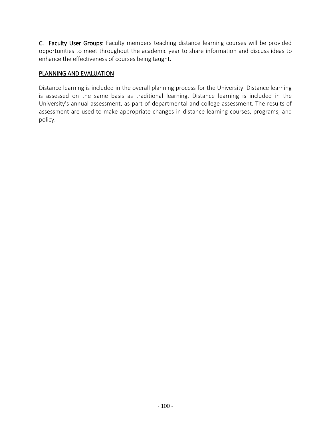C. Faculty User Groups: Faculty members teaching distance learning courses will be provided opportunities to meet throughout the academic year to share information and discuss ideas to enhance the effectiveness of courses being taught.

#### PLANNING AND EVALUATION

Distance learning is included in the overall planning process for the University. Distance learning is assessed on the same basis as traditional learning. Distance learning is included in the University's annual assessment, as part of departmental and college assessment. The results of assessment are used to make appropriate changes in distance learning courses, programs, and policy.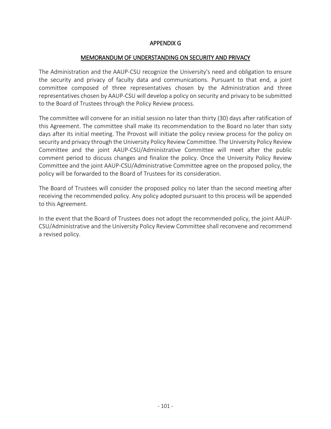#### APPENDIX G

#### MEMORANDUM OF UNDERSTANDING ON SECURITY AND PRIVACY

The Administration and the AAUP-CSU recognize the University's need and obligation to ensure the security and privacy of faculty data and communications. Pursuant to that end, a joint committee composed of three representatives chosen by the Administration and three representatives chosen by AAUP-CSU will develop a policy on security and privacy to be submitted to the Board of Trustees through the Policy Review process.

The committee will convene for an initial session no later than thirty (30) days after ratification of this Agreement. The committee shall make its recommendation to the Board no later than sixty days after its initial meeting. The Provost will initiate the policy review process for the policy on security and privacy through the University Policy Review Committee. The University Policy Review Committee and the joint AAUP-CSU/Administrative Committee will meet after the public comment period to discuss changes and finalize the policy. Once the University Policy Review Committee and the joint AAUP-CSU/Administrative Committee agree on the proposed policy, the policy will be forwarded to the Board of Trustees for its consideration.

The Board of Trustees will consider the proposed policy no later than the second meeting after receiving the recommended policy. Any policy adopted pursuant to this process will be appended to this Agreement.

In the event that the Board of Trustees does not adopt the recommended policy, the joint AAUP-CSU/Administrative and the University Policy Review Committee shall reconvene and recommend a revised policy.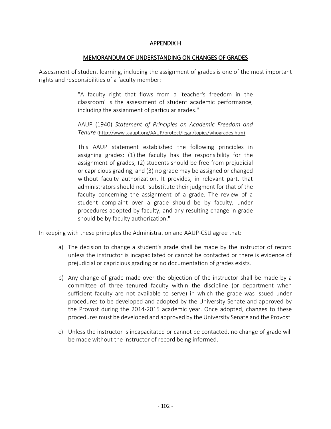#### APPENDIX H

#### MEMORANDUM OF UNDERSTANDING ON CHANGES OF GRADES

Assessment of student learning, including the assignment of grades is one of the most important rights and responsibilities of a faculty member:

> "A faculty right that flows from a 'teacher's freedom in the classroom' is the assessment of student academic performance, including the assignment of particular grades."

> AAUP (1940) *Statement of Principles on Academic Freedom and Tenure* (http://www .aaupt.org/AAUP/protect/legal/topics/whogrades.htm)

> This AAUP statement established the following principles in assigning grades: (1) the faculty has the responsibility for the assignment of grades; (2) students should be free from prejudicial or capricious grading; and (3) no grade may be assigned or changed without faculty authorization. It provides, in relevant part, that administrators should not "substitute their judgment for that of the faculty concerning the assignment of a grade. The review of a student complaint over a grade should be by faculty, under procedures adopted by faculty, and any resulting change in grade should be by faculty authorization."

In keeping with these principles the Administration and AAUP-CSU agree that:

- a) The decision to change a student's grade shall be made by the instructor of record unless the instructor is incapacitated or cannot be contacted or there is evidence of prejudicial or capricious grading or no documentation of grades exists.
- b) Any change of grade made over the objection of the instructor shall be made by a committee of three tenured faculty within the discipline (or department when sufficient faculty are not available to serve) in which the grade was issued under procedures to be developed and adopted by the University Senate and approved by the Provost during the 2014-2015 academic year. Once adopted, changes to these procedures must be developed and approved by the University Senate and the Provost.
- c) Unless the instructor is incapacitated or cannot be contacted, no change of grade will be made without the instructor of record being informed.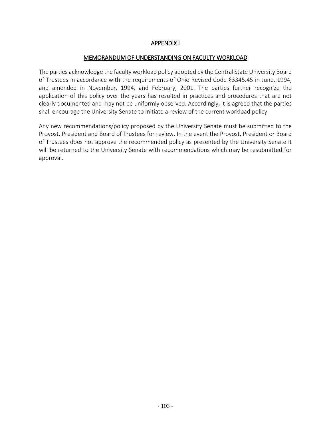#### APPENDIX I

#### MEMORANDUM OF UNDERSTANDING ON FACULTY WORKLOAD

The parties acknowledge the faculty workload policy adopted by the Central State University Board of Trustees in accordance with the requirements of Ohio Revised Code §3345.45 in June, 1994, and amended in November, 1994, and February, 2001. The parties further recognize the application of this policy over the years has resulted in practices and procedures that are not clearly documented and may not be uniformly observed. Accordingly, it is agreed that the parties shall encourage the University Senate to initiate a review of the current workload policy.

Any new recommendations/policy proposed by the University Senate must be submitted to the Provost, President and Board of Trustees for review. In the event the Provost, President or Board of Trustees does not approve the recommended policy as presented by the University Senate it will be returned to the University Senate with recommendations which may be resubmitted for approval.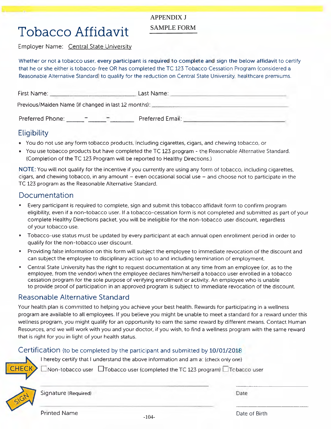#### **APPENDIX J**

# **Tobacco Affidavit**

## **SAMPLE FORM**

Employer Name: Central State University

Whether or not a tobacco user, every participant is required to complete and sign the below affidavit to certify that he or she either is tobacco-free OR has completed the TC 123 Tobacco Cessation Program (considered a Reasonable Alternative Standard) to qualify for the reduction on Central State University, healthcare premiums.

| First Name:                                          | Last Name:       |  |
|------------------------------------------------------|------------------|--|
| Previous/Maiden Name (if changed in last 12 months): |                  |  |
| Preferred Phone:                                     | Preferred Email: |  |

# Eligibility

- You do not use any form tobacco products, including cigarettes, cigars, and chewing tobacco, or
- You use tobacco products but have completed the TC 123 program the Reasonable Alternative Standard. (Completion of the TC 123 Program will be reported to Healthy Directions.)

NOTE: You will not qualify for the incentive if you currently are using any form of tobacco, including cigarettes, cigars, and chewing tobacco, in any amount – even occasional social use – and choose not to participate in the TC 123 program as the Reasonable Alternative Standard.

# Documentation

- Every participant is required to complete, sign and submit this tobacco affidavit form to confirm program eligibility, even if a non-tobacco user. If a tobacco-cessation form is not completed and submitted as part of your complete Healthy Directions packet, you will be ineligible for the non-tobacco user discount, regardless of your tobacco use.
- Tobacco-use status must be updated by every participant at each annual open enrollment period in order to qualify for the non-tobacco user discount.
- Providing false information on this form will subject the employee to immediate revocation of the discount and can subject the employee to disciplinary action up to and including termination of employment.
- $\blacksquare$ Central State University has the right to request documentation at any time from an employee (or, as to the employee, from the vendor) when the employee declares him/herself a tobacco user enrolled in a tobacco cessation program for the sole purpose of verifying enrollment or activity. An employee who is unable to provide proof of participation in an approved program is subject to immediate revocation of the discount.

# Reasonable Alternative Standard

Your health plan is committed to helping you achieve your best health. Rewards for participating in a wellness program are available to all employees. If you believe you might be unable to meet a standard for a reward under this wellness program, you might qualify for an opportunity to earn the same reward by different means. Contact Human Resources, and we will work with you and your doctor, if you wish, to find a wellness program with the same reward that is right for you in light of your health status.

## Certification (to be completed by the participant and submitted by 10/01/2018

I hereby certify that I understand the above information and am a: (check only one)



 $\Box$ Non-tobacco user  $\Box$ Tobacco user (completed the TC 123 program)  $\Box$ Tobacco user



Signature (Required)

Date

**Printed Name** 

 $-104-$ 

Date of Birth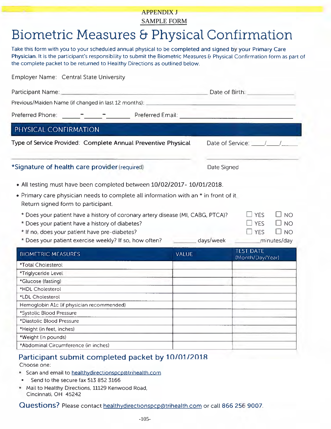# **APPENDIX J SAMPLE FORM**

# Biometric Measures & Physical Confirmation

Take this form with you to your scheduled annual physical to be completed and signed by your Primary Care Physician. It is the participant's responsibility to submit the Biometric Measures & Physical Confirmation form as part of the complete packet to be returned to Healthy Directions as outlined below.

| Participant Name:<br><b>Contract Contract Contract Contract</b>                                                                    |              |                                                                       | Date of Birth:                                                                      |  |
|------------------------------------------------------------------------------------------------------------------------------------|--------------|-----------------------------------------------------------------------|-------------------------------------------------------------------------------------|--|
| Previous/Maiden Name (if changed in last 12 months):                                                                               |              |                                                                       |                                                                                     |  |
|                                                                                                                                    |              |                                                                       |                                                                                     |  |
| PHYSICAL CONFIRMATION                                                                                                              |              |                                                                       |                                                                                     |  |
| Type of Service Provided. Complete Annual Preventive Physical                                                                      |              | Date of Service: $\frac{1}{\sqrt{1-\frac{1}{2}}}\sqrt{1-\frac{1}{2}}$ |                                                                                     |  |
| *Signature of health care provider (required)                                                                                      |              | Date Signed                                                           |                                                                                     |  |
| • All testing must have been completed between 10/02/2017-10/01/2018.                                                              |              |                                                                       |                                                                                     |  |
| • Primary care physician needs to complete all information with an * in front of it<br>Return signed form to participant.          |              |                                                                       |                                                                                     |  |
|                                                                                                                                    |              |                                                                       |                                                                                     |  |
| * Does your patient have a history of coronary artery disease (MI, CABG, PTCA)?<br>* Does your patient have a history of diabetes? |              |                                                                       | $\Box$ NO<br>$\Box$ Yes<br>$\square$ yes<br>$\Box$ NO<br>$\Box$ NO<br>$\square$ Yes |  |
| * If no, does your patient have pre-diabetes?<br>* Does your patient exercise weekly? If so, how often?                            |              | days/week                                                             | minutes/day                                                                         |  |
| <b>BIOMETRIC MEASURES</b>                                                                                                          | <b>VALUE</b> |                                                                       | <b>TEST DATE</b>                                                                    |  |
| *Total Cholesterol                                                                                                                 |              |                                                                       | (Month/Day/Year)                                                                    |  |
| *Triglyceride Level                                                                                                                |              |                                                                       |                                                                                     |  |
| *Glucose (fasting)                                                                                                                 |              |                                                                       |                                                                                     |  |
| *HDL Cholesterol                                                                                                                   |              |                                                                       |                                                                                     |  |
| *LDL Cholesterol                                                                                                                   |              |                                                                       |                                                                                     |  |
| Hemoglobin A1c (if physician recommended)                                                                                          |              |                                                                       |                                                                                     |  |
| *Systolic Blood Pressure                                                                                                           |              |                                                                       |                                                                                     |  |
| *Diastolic Blood Pressure                                                                                                          |              |                                                                       |                                                                                     |  |
| *Height (in feet, inches)                                                                                                          |              |                                                                       |                                                                                     |  |
| *Weight (in pounds)                                                                                                                |              |                                                                       |                                                                                     |  |

#### Participant submit completed packet by 10/01/2018 Choose one:

- Scan and email to healthydirectionspcp@trihealth.com
- Send to the secure fax 513 852 3166  $\blacksquare$
- " Mail to Healthy Directions, 11129 Kenwood Road, Cincinnati, OH 45242

Questions? Please contact healthydirectionspcp@trihealth.com or call 866 256 9007.